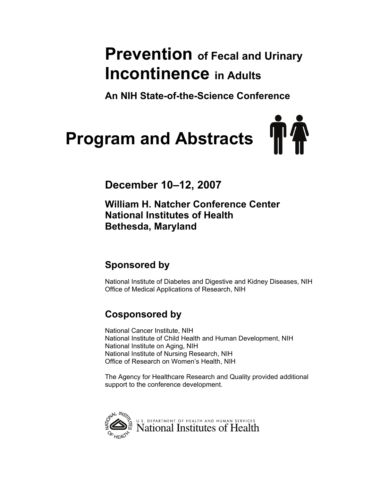## **Prevention of Fecal and Urinary Incontinence in Adults**

**An NIH State-of-the-Science Conference** 

# **Program and Abstracts**

**December 10–12, 2007** 

## **William H. Natcher Conference Center National Institutes of Health Bethesda, Maryland**

## **Sponsored by**

National Institute of Diabetes and Digestive and Kidney Diseases, NIH Office of Medical Applications of Research, NIH

## **Cosponsored by**

National Cancer Institute, NIH National Institute of Child Health and Human Development, NIH National Institute on Aging, NIH National Institute of Nursing Research, NIH Office of Research on Women's Health, NIH

The Agency for Healthcare Research and Quality provided additional support to the conference development.

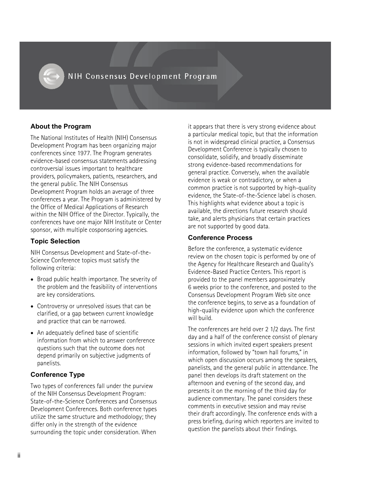

### NIH Consensus Development Program

#### **About the Program**

The National Institutes of Health (NIH) Consensus Development Program has been organizing major conferences since 1977. The Program generates evidence-based consensus statements addressing controversial issues important to healthcare providers, policymakers, patients, researchers, and the general public. The NIH Consensus Development Program holds an average of three conferences a year. The Program is administered by the Office of Medical Applications of Research within the NIH Office of the Director. Typically, the conferences have one major NIH Institute or Center sponsor, with multiple cosponsoring agencies.

#### **Topic Selection**

NIH Consensus Development and State-of-the-Science Conference topics must satisfy the following criteria:

- Broad public health importance. The severity of the problem and the feasibility of interventions are key considerations.
- Controversy or unresolved issues that can be clarified, or a gap between current knowledge and practice that can be narrowed.
- An adequately defined base of scientific information from which to answer conference questions such that the outcome does not depend primarily on subjective judgments of panelists.

#### **Conference Type**

Two types of conferences fall under the purview of the NIH Consensus Development Program: State-of-the-Science Conferences and Consensus Development Conferences. Both conference types utilize the same structure and methodology; they differ only in the strength of the evidence surrounding the topic under consideration. When

it appears that there is very strong evidence about a particular medical topic, but that the information is not in widespread clinical practice, a Consensus Development Conference is typically chosen to consolidate, solidify, and broadly disseminate strong evidence-based recommendations for general practice. Conversely, when the available evidence is weak or contradictory, or when a common practice is not supported by high-quality evidence, the State-of-the-Science label is chosen. This highlights what evidence about a topic is available, the directions future research should take, and alerts physicians that certain practices are not supported by good data.

#### **Conference Process**

Before the conference, a systematic evidence review on the chosen topic is performed by one of the Agency for Healthcare Research and Quality's Evidence-Based Practice Centers. This report is provided to the panel members approximately 6 weeks prior to the conference, and posted to the Consensus Development Program Web site once the conference begins, to serve as a foundation of high-quality evidence upon which the conference will build.

The conferences are held over 2 1/2 days. The first day and a half of the conference consist of plenary sessions in which invited expert speakers present information, followed by "town hall forums," in which open discussion occurs among the speakers, panelists, and the general public in attendance. The panel then develops its draft statement on the afternoon and evening of the second day, and presents it on the morning of the third day for audience commentary. The panel considers these comments in executive session and may revise their draft accordingly. The conference ends with a press briefing, during which reporters are invited to question the panelists about their findings.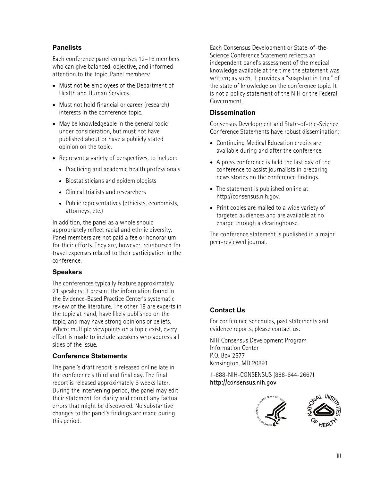#### **Panelists**

Each conference panel comprises 12–16 members who can give balanced, objective, and informed attention to the topic. Panel members:

- Must not be employees of the Department of Health and Human Services.
- Must not hold financial or career (research) interests in the conference topic.
- May be knowledgeable in the general topic under consideration, but must not have published about or have a publicly stated opinion on the topic.
- Represent a variety of perspectives, to include:
	- Practicing and academic health professionals
	- Biostatisticians and epidemiologists
	- Clinical trialists and researchers
	- Public representatives (ethicists, economists, attorneys, etc.)

In addition, the panel as a whole should appropriately reflect racial and ethnic diversity. Panel members are not paid a fee or honorarium for their efforts. They are, however, reimbursed for travel expenses related to their participation in the conference.

#### **Speakers**

The conferences typically feature approximately 21 speakers; 3 present the information found in the Evidence-Based Practice Center's systematic review of the literature. The other 18 are experts in the topic at hand, have likely published on the topic, and may have strong opinions or beliefs. Where multiple viewpoints on a topic exist, every effort is made to include speakers who address all sides of the issue.

#### **Conference Statements**

The panel's draft report is released online late in the conference's third and final day. The final report is released approximately 6 weeks later. During the intervening period, the panel may edit their statement for clarity and correct any factual errors that might be discovered. No substantive changes to the panel's findings are made during this period.

Each Consensus Development or State-of-the-Science Conference Statement reflects an independent panel's assessment of the medical knowledge available at the time the statement was written; as such, it provides a "snapshot in time" of the state of knowledge on the conference topic. It is not a policy statement of the NIH or the Federal Government.

#### **Dissemination**

Consensus Development and State-of-the-Science Conference Statements have robust dissemination:

- Continuing Medical Education credits are available during and after the conference.
- A press conference is held the last day of the conference to assist journalists in preparing news stories on the conference findings.
- The statement is published online at http://consensus.nih.gov.
- Print copies are mailed to a wide variety of targeted audiences and are available at no charge through a clearinghouse.

The conference statement is published in a major peer-reviewed journal.

#### **Contact Us**

For conference schedules, past statements and evidence reports, please contact us:

NIH Consensus Development Program Information Center P.O. Box 2577 Kensington, MD 20891

1-888-NIH-CONSENSUS (888-644-2667) http://consensus.nih.gov



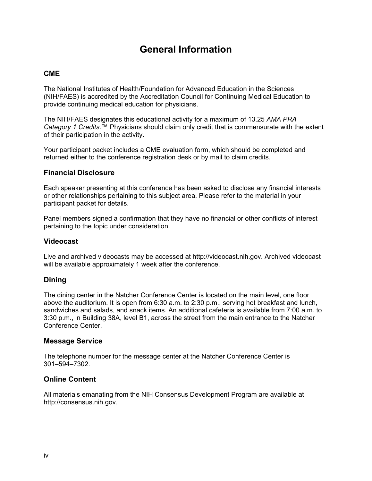## **General Information**

#### **CME**

The National Institutes of Health/Foundation for Advanced Education in the Sciences (NIH/FAES) is accredited by the Accreditation Council for Continuing Medical Education to provide continuing medical education for physicians.

The NIH/FAES designates this educational activity for a maximum of 13.25 *AMA PRA Category 1 Credits*.™ Physicians should claim only credit that is commensurate with the extent of their participation in the activity.

Your participant packet includes a CME evaluation form, which should be completed and returned either to the conference registration desk or by mail to claim credits.

#### **Financial Disclosure**

Each speaker presenting at this conference has been asked to disclose any financial interests or other relationships pertaining to this subject area. Please refer to the material in your participant packet for details.

Panel members signed a confirmation that they have no financial or other conflicts of interest pertaining to the topic under consideration.

#### **Videocast**

Live and archived videocasts may be accessed at http://videocast.nih.gov. Archived videocast will be available approximately 1 week after the conference.

#### **Dining**

The dining center in the Natcher Conference Center is located on the main level, one floor above the auditorium. It is open from 6:30 a.m. to 2:30 p.m., serving hot breakfast and lunch, sandwiches and salads, and snack items. An additional cafeteria is available from 7:00 a.m. to 3:30 p.m., in Building 38A, level B1, across the street from the main entrance to the Natcher Conference Center.

#### **Message Service**

The telephone number for the message center at the Natcher Conference Center is 301–594–7302.

#### **Online Content**

All materials emanating from the NIH Consensus Development Program are available at http://consensus.nih.gov.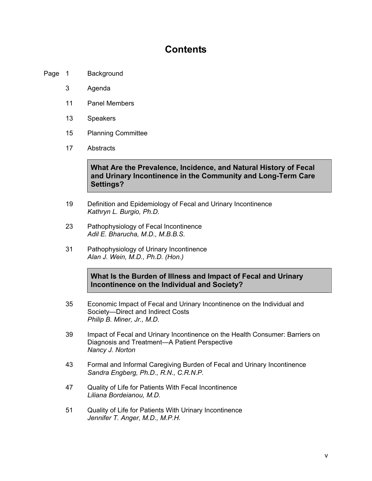## **Contents**

- Page 1 Background
	- 3 Agenda
	- 11 Panel Members
	- 13 Speakers
	- 15 Planning Committee
	- 17 Abstracts

#### **What Are the Prevalence, Incidence, and Natural History of Fecal and Urinary Incontinence in the Community and Long-Term Care Settings?**

- 19 Definition and Epidemiology of Fecal and Urinary Incontinence *Kathryn L. Burgio, Ph.D.*
- 23 Pathophysiology of Fecal Incontinence *Adil E. Bharucha, M.D., M.B.B.S.*
- 31 Pathophysiology of Urinary Incontinence *Alan J. Wein, M.D., Ph.D. (Hon.)*

#### **What Is the Burden of Illness and Impact of Fecal and Urinary Incontinence on the Individual and Society?**

- 35 Economic Impact of Fecal and Urinary Incontinence on the Individual and Society—Direct and Indirect Costs *Philip B. Miner, Jr., M.D.*
- 39 Impact of Fecal and Urinary Incontinence on the Health Consumer: Barriers on Diagnosis and Treatment—A Patient Perspective *Nancy J. Norton*
- 43 Formal and Informal Caregiving Burden of Fecal and Urinary Incontinence *Sandra Engberg, Ph.D., R.N., C.R.N.P.*
- 47 Quality of Life for Patients With Fecal Incontinence *Liliana Bordeianou, M.D.*
- 51 Quality of Life for Patients With Urinary Incontinence *Jennifer T. Anger, M.D., M.P.H.*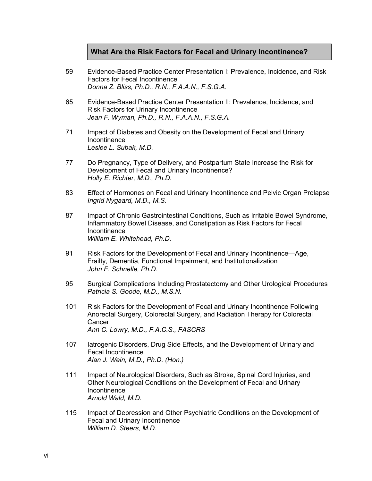#### **What Are the Risk Factors for Fecal and Urinary Incontinence?**

- 59 Evidence-Based Practice Center Presentation I: Prevalence, Incidence, and Risk Factors for Fecal Incontinence *Donna Z. Bliss, Ph.D., R.N., F.A.A.N., F.S.G.A.*
- 65 Evidence-Based Practice Center Presentation II: Prevalence, Incidence, and Risk Factors for Urinary Incontinence *Jean F. Wyman, Ph.D., R.N., F.A.A.N., F.S.G.A.*
- 71 Impact of Diabetes and Obesity on the Development of Fecal and Urinary **Incontinence** *Leslee L. Subak, M.D.*
- 77 Do Pregnancy, Type of Delivery, and Postpartum State Increase the Risk for Development of Fecal and Urinary Incontinence? *Holly E. Richter, M.D., Ph.D.*
- 83 Effect of Hormones on Fecal and Urinary Incontinence and Pelvic Organ Prolapse *Ingrid Nygaard, M.D., M.S.*
- 87 Impact of Chronic Gastrointestinal Conditions, Such as Irritable Bowel Syndrome, Inflammatory Bowel Disease, and Constipation as Risk Factors for Fecal **Incontinence** *William E. Whitehead, Ph.D.*
- 91 Risk Factors for the Development of Fecal and Urinary Incontinence—Age, Frailty, Dementia, Functional Impairment, and Institutionalization *John F. Schnelle, Ph.D.*
- 95 Surgical Complications Including Prostatectomy and Other Urological Procedures *Patricia S. Goode, M.D., M.S.N.*
- 101 Risk Factors for the Development of Fecal and Urinary Incontinence Following Anorectal Surgery, Colorectal Surgery, and Radiation Therapy for Colorectal Cancer *Ann C. Lowry, M.D., F.A.C.S., FASCRS*
- 107 Iatrogenic Disorders, Drug Side Effects, and the Development of Urinary and Fecal Incontinence *Alan J. Wein, M.D., Ph.D. (Hon.)*
- 111 Impact of Neurological Disorders, Such as Stroke, Spinal Cord Injuries, and Other Neurological Conditions on the Development of Fecal and Urinary **Incontinence** *Arnold Wald, M.D.*
- 115 Impact of Depression and Other Psychiatric Conditions on the Development of Fecal and Urinary Incontinence *William D. Steers, M.D.*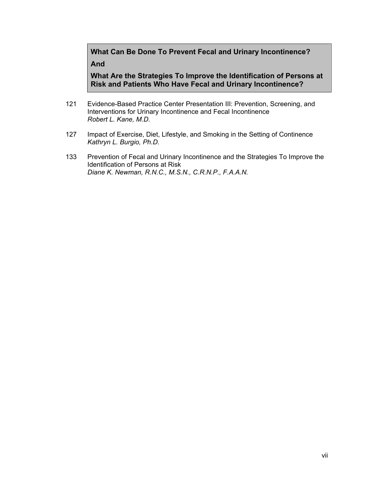**What Can Be Done To Prevent Fecal and Urinary Incontinence? And** 

**What Are the Strategies To Improve the Identification of Persons at Risk and Patients Who Have Fecal and Urinary Incontinence?** 

- 121 Evidence-Based Practice Center Presentation III: Prevention, Screening, and Interventions for Urinary Incontinence and Fecal Incontinence *Robert L. Kane, M.D.*
- 127 Impact of Exercise, Diet, Lifestyle, and Smoking in the Setting of Continence *Kathryn L. Burgio, Ph.D.*
- 133 Prevention of Fecal and Urinary Incontinence and the Strategies To Improve the Identification of Persons at Risk *Diane K. Newman, R.N.C., M.S.N., C.R.N.P., F.A.A.N.*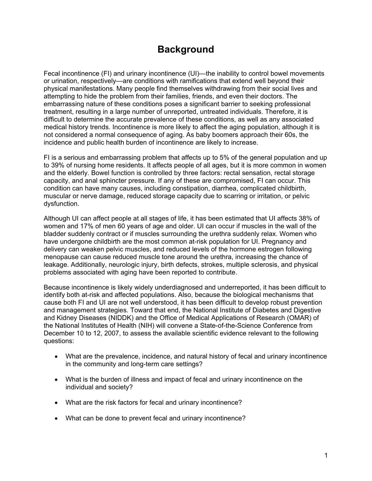## **Background**

Fecal incontinence (FI) and urinary incontinence (UI)—the inability to control bowel movements or urination, respectively—are conditions with ramifications that extend well beyond their physical manifestations. Many people find themselves withdrawing from their social lives and attempting to hide the problem from their families, friends, and even their doctors. The embarrassing nature of these conditions poses a significant barrier to seeking professional treatment, resulting in a large number of unreported, untreated individuals. Therefore, it is difficult to determine the accurate prevalence of these conditions, as well as any associated medical history trends. Incontinence is more likely to affect the aging population, although it is not considered a normal consequence of aging. As baby boomers approach their 60s, the incidence and public health burden of incontinence are likely to increase.

FI is a serious and embarrassing problem that affects up to 5% of the general population and up to 39% of nursing home residents. It affects people of all ages, but it is more common in women and the elderly. Bowel function is controlled by three factors: rectal sensation, rectal storage capacity, and anal sphincter pressure. If any of these are compromised, FI can occur. This condition can have many causes, including constipation, diarrhea, complicated childbirth, muscular or nerve damage, reduced storage capacity due to scarring or irritation, or pelvic dysfunction.

Although UI can affect people at all stages of life, it has been estimated that UI affects 38% of women and 17% of men 60 years of age and older. UI can occur if muscles in the wall of the bladder suddenly contract or if muscles surrounding the urethra suddenly relax. Women who have undergone childbirth are the most common at-risk population for UI. Pregnancy and delivery can weaken pelvic muscles, and reduced levels of the hormone estrogen following menopause can cause reduced muscle tone around the urethra, increasing the chance of leakage. Additionally, neurologic injury, birth defects, strokes, multiple sclerosis, and physical problems associated with aging have been reported to contribute.

Because incontinence is likely widely underdiagnosed and underreported, it has been difficult to identify both at-risk and affected populations. Also, because the biological mechanisms that cause both FI and UI are not well understood, it has been difficult to develop robust prevention and management strategies. Toward that end, the National Institute of Diabetes and Digestive and Kidney Diseases (NIDDK) and the Office of Medical Applications of Research (OMAR) of the National Institutes of Health (NIH) will convene a State-of-the-Science Conference from December 10 to 12, 2007, to assess the available scientific evidence relevant to the following questions:

- What are the prevalence, incidence, and natural history of fecal and urinary incontinence in the community and long-term care settings?
- What is the burden of illness and impact of fecal and urinary incontinence on the individual and society?
- What are the risk factors for fecal and urinary incontinence?
- What can be done to prevent fecal and urinary incontinence?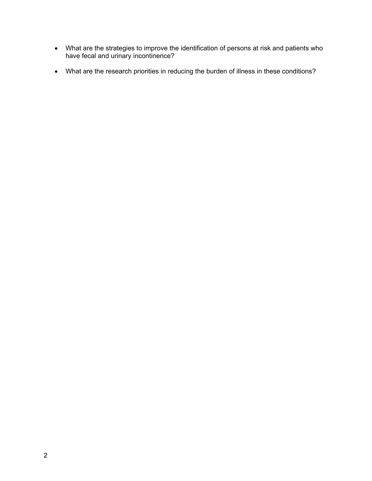- What are the strategies to improve the identification of persons at risk and patients who have fecal and urinary incontinence?
- What are the research priorities in reducing the burden of illness in these conditions?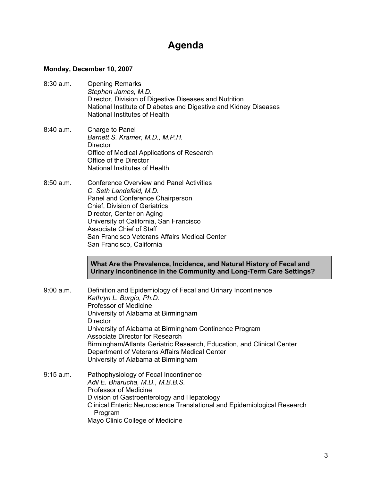## **Agenda**

#### **Monday, December 10, 2007**

- 8:30 a.m. Opening Remarks *Stephen James, M.D.*  Director, Division of Digestive Diseases and Nutrition National Institute of Diabetes and Digestive and Kidney Diseases National Institutes of Health
- 8:40 a.m. Charge to Panel *Barnett S. Kramer, M.D., M.P.H.* **Director** Office of Medical Applications of Research Office of the Director National Institutes of Health
- 8:50 a.m. Conference Overview and Panel Activities *C. Seth Landefeld, M.D.*  Panel and Conference Chairperson Chief, Division of Geriatrics Director, Center on Aging University of California, San Francisco Associate Chief of Staff San Francisco Veterans Affairs Medical Center San Francisco, California

#### **What Are the Prevalence, Incidence, and Natural History of Fecal and Urinary Incontinence in the Community and Long-Term Care Settings?**

9:00 a.m. Definition and Epidemiology of Fecal and Urinary Incontinence *Kathryn L. Burgio, Ph.D.*  Professor of Medicine University of Alabama at Birmingham **Director** University of Alabama at Birmingham Continence Program Associate Director for Research Birmingham/Atlanta Geriatric Research, Education, and Clinical Center Department of Veterans Affairs Medical Center University of Alabama at Birmingham

9:15 a.m. Pathophysiology of Fecal Incontinence *Adil E. Bharucha, M.D., M.B.B.S.*  Professor of Medicine Division of Gastroenterology and Hepatology Clinical Enteric Neuroscience Translational and Epidemiological Research Program Mayo Clinic College of Medicine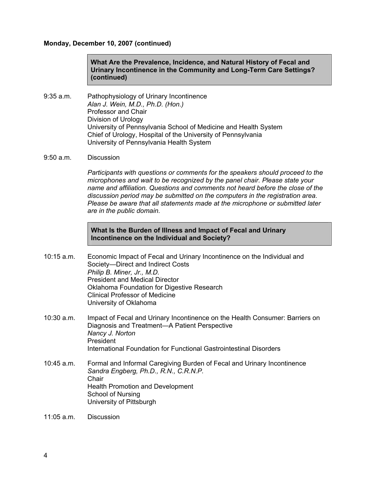#### **Monday, December 10, 2007 (continued)**

**What Are the Prevalence, Incidence, and Natural History of Fecal and Urinary Incontinence in the Community and Long-Term Care Settings? (continued)** 

9:35 a.m. Pathophysiology of Urinary Incontinence *Alan J. Wein, M.D., Ph.D. (Hon.)*  Professor and Chair Division of Urology University of Pennsylvania School of Medicine and Health System Chief of Urology, Hospital of the University of Pennsylvania University of Pennsylvania Health System

#### 9:50 a.m. Discussion

*Participants with questions or comments for the speakers should proceed to the microphones and wait to be recognized by the panel chair. Please state your name and affiliation. Questions and comments not heard before the close of the discussion period may be submitted on the computers in the registration area. Please be aware that all statements made at the microphone or submitted later are in the public domain.* 

**What Is the Burden of Illness and Impact of Fecal and Urinary Incontinence on the Individual and Society?** 

- 10:15 a.m. Economic Impact of Fecal and Urinary Incontinence on the Individual and Society—Direct and Indirect Costs *Philip B. Miner, Jr., M.D.*  President and Medical Director Oklahoma Foundation for Digestive Research Clinical Professor of Medicine University of Oklahoma
- 10:30 a.m. Impact of Fecal and Urinary Incontinence on the Health Consumer: Barriers on Diagnosis and Treatment—A Patient Perspective *Nancy J. Norton*  President International Foundation for Functional Gastrointestinal Disorders
- 10:45 a.m. Formal and Informal Caregiving Burden of Fecal and Urinary Incontinence *Sandra Engberg, Ph.D., R.N., C.R.N.P.*  **Chair** Health Promotion and Development School of Nursing University of Pittsburgh
- 11:05 a.m. Discussion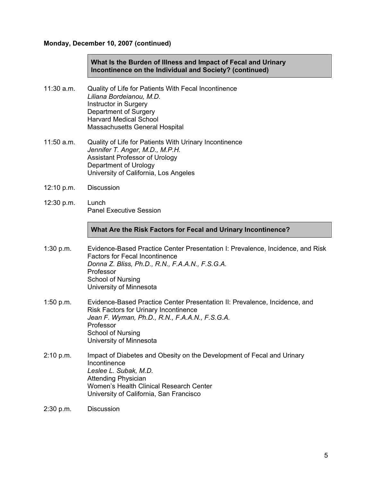#### **Monday, December 10, 2007 (continued)**

**What Is the Burden of Illness and Impact of Fecal and Urinary Incontinence on the Individual and Society? (continued)** 

- 11:30 a.m. Quality of Life for Patients With Fecal Incontinence *Liliana Bordeianou, M.D.*  Instructor in Surgery Department of Surgery Harvard Medical School Massachusetts General Hospital
- 11:50 a.m. Quality of Life for Patients With Urinary Incontinence *Jennifer T. Anger, M.D., M.P.H.*  Assistant Professor of Urology Department of Urology University of California, Los Angeles
- 12:10 p.m. Discussion
- 12:30 p.m. Lunch Panel Executive Session

#### **What Are the Risk Factors for Fecal and Urinary Incontinence?**

- 1:30 p.m. Evidence-Based Practice Center Presentation I: Prevalence, Incidence, and Risk Factors for Fecal Incontinence *Donna Z. Bliss, Ph.D., R.N., F.A.A.N., F.S.G.A.*  Professor School of Nursing University of Minnesota
- 1:50 p.m. Evidence-Based Practice Center Presentation II: Prevalence, Incidence, and Risk Factors for Urinary Incontinence *Jean F. Wyman, Ph.D., R.N., F.A.A.N., F.S.G.A.*  Professor School of Nursing University of Minnesota
- 2:10 p.m. Impact of Diabetes and Obesity on the Development of Fecal and Urinary **Incontinence** *Leslee L. Subak, M.D.*  Attending Physician Women's Health Clinical Research Center University of California, San Francisco
- 2:30 p.m. Discussion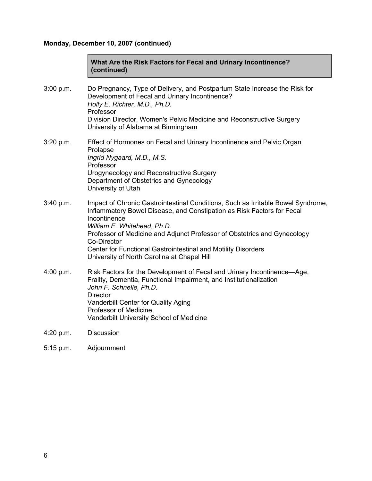#### **Monday, December 10, 2007 (continued)**

| What Are the Risk Factors for Fecal and Urinary Incontinence? |  |
|---------------------------------------------------------------|--|
| (continued)                                                   |  |

- 3:00 p.m. Do Pregnancy, Type of Delivery, and Postpartum State Increase the Risk for Development of Fecal and Urinary Incontinence? *Holly E. Richter, M.D., Ph.D.*  Professor Division Director, Women's Pelvic Medicine and Reconstructive Surgery University of Alabama at Birmingham
- 3:20 p.m. Effect of Hormones on Fecal and Urinary Incontinence and Pelvic Organ Prolapse *Ingrid Nygaard, M.D., M.S.*  Professor Urogynecology and Reconstructive Surgery Department of Obstetrics and Gynecology University of Utah
- 3:40 p.m. Impact of Chronic Gastrointestinal Conditions, Such as Irritable Bowel Syndrome, Inflammatory Bowel Disease, and Constipation as Risk Factors for Fecal **Incontinence** *William E. Whitehead, Ph.D.*  Professor of Medicine and Adjunct Professor of Obstetrics and Gynecology Co-Director Center for Functional Gastrointestinal and Motility Disorders University of North Carolina at Chapel Hill
- 4:00 p.m. Risk Factors for the Development of Fecal and Urinary Incontinence—Age, Frailty, Dementia, Functional Impairment, and Institutionalization *John F. Schnelle, Ph.D.*  **Director** Vanderbilt Center for Quality Aging Professor of Medicine Vanderbilt University School of Medicine
- 4:20 p.m. Discussion
- 5:15 p.m. Adjournment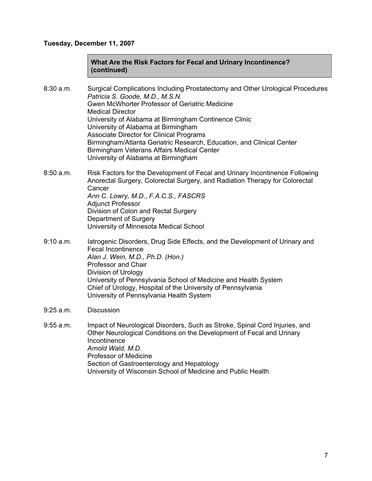#### **Tuesday, December 11, 2007**

#### **What Are the Risk Factors for Fecal and Urinary Incontinence? (continued)**

- 8:30 a.m. Surgical Complications Including Prostatectomy and Other Urological Procedures *Patricia S. Goode, M.D., M.S.N.*  Gwen McWhorter Professor of Geriatric Medicine Medical Director University of Alabama at Birmingham Continence Clinic University of Alabama at Birmingham Associate Director for Clinical Programs Birmingham/Atlanta Geriatric Research, Education, and Clinical Center Birmingham Veterans Affairs Medical Center University of Alabama at Birmingham
- 8:50 a.m. Risk Factors for the Development of Fecal and Urinary Incontinence Following Anorectal Surgery, Colorectal Surgery, and Radiation Therapy for Colorectal **Cancer** *Ann C. Lowry, M.D., F.A.C.S., FASCRS*  Adjunct Professor Division of Colon and Rectal Surgery Department of Surgery University of Minnesota Medical School
- 9:10 a.m. Iatrogenic Disorders, Drug Side Effects, and the Development of Urinary and Fecal Incontinence *Alan J. Wein, M.D., Ph.D. (Hon.)*  Professor and Chair Division of Urology University of Pennsylvania School of Medicine and Health System Chief of Urology, Hospital of the University of Pennsylvania University of Pennsylvania Health System
- 9:25 a.m. Discussion
- 9:55 a.m. Impact of Neurological Disorders, Such as Stroke, Spinal Cord Injuries, and Other Neurological Conditions on the Development of Fecal and Urinary **Incontinence** *Arnold Wald, M.D.*  Professor of Medicine Section of Gastroenterology and Hepatology University of Wisconsin School of Medicine and Public Health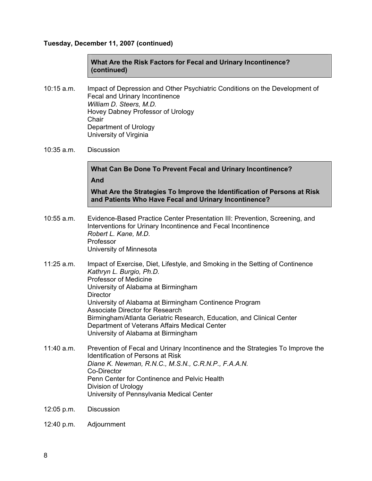#### **Tuesday, December 11, 2007 (continued)**

**What Are the Risk Factors for Fecal and Urinary Incontinence? (continued)** 

- 10:15 a.m. Impact of Depression and Other Psychiatric Conditions on the Development of Fecal and Urinary Incontinence *William D. Steers, M.D.*  Hovey Dabney Professor of Urology **Chair** Department of Urology University of Virginia
- 10:35 a.m. Discussion

**What Can Be Done To Prevent Fecal and Urinary Incontinence? And** 

**What Are the Strategies To Improve the Identification of Persons at Risk and Patients Who Have Fecal and Urinary Incontinence?** 

- 10:55 a.m. Evidence-Based Practice Center Presentation III: Prevention, Screening, and Interventions for Urinary Incontinence and Fecal Incontinence *Robert L. Kane, M.D.*  Professor University of Minnesota
- 11:25 a.m. Impact of Exercise, Diet, Lifestyle, and Smoking in the Setting of Continence *Kathryn L. Burgio, Ph.D.*  Professor of Medicine University of Alabama at Birmingham **Director** University of Alabama at Birmingham Continence Program Associate Director for Research Birmingham/Atlanta Geriatric Research, Education, and Clinical Center Department of Veterans Affairs Medical Center University of Alabama at Birmingham
- 11:40 a.m. Prevention of Fecal and Urinary Incontinence and the Strategies To Improve the Identification of Persons at Risk *Diane K. Newman, R.N.C., M.S.N., C.R.N.P., F.A.A.N.*  Co-Director Penn Center for Continence and Pelvic Health Division of Urology University of Pennsylvania Medical Center
- 12:05 p.m. Discussion
- 12:40 p.m. Adjournment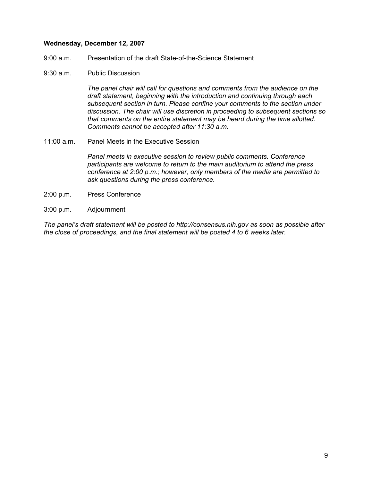#### **Wednesday, December 12, 2007**

- 9:00 a.m. Presentation of the draft State-of-the-Science Statement
- 9:30 a.m. Public Discussion

*The panel chair will call for questions and comments from the audience on the draft statement, beginning with the introduction and continuing through each subsequent section in turn. Please confine your comments to the section under discussion. The chair will use discretion in proceeding to subsequent sections so that comments on the entire statement may be heard during the time allotted. Comments cannot be accepted after 11:30 a.m.* 

11:00 a.m. Panel Meets in the Executive Session

*Panel meets in executive session to review public comments. Conference participants are welcome to return to the main auditorium to attend the press conference at 2:00 p.m.; however, only members of the media are permitted to ask questions during the press conference.* 

- 2:00 p.m. Press Conference
- 3:00 p.m. Adjournment

*The panel's draft statement will be posted to http://consensus.nih.gov as soon as possible after the close of proceedings, and the final statement will be posted 4 to 6 weeks later.*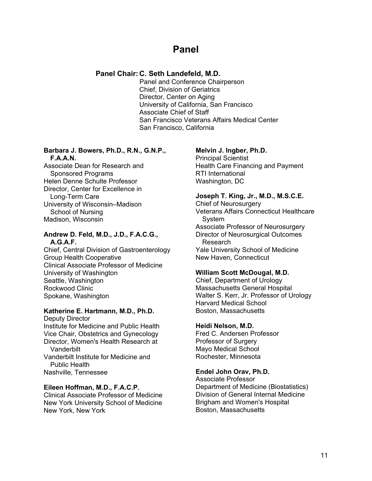## **Panel**

#### **Panel Chair: C. Seth Landefeld, M.D.**

Panel and Conference Chairperson Chief, Division of Geriatrics Director, Center on Aging University of California, San Francisco Associate Chief of Staff San Francisco Veterans Affairs Medical Center San Francisco, California

#### **Barbara J. Bowers, Ph.D., R.N., G.N.P., F.A.A.N.**

Associate Dean for Research and Sponsored Programs Helen Denne Schulte Professor Director, Center for Excellence in Long-Term Care University of Wisconsin–Madison School of Nursing Madison, Wisconsin

#### **Andrew D. Feld, M.D., J.D., F.A.C.G., A.G.A.F.**

Chief, Central Division of Gastroenterology Group Health Cooperative Clinical Associate Professor of Medicine University of Washington Seattle, Washington Rockwood Clinic Spokane, Washington

#### **Katherine E. Hartmann, M.D., Ph.D.**

Deputy Director Institute for Medicine and Public Health Vice Chair, Obstetrics and Gynecology Director, Women's Health Research at Vanderbilt Vanderbilt Institute for Medicine and Public Health Nashville, Tennessee

#### **Eileen Hoffman, M.D., F.A.C.P.**

Clinical Associate Professor of Medicine New York University School of Medicine New York, New York

#### **Melvin J. Ingber, Ph.D.**

Principal Scientist Health Care Financing and Payment RTI International Washington, DC

#### **Joseph T. King, Jr., M.D., M.S.C.E.**

Chief of Neurosurgery Veterans Affairs Connecticut Healthcare System Associate Professor of Neurosurgery Director of Neurosurgical Outcomes Research Yale University School of Medicine New Haven, Connecticut

#### **William Scott McDougal, M.D.**

Chief, Department of Urology Massachusetts General Hospital Walter S. Kerr, Jr. Professor of Urology Harvard Medical School Boston, Massachusetts

#### **Heidi Nelson, M.D.**

Fred C. Andersen Professor Professor of Surgery Mayo Medical School Rochester, Minnesota

#### **Endel John Orav, Ph.D.**

Associate Professor Department of Medicine (Biostatistics) Division of General Internal Medicine Brigham and Women's Hospital Boston, Massachusetts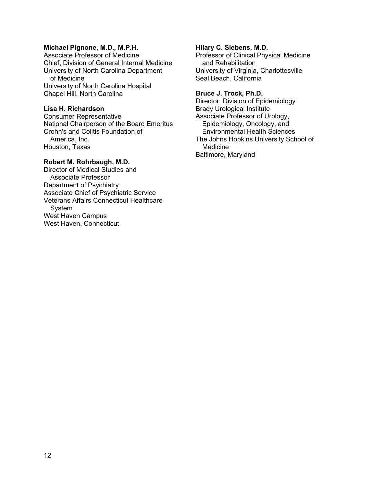#### **Michael Pignone, M.D., M.P.H.**

Associate Professor of Medicine Chief, Division of General Internal Medicine University of North Carolina Department of Medicine University of North Carolina Hospital Chapel Hill, North Carolina

#### **Lisa H. Richardson**

Consumer Representative National Chairperson of the Board Emeritus Crohn's and Colitis Foundation of America, Inc. Houston, Texas

#### **Robert M. Rohrbaugh, M.D.**

Director of Medical Studies and Associate Professor Department of Psychiatry Associate Chief of Psychiatric Service Veterans Affairs Connecticut Healthcare **System** West Haven Campus West Haven, Connecticut

#### **Hilary C. Siebens, M.D.**

Professor of Clinical Physical Medicine and Rehabilitation University of Virginia, Charlottesville Seal Beach, California

#### **Bruce J. Trock, Ph.D.**

Director, Division of Epidemiology Brady Urological Institute Associate Professor of Urology, Epidemiology, Oncology, and Environmental Health Sciences The Johns Hopkins University School of Medicine Baltimore, Maryland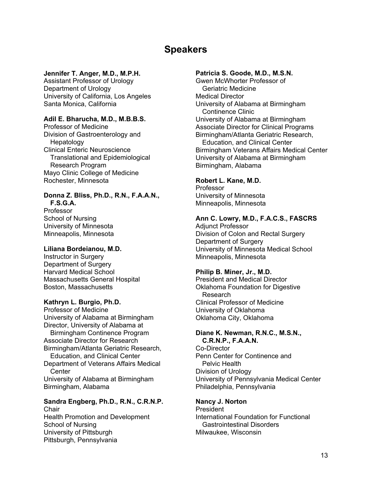## **Speakers**

#### **Jennifer T. Anger, M.D., M.P.H.**

Assistant Professor of Urology Department of Urology University of California, Los Angeles Santa Monica, California

#### **Adil E. Bharucha, M.D., M.B.B.S.**

Professor of Medicine Division of Gastroenterology and Hepatology Clinical Enteric Neuroscience Translational and Epidemiological Research Program Mayo Clinic College of Medicine Rochester, Minnesota

#### **Donna Z. Bliss, Ph.D., R.N., F.A.A.N., F.S.G.A.**

Professor School of Nursing University of Minnesota Minneapolis, Minnesota

#### **Liliana Bordeianou, M.D.**

Instructor in Surgery Department of Surgery Harvard Medical School Massachusetts General Hospital Boston, Massachusetts

#### **Kathryn L. Burgio, Ph.D.**

Professor of Medicine University of Alabama at Birmingham Director, University of Alabama at Birmingham Continence Program Associate Director for Research Birmingham/Atlanta Geriatric Research, Education, and Clinical Center Department of Veterans Affairs Medical **Center** University of Alabama at Birmingham Birmingham, Alabama

#### **Sandra Engberg, Ph.D., R.N., C.R.N.P.**  Chair

Health Promotion and Development School of Nursing University of Pittsburgh Pittsburgh, Pennsylvania

#### **Patricia S. Goode, M.D., M.S.N.**

Gwen McWhorter Professor of Geriatric Medicine Medical Director University of Alabama at Birmingham Continence Clinic University of Alabama at Birmingham Associate Director for Clinical Programs Birmingham/Atlanta Geriatric Research, Education, and Clinical Center Birmingham Veterans Affairs Medical Center University of Alabama at Birmingham Birmingham, Alabama

#### **Robert L. Kane, M.D.**

Professor University of Minnesota Minneapolis, Minnesota

#### **Ann C. Lowry, M.D., F.A.C.S., FASCRS**

Adjunct Professor Division of Colon and Rectal Surgery Department of Surgery University of Minnesota Medical School Minneapolis, Minnesota

#### **Philip B. Miner, Jr., M.D.**

President and Medical Director Oklahoma Foundation for Digestive Research Clinical Professor of Medicine University of Oklahoma Oklahoma City, Oklahoma

#### **Diane K. Newman, R.N.C., M.S.N., C.R.N.P., F.A.A.N.**

Co-Director Penn Center for Continence and Pelvic Health Division of Urology University of Pennsylvania Medical Center Philadelphia, Pennsylvania

#### **Nancy J. Norton**

President International Foundation for Functional Gastrointestinal Disorders Milwaukee, Wisconsin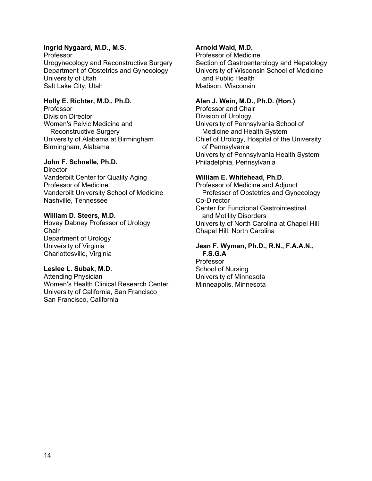#### **Ingrid Nygaard, M.D., M.S.**

Professor Urogynecology and Reconstructive Surgery Department of Obstetrics and Gynecology University of Utah Salt Lake City, Utah

#### **Holly E. Richter, M.D., Ph.D.**

Professor Division Director Women's Pelvic Medicine and Reconstructive Surgery University of Alabama at Birmingham Birmingham, Alabama

#### **John F. Schnelle, Ph.D.**

**Director** Vanderbilt Center for Quality Aging Professor of Medicine Vanderbilt University School of Medicine Nashville, Tennessee

#### **William D. Steers, M.D.**

Hovey Dabney Professor of Urology Chair Department of Urology University of Virginia Charlottesville, Virginia

#### **Leslee L. Subak, M.D.**

Attending Physician Women's Health Clinical Research Center University of California, San Francisco San Francisco, California

#### **Arnold Wald, M.D.**

Professor of Medicine Section of Gastroenterology and Hepatology University of Wisconsin School of Medicine and Public Health Madison, Wisconsin

#### **Alan J. Wein, M.D., Ph.D. (Hon.)**

Professor and Chair Division of Urology University of Pennsylvania School of Medicine and Health System Chief of Urology, Hospital of the University of Pennsylvania University of Pennsylvania Health System Philadelphia, Pennsylvania

#### **William E. Whitehead, Ph.D.**

Professor of Medicine and Adjunct Professor of Obstetrics and Gynecology Co-Director Center for Functional Gastrointestinal and Motility Disorders University of North Carolina at Chapel Hill Chapel Hill, North Carolina

#### **Jean F. Wyman, Ph.D., R.N., F.A.A.N., F.S.G.A**

Professor School of Nursing University of Minnesota Minneapolis, Minnesota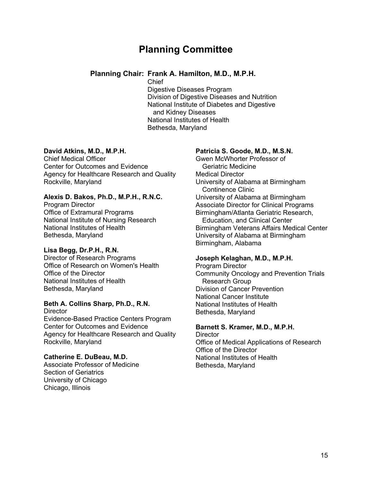## **Planning Committee**

#### **Planning Chair: Frank A. Hamilton, M.D., M.P.H.**

Chief Digestive Diseases Program Division of Digestive Diseases and Nutrition National Institute of Diabetes and Digestive and Kidney Diseases National Institutes of Health Bethesda, Maryland

#### **David Atkins, M.D., M.P.H.**

Chief Medical Officer Center for Outcomes and Evidence Agency for Healthcare Research and Quality Rockville, Maryland

#### **Alexis D. Bakos, Ph.D., M.P.H., R.N.C.**

Program Director Office of Extramural Programs National Institute of Nursing Research National Institutes of Health Bethesda, Maryland

#### **Lisa Begg, Dr.P.H., R.N.**

Director of Research Programs Office of Research on Women's Health Office of the Director National Institutes of Health Bethesda, Maryland

#### **Beth A. Collins Sharp, Ph.D., R.N.**

**Director** Evidence-Based Practice Centers Program Center for Outcomes and Evidence Agency for Healthcare Research and Quality Rockville, Maryland

#### **Catherine E. DuBeau, M.D.**

Associate Professor of Medicine Section of Geriatrics University of Chicago Chicago, Illinois

#### **Patricia S. Goode, M.D., M.S.N.**

Gwen McWhorter Professor of Geriatric Medicine Medical Director University of Alabama at Birmingham Continence Clinic University of Alabama at Birmingham Associate Director for Clinical Programs Birmingham/Atlanta Geriatric Research, Education, and Clinical Center Birmingham Veterans Affairs Medical Center University of Alabama at Birmingham Birmingham, Alabama

#### **Joseph Kelaghan, M.D., M.P.H.**

Program Director Community Oncology and Prevention Trials Research Group Division of Cancer Prevention National Cancer Institute National Institutes of Health Bethesda, Maryland

#### **Barnett S. Kramer, M.D., M.P.H.**

**Director** Office of Medical Applications of Research Office of the Director National Institutes of Health Bethesda, Maryland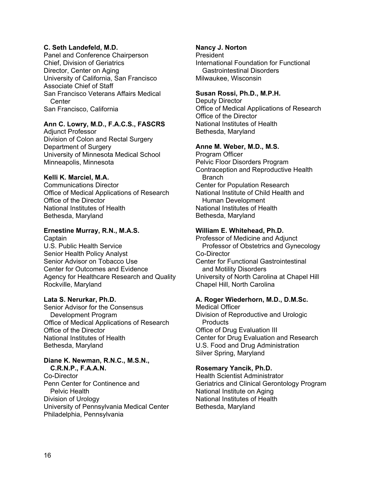#### **C. Seth Landefeld, M.D.**

Panel and Conference Chairperson Chief, Division of Geriatrics Director, Center on Aging University of California, San Francisco Associate Chief of Staff San Francisco Veterans Affairs Medical Center San Francisco, California

#### **Ann C. Lowry, M.D., F.A.C.S., FASCRS**

Adjunct Professor Division of Colon and Rectal Surgery Department of Surgery University of Minnesota Medical School Minneapolis, Minnesota

#### **Kelli K. Marciel, M.A.**

Communications Director Office of Medical Applications of Research Office of the Director National Institutes of Health Bethesda, Maryland

#### **Ernestine Murray, R.N., M.A.S.**

**Captain** 

U.S. Public Health Service Senior Health Policy Analyst Senior Advisor on Tobacco Use Center for Outcomes and Evidence Agency for Healthcare Research and Quality Rockville, Maryland

#### **Lata S. Nerurkar, Ph.D.**

Senior Advisor for the Consensus Development Program Office of Medical Applications of Research Office of the Director National Institutes of Health Bethesda, Maryland

#### **Diane K. Newman, R.N.C., M.S.N.,**

**C.R.N.P., F.A.A.N.**  Co-Director Penn Center for Continence and Pelvic Health Division of Urology University of Pennsylvania Medical Center Philadelphia, Pennsylvania

#### **Nancy J. Norton**

President International Foundation for Functional Gastrointestinal Disorders Milwaukee, Wisconsin

#### **Susan Rossi, Ph.D., M.P.H.**

Deputy Director Office of Medical Applications of Research Office of the Director National Institutes of Health Bethesda, Maryland

#### **Anne M. Weber, M.D., M.S.**

Program Officer Pelvic Floor Disorders Program Contraception and Reproductive Health Branch Center for Population Research National Institute of Child Health and Human Development National Institutes of Health Bethesda, Maryland

#### **William E. Whitehead, Ph.D.**

Professor of Medicine and Adjunct Professor of Obstetrics and Gynecology Co-Director Center for Functional Gastrointestinal and Motility Disorders University of North Carolina at Chapel Hill Chapel Hill, North Carolina

#### **A. Roger Wiederhorn, M.D., D.M.Sc.**

Medical Officer Division of Reproductive and Urologic **Products** Office of Drug Evaluation III Center for Drug Evaluation and Research U.S. Food and Drug Administration Silver Spring, Maryland

#### **Rosemary Yancik, Ph.D.**

Health Scientist Administrator Geriatrics and Clinical Gerontology Program National Institute on Aging National Institutes of Health Bethesda, Maryland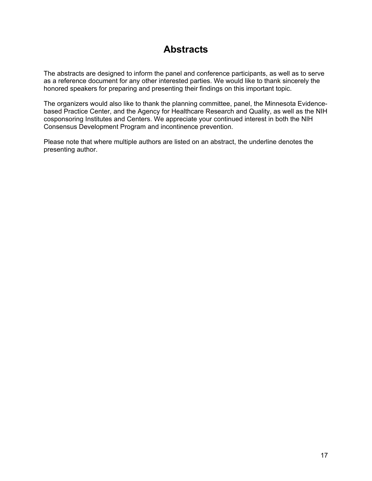## **Abstracts**

The abstracts are designed to inform the panel and conference participants, as well as to serve as a reference document for any other interested parties. We would like to thank sincerely the honored speakers for preparing and presenting their findings on this important topic.

The organizers would also like to thank the planning committee, panel, the Minnesota Evidencebased Practice Center, and the Agency for Healthcare Research and Quality, as well as the NIH cosponsoring Institutes and Centers. We appreciate your continued interest in both the NIH Consensus Development Program and incontinence prevention.

Please note that where multiple authors are listed on an abstract, the underline denotes the presenting author.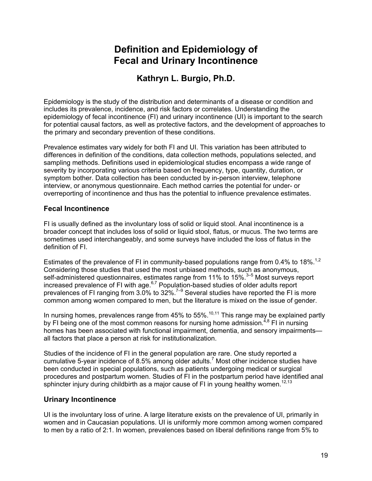## **Definition and Epidemiology of Fecal and Urinary Incontinence**

## **Kathryn L. Burgio, Ph.D.**

Epidemiology is the study of the distribution and determinants of a disease or condition and includes its prevalence, incidence, and risk factors or correlates. Understanding the epidemiology of fecal incontinence (FI) and urinary incontinence (UI) is important to the search for potential causal factors, as well as protective factors, and the development of approaches to the primary and secondary prevention of these conditions.

Prevalence estimates vary widely for both FI and UI. This variation has been attributed to differences in definition of the conditions, data collection methods, populations selected, and sampling methods. Definitions used in epidemiological studies encompass a wide range of severity by incorporating various criteria based on frequency, type, quantity, duration, or symptom bother. Data collection has been conducted by in-person interview, telephone interview, or anonymous questionnaire. Each method carries the potential for under- or overreporting of incontinence and thus has the potential to influence prevalence estimates.

#### **Fecal Incontinence**

FI is usually defined as the involuntary loss of solid or liquid stool. Anal incontinence is a broader concept that includes loss of solid or liquid stool, flatus, or mucus. The two terms are sometimes used interchangeably, and some surveys have included the loss of flatus in the definition of FI.

Estimates of the prevalence of FI in community-based populations range from 0.4% to 18%.<sup>1,2</sup> Considering those studies that used the most unbiased methods, such as anonymous, self-administered questionnaires, estimates range from 11% to 15%.<sup>3-5</sup> Most surveys report increased prevalence of FI with age.<sup>6,7</sup> Population-based studies of older adults report prevalences of FI ranging from 3.0% to 32%.<sup>7–9</sup> Several studies have reported the FI is more common among women compared to men, but the literature is mixed on the issue of gender.

In nursing homes, prevalences range from 45% to 55%.<sup>10,11</sup> This range may be explained partly by FI being one of the most common reasons for nursing home admission.<sup>4,8</sup> FI in nursing homes has been associated with functional impairment, dementia, and sensory impairments all factors that place a person at risk for institutionalization.

Studies of the incidence of FI in the general population are rare. One study reported a cumulative 5-year incidence of 8.5% among older adults.<sup>7</sup> Most other incidence studies have been conducted in special populations, such as patients undergoing medical or surgical procedures and postpartum women. Studies of FI in the postpartum period have identified anal sphincter injury during childbirth as a major cause of FI in young healthy women.<sup>12,13</sup>

#### **Urinary Incontinence**

UI is the involuntary loss of urine. A large literature exists on the prevalence of UI, primarily in women and in Caucasian populations. UI is uniformly more common among women compared to men by a ratio of 2:1. In women, prevalences based on liberal definitions range from 5% to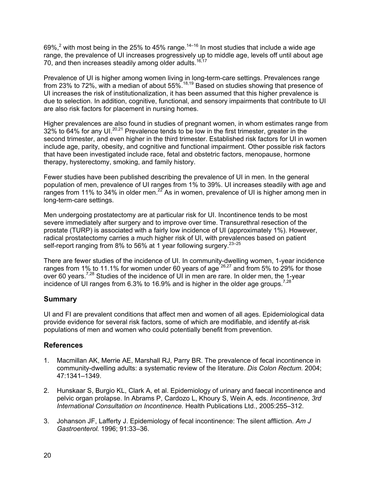69%,<sup>2</sup> with most being in the 25% to 45% range.<sup>14–16</sup> In most studies that include a wide age range, the prevalence of UI increases progressively up to middle age, levels off until about age 70, and then increases steadily among older adults.<sup>16,17</sup>

Prevalence of UI is higher among women living in long-term-care settings. Prevalences range from 23% to 72%, with a median of about 55%.<sup>18,19</sup> Based on studies showing that presence of UI increases the risk of institutionalization, it has been assumed that this higher prevalence is due to selection. In addition, cognitive, functional, and sensory impairments that contribute to UI are also risk factors for placement in nursing homes.

Higher prevalences are also found in studies of pregnant women, in whom estimates range from  $32\%$  to 64% for any UI.<sup>20,21</sup> Prevalence tends to be low in the first trimester, greater in the second trimester, and even higher in the third trimester. Established risk factors for UI in women include age, parity, obesity, and cognitive and functional impairment. Other possible risk factors that have been investigated include race, fetal and obstetric factors, menopause, hormone therapy, hysterectomy, smoking, and family history.

Fewer studies have been published describing the prevalence of UI in men. In the general population of men, prevalence of UI ranges from 1% to 39%. UI increases steadily with age and ranges from 11% to 34% in older men.<sup>22</sup> As in women, prevalence of UI is higher among men in long-term-care settings.

Men undergoing prostatectomy are at particular risk for UI. Incontinence tends to be most severe immediately after surgery and to improve over time. Transurethral resection of the prostate (TURP) is associated with a fairly low incidence of UI (approximately 1%). However, radical prostatectomy carries a much higher risk of UI, with prevalences based on patient self-report ranging from 8% to 56% at 1 year following surgery.<sup>23-25</sup>

There are fewer studies of the incidence of UI. In community-dwelling women, 1-year incidence ranges from 1% to 11.1% for women under 60 years of age  $26,27$  and from 5% to 29% for those over 60 years.<sup>7,28</sup> Studies of the incidence of UI in men are rare. In older men, the 1-year incidence of UI ranges from 6.3% to 16.9% and is higher in the older age groups.<sup>7,28</sup>

#### **Summary**

UI and FI are prevalent conditions that affect men and women of all ages. Epidemiological data provide evidence for several risk factors, some of which are modifiable, and identify at-risk populations of men and women who could potentially benefit from prevention.

#### **References**

- 1. Macmillan AK, Merrie AE, Marshall RJ, Parry BR. The prevalence of fecal incontinence in community-dwelling adults: a systematic review of the literature. *Dis Colon Rectum.* 2004; 47:1341–1349.
- 2. Hunskaar S, Burgio KL, Clark A, et al. Epidemiology of urinary and faecal incontinence and pelvic organ prolapse. In Abrams P, Cardozo L, Khoury S, Wein A, eds. *Incontinence, 3rd International Consultation on Incontinence.* Health Publications Ltd., 2005:255–312.
- 3. Johanson JF, Lafferty J. Epidemiology of fecal incontinence: The silent affliction. *Am J Gastroenterol.* 1996; 91:33–36.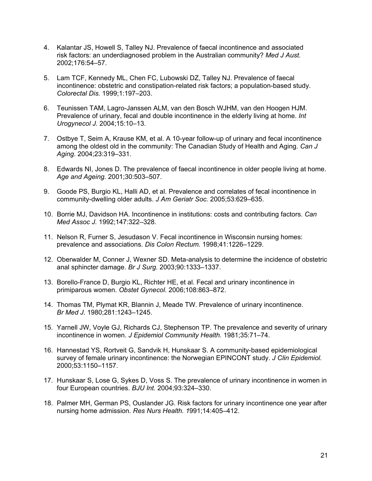- 4. Kalantar JS, Howell S, Talley NJ. Prevalence of faecal incontinence and associated risk factors: an underdiagnosed problem in the Australian community? *Med J Aust.*  2002;176:54–57.
- 5. Lam TCF, Kennedy ML, Chen FC, Lubowski DZ, Talley NJ. Prevalence of faecal incontinence: obstetric and constipation-related risk factors; a population-based study. *Colorectal Dis.* 1999;1:197–203.
- 6. Teunissen TAM, Lagro-Janssen ALM, van den Bosch WJHM, van den Hoogen HJM. Prevalence of urinary, fecal and double incontinence in the elderly living at home. *Int Urogynecol J.* 2004;15:10–13.
- 7. Ostbye T, Seim A, Krause KM, et al. A 10-year follow-up of urinary and fecal incontinence among the oldest old in the community: The Canadian Study of Health and Aging. *Can J Aging.* 2004;23:319–331.
- 8. Edwards NI, Jones D. The prevalence of faecal incontinence in older people living at home. *Age and Ageing.* 2001;30:503–507.
- 9. Goode PS, Burgio KL, Halli AD, et al. Prevalence and correlates of fecal incontinence in community-dwelling older adults. *J Am Geriatr Soc.* 2005;53:629–635.
- 10. Borrie MJ, Davidson HA. Incontinence in institutions: costs and contributing factors. *Can Med Assoc J.* 1992;147:322–328.
- 11. Nelson R, Furner S, Jesudason V. Fecal incontinence in Wisconsin nursing homes: prevalence and associations. *Dis Colon Rectum.* 1998;41:1226–1229.
- 12. Oberwalder M, Conner J, Wexner SD. Meta-analysis to determine the incidence of obstetric anal sphincter damage. *Br J Surg.* 2003;90:1333–1337.
- 13. Borello-France D, Burgio KL, Richter HE, et al. Fecal and urinary incontinence in primiparous women. *Obstet Gynecol.* 2006;108:863–872.
- 14. Thomas TM, Plymat KR, Blannin J, Meade TW. Prevalence of urinary incontinence. *Br Med J.* 1980;281:1243–1245.
- 15. Yarnell JW, Voyle GJ, Richards CJ, Stephenson TP. The prevalence and severity of urinary incontinence in women. *J Epidemiol Community Health.* 1981;35:71–74.
- 16. Hannestad YS, Rortveit G, Sandvik H, Hunskaar S. A community-based epidemiological survey of female urinary incontinence: the Norwegian EPINCONT study. *J Clin Epidemiol.*  2000;53:1150–1157.
- 17. Hunskaar S, Lose G, Sykes D, Voss S. The prevalence of urinary incontinence in women in four European countries. *BJU Int.* 2004;93:324–330.
- 18. Palmer MH, German PS, Ouslander JG. Risk factors for urinary incontinence one year after nursing home admission. *Res Nurs Health. 1*991;14:405–412.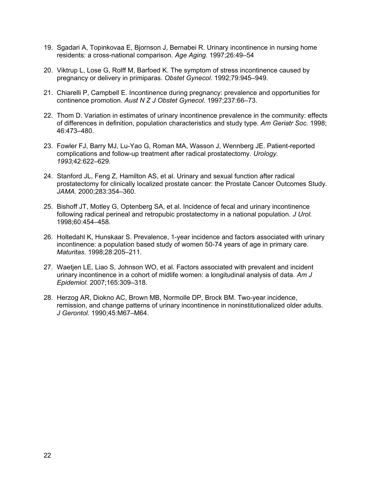- 19. Sgadari A, Topinkovaa E, Bjornson J, Bernabei R. Urinary incontinence in nursing home residents: a cross-national comparison. *Age Aging*. 1997;26:49–54
- 20. Viktrup L, Lose G, Rolff M, Barfoed K. The symptom of stress incontinence caused by pregnancy or delivery in primiparas. *Obstet Gynecol*. 1992;79:945–949.
- 21. Chiarelli P, Campbell E. Incontinence during pregnancy: prevalence and opportunities for continence promotion. *Aust N Z J Obstet Gynecol.* 1997;237:66–73.
- 22. Thom D. Variation in estimates of urinary incontinence prevalence in the community: effects of differences in definition, population characteristics and study type. *Am Geriatr Soc.* 1998; 46:473–480.
- 23. Fowler FJ, Barry MJ, Lu-Yao G, Roman MA, Wasson J, Wennberg JE. Patient-reported complications and follow-up treatment after radical prostatectomy. *Urology. 1993;*42:622–629.
- 24. Stanford JL, Feng Z, Hamilton AS, et al. Urinary and sexual function after radical prostatectomy for clinically localized prostate cancer: the Prostate Cancer Outcomes Study. *JAMA.* 2000;283:354–360.
- 25. Bishoff JT, Motley G, Optenberg SA, et al. Incidence of fecal and urinary incontinence following radical perineal and retropubic prostatectomy in a national population. *J Urol.*  1998;60:454–458.
- 26. Holtedahl K, Hunskaar S. Prevalence, 1-year incidence and factors associated with urinary incontinence: a population based study of women 50-74 years of age in primary care. *Maturitas.* 1998;28:205–211.
- 27. Waetjen LE, Liao S, Johnson WO, et al. Factors associated with prevalent and incident urinary incontinence in a cohort of midlife women: a longitudinal analysis of data. *Am J Epidemiol.* 2007;165:309–318.
- 28. Herzog AR, Diokno AC, Brown MB, Normolle DP, Brock BM. Two-year incidence, remission, and change patterns of urinary incontinence in noninstitutionalized older adults. *J Gerontol.* 1990;45:M67–M64.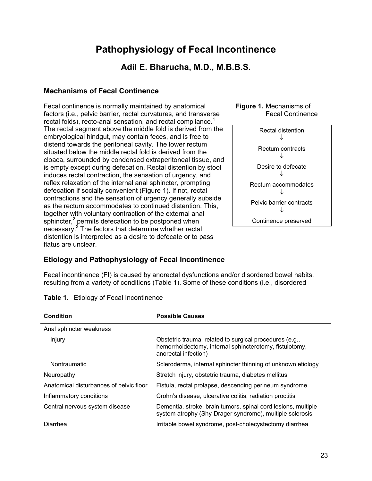## **Pathophysiology of Fecal Incontinence**

## **Adil E. Bharucha, M.D., M.B.B.S.**

#### **Mechanisms of Fecal Continence**

Fecal continence is normally maintained by anatomical factors (i.e., pelvic barrier, rectal curvatures, and transverse rectal folds), recto-anal sensation, and rectal compliance.<sup>1</sup> The rectal segment above the middle fold is derived from the embryological hindgut, may contain feces, and is free to distend towards the peritoneal cavity. The lower rectum situated below the middle rectal fold is derived from the cloaca, surrounded by condensed extraperitoneal tissue, and is empty except during defecation. Rectal distention by stool induces rectal contraction, the sensation of urgency, and reflex relaxation of the internal anal sphincter, prompting defecation if socially convenient (Figure 1). If not, rectal contractions and the sensation of urgency generally subside as the rectum accommodates to continued distention. This, together with voluntary contraction of the external anal sphincter, $2$  permits defecation to be postponed when necessary.<sup>3</sup> The factors that determine whether rectal distention is interpreted as a desire to defecate or to pass flatus are unclear.

#### **Etiology and Pathophysiology of Fecal Incontinence**

Fecal incontinence (FI) is caused by anorectal dysfunctions and/or disordered bowel habits, resulting from a variety of conditions (Table 1). Some of these conditions (i.e., disordered

| <b>Condition</b>                        | <b>Possible Causes</b>                                                                                                                     |
|-----------------------------------------|--------------------------------------------------------------------------------------------------------------------------------------------|
| Anal sphincter weakness                 |                                                                                                                                            |
| Injury                                  | Obstetric trauma, related to surgical procedures (e.g.,<br>hemorrhoidectomy, internal sphincterotomy, fistulotomy,<br>anorectal infection) |
| <b>Nontraumatic</b>                     | Scleroderma, internal sphincter thinning of unknown etiology                                                                               |
| Neuropathy                              | Stretch injury, obstetric trauma, diabetes mellitus                                                                                        |
| Anatomical disturbances of pelvic floor | Fistula, rectal prolapse, descending perineum syndrome                                                                                     |
| Inflammatory conditions                 | Crohn's disease, ulcerative colitis, radiation proctitis                                                                                   |
| Central nervous system disease          | Dementia, stroke, brain tumors, spinal cord lesions, multiple<br>system atrophy (Shy-Drager syndrome), multiple sclerosis                  |
| Diarrhea                                | Irritable bowel syndrome, post-cholecystectomy diarrhea                                                                                    |

**Table 1.** Etiology of Fecal Incontinence

**Figure 1.** Mechanisms of Fecal Continence

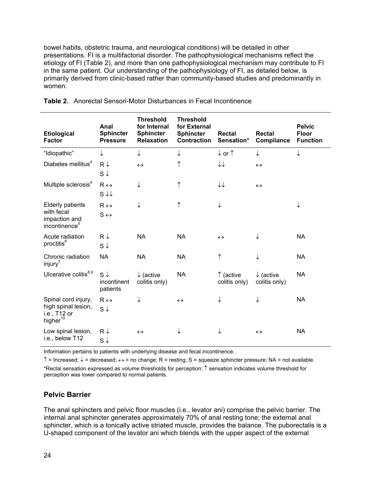bowel habits, obstetric trauma, and neurological conditions) will be detailed in other presentations. FI is a multifactorial disorder. The pathophysiological mechanisms reflect the etiology of FI (Table 2), and more than one pathophysiological mechanism may contribute to FI in the same patient. Our understanding of the pathophysiology of FI, as detailed below, is primarily derived from clinic-based rather than community-based studies and predominantly in women.

| <b>Etiological</b><br><b>Factor</b>                                                 | Anal<br><b>Sphincter</b><br><b>Pressure</b>      | <b>Threshold</b><br>for Internal<br><b>Sphincter</b><br><b>Relaxation</b> | <b>Threshold</b><br>for External<br><b>Sphincter</b><br><b>Contraction</b> | Rectal<br>Sensation*                | <b>Rectal</b><br>Compliance           | <b>Pelvic</b><br><b>Floor</b><br><b>Function</b> |
|-------------------------------------------------------------------------------------|--------------------------------------------------|---------------------------------------------------------------------------|----------------------------------------------------------------------------|-------------------------------------|---------------------------------------|--------------------------------------------------|
| "Idiopathic"                                                                        | ↓                                                | ↓                                                                         |                                                                            | $\downarrow$ or $\uparrow$          | ↓                                     | ↓                                                |
| Diabetes mellitus <sup>4</sup>                                                      | $R \downarrow$<br>$S \downarrow$                 | $\leftrightarrow$                                                         |                                                                            | $\downarrow\downarrow$              | $\leftrightarrow$                     |                                                  |
| Multiple sclerosis <sup>4</sup>                                                     | $R \leftrightarrow$<br>$S \downarrow \downarrow$ | ↓                                                                         | ↑                                                                          | $\downarrow\downarrow$              | $\leftrightarrow$                     |                                                  |
| <b>Elderly patients</b><br>with fecal<br>impaction and<br>incontinence <sup>5</sup> | $R \leftrightarrow$<br>$S \leftrightarrow$       | ↓                                                                         |                                                                            |                                     |                                       |                                                  |
| Acute radiation<br>proctitis <sup>6</sup>                                           | $R \downarrow$<br>$S \downarrow$                 | <b>NA</b>                                                                 | <b>NA</b>                                                                  | $\leftrightarrow$                   |                                       | <b>NA</b>                                        |
| Chronic radiation<br>injury'                                                        | <b>NA</b>                                        | <b>NA</b>                                                                 | <b>NA</b>                                                                  | $\uparrow$                          |                                       | <b>NA</b>                                        |
| Ulcerative colitis <sup>8,9</sup>                                                   | $S \downarrow$<br>incontinent<br>patients        | $\downarrow$ (active<br>colitis only)                                     | <b>NA</b>                                                                  | $\uparrow$ (active<br>colitis only) | $\downarrow$ (active<br>colitis only) | <b>NA</b>                                        |
| Spinal cord injury,<br>high spinal lesion,<br>i.e., T12 or<br>higher <sup>10</sup>  | $R \leftrightarrow$<br>$S \downarrow$            | ↓                                                                         | $\leftrightarrow$                                                          | ↓                                   |                                       | <b>NA</b>                                        |
| Low spinal lesion,<br>i.e., below T12                                               | $R\downarrow$<br>$S \downarrow$                  | $\leftrightarrow$                                                         | ↓                                                                          |                                     | $\leftrightarrow$                     | <b>NA</b>                                        |

**Table 2.** Anorectal Sensori-Motor Disturbances in Fecal Incontinence

Information pertains to patients with underlying disease and fecal incontinence.

↑ = Increased; ↓ = decreased; ↔ = no change; R = resting; S = squeeze sphincter pressure; NA = not available. \*Rectal sensation expressed as volume thresholds for perception; ↑ sensation indicates volume threshold for perception was lower compared to normal patients.

#### **Pelvic Barrier**

The anal sphincters and pelvic floor muscles (i.e., levator ani) comprise the pelvic barrier. The internal anal sphincter generates approximately 70% of anal resting tone; the external anal sphincter, which is a tonically active striated muscle, provides the balance. The puborectalis is a U-shaped component of the levator ani which blends with the upper aspect of the external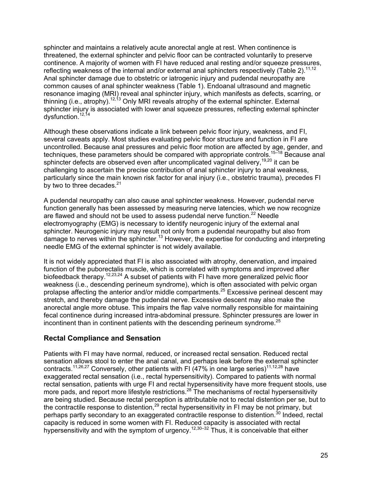sphincter and maintains a relatively acute anorectal angle at rest. When continence is threatened, the external sphincter and pelvic floor can be contracted voluntarily to preserve continence. A majority of women with FI have reduced anal resting and/or squeeze pressures, reflecting weakness of the internal and/or external anal sphincters respectively (Table 2).<sup>11,12</sup> Anal sphincter damage due to obstetric or iatrogenic injury and pudendal neuropathy are common causes of anal sphincter weakness (Table 1). Endoanal ultrasound and magnetic resonance imaging (MRI) reveal anal sphincter injury, which manifests as defects, scarring, or thinning (i.e., atrophy).<sup>12,13</sup> Only MRI reveals atrophy of the external sphincter. External sphincter injury is associated with lower anal squeeze pressures, reflecting external sphincter dysfunction.12,14

Although these observations indicate a link between pelvic floor injury, weakness, and FI, several caveats apply. Most studies evaluating pelvic floor structure and function in FI are uncontrolled. Because anal pressures and pelvic floor motion are affected by age, gender, and techniques, these parameters should be compared with appropriate controls.<sup>15–18</sup> Because anal sphincter defects are observed even after uncomplicated vaginal delivery,<sup>19,20</sup> it can be challenging to ascertain the precise contribution of anal sphincter injury to anal weakness, particularly since the main known risk factor for anal injury (i.e., obstetric trauma), precedes FI by two to three decades. $21$ 

A pudendal neuropathy can also cause anal sphincter weakness. However, pudendal nerve function generally has been assessed by measuring nerve latencies, which we now recognize are flawed and should not be used to assess pudendal nerve function. $^{22}$  Needle electromyography (EMG) is necessary to identify neurogenic injury of the external anal sphincter. Neurogenic injury may result not only from a pudendal neuropathy but also from damage to nerves within the sphincter.<sup>13</sup> However, the expertise for conducting and interpreting needle EMG of the external sphincter is not widely available.

It is not widely appreciated that FI is also associated with atrophy, denervation, and impaired function of the puborectalis muscle, which is correlated with symptoms and improved after biofeedback therapy.12,23,24 A subset of patients with FI have more generalized pelvic floor weakness (i.e., descending perineum syndrome), which is often associated with pelvic organ prolapse affecting the anterior and/or middle compartments.25 Excessive perineal descent may stretch, and thereby damage the pudendal nerve. Excessive descent may also make the anorectal angle more obtuse. This impairs the flap valve normally responsible for maintaining fecal continence during increased intra-abdominal pressure. Sphincter pressures are lower in incontinent than in continent patients with the descending perineum syndrome.<sup>25</sup>

#### **Rectal Compliance and Sensation**

Patients with FI may have normal, reduced, or increased rectal sensation. Reduced rectal sensation allows stool to enter the anal canal, and perhaps leak before the external sphincter contracts.<sup>11,26,27</sup> Conversely, other patients with FI (47% in one large series)<sup>11,12,28</sup> have exaggerated rectal sensation (i.e., rectal hypersensitivity). Compared to patients with normal rectal sensation, patients with urge FI and rectal hypersensitivity have more frequent stools, use more pads, and report more lifestyle restrictions.<sup>28</sup> The mechanisms of rectal hypersensitivity are being studied. Because rectal perception is attributable not to rectal distention per se, but to the contractile response to distention,<sup>29</sup> rectal hypersensitivity in FI may be not primary, but perhaps partly secondary to an exaggerated contractile response to distention.<sup>30</sup> Indeed, rectal capacity is reduced in some women with FI. Reduced capacity is associated with rectal hypersensitivity and with the symptom of urgency.<sup>12,30–32</sup> Thus, it is conceivable that either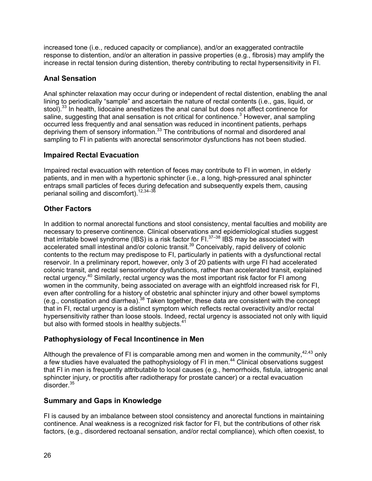increased tone (i.e., reduced capacity or compliance), and/or an exaggerated contractile response to distention, and/or an alteration in passive properties (e.g., fibrosis) may amplify the increase in rectal tension during distention, thereby contributing to rectal hypersensitivity in FI.

#### **Anal Sensation**

Anal sphincter relaxation may occur during or independent of rectal distention, enabling the anal lining to periodically "sample" and ascertain the nature of rectal contents (i.e., gas, liquid, or stool).<sup>33</sup> In health, lidocaine anesthetizes the anal canal but does not affect continence for saline, suggesting that anal sensation is not critical for continence.<sup>3</sup> However, anal sampling occurred less frequently and anal sensation was reduced in incontinent patients, perhaps depriving them of sensory information.<sup>33</sup> The contributions of normal and disordered anal sampling to FI in patients with anorectal sensorimotor dysfunctions has not been studied.

#### **Impaired Rectal Evacuation**

Impaired rectal evacuation with retention of feces may contribute to FI in women, in elderly patients, and in men with a hypertonic sphincter (i.e., a long, high-pressured anal sphincter entraps small particles of feces during defecation and subsequently expels them, causing perianal soiling and discomfort).12,34–36

#### **Other Factors**

In addition to normal anorectal functions and stool consistency, mental faculties and mobility are necessary to preserve continence. Clinical observations and epidemiological studies suggest that irritable bowel syndrome (IBS) is a risk factor for FI.37–38 IBS may be associated with accelerated small intestinal and/or colonic transit.39 Conceivably, rapid delivery of colonic contents to the rectum may predispose to FI, particularly in patients with a dysfunctional rectal reservoir. In a preliminary report, however, only 3 of 20 patients with urge FI had accelerated colonic transit, and rectal sensorimotor dysfunctions, rather than accelerated transit, explained rectal urgency.<sup>40</sup> Similarly, rectal urgency was the most important risk factor for FI among women in the community, being associated on average with an eightfold increased risk for FI, even after controlling for a history of obstetric anal sphincter injury and other bowel symptoms (e.g., constipation and diarrhea).<sup>38</sup> Taken together, these data are consistent with the concept that in FI, rectal urgency is a distinct symptom which reflects rectal overactivity and/or rectal hypersensitivity rather than loose stools. Indeed, rectal urgency is associated not only with liquid but also with formed stools in healthy subjects.<sup>41</sup>

#### **Pathophysiology of Fecal Incontinence in Men**

Although the prevalence of FI is comparable among men and women in the community,  $42,43$  only a few studies have evaluated the pathophysiology of FI in men.<sup>44</sup> Clinical observations suggest that FI in men is frequently attributable to local causes (e.g., hemorrhoids, fistula, iatrogenic anal sphincter injury, or proctitis after radiotherapy for prostate cancer) or a rectal evacuation disorder.<sup>35</sup>

#### **Summary and Gaps in Knowledge**

FI is caused by an imbalance between stool consistency and anorectal functions in maintaining continence. Anal weakness is a recognized risk factor for FI, but the contributions of other risk factors, (e.g., disordered rectoanal sensation, and/or rectal compliance), which often coexist, to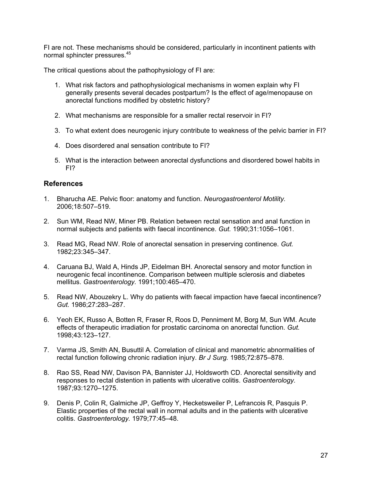FI are not. These mechanisms should be considered, particularly in incontinent patients with normal sphincter pressures.45

The critical questions about the pathophysiology of FI are:

- 1. What risk factors and pathophysiological mechanisms in women explain why FI generally presents several decades postpartum? Is the effect of age/menopause on anorectal functions modified by obstetric history?
- 2. What mechanisms are responsible for a smaller rectal reservoir in FI?
- 3. To what extent does neurogenic injury contribute to weakness of the pelvic barrier in FI?
- 4. Does disordered anal sensation contribute to FI?
- 5. What is the interaction between anorectal dysfunctions and disordered bowel habits in FI?

#### **References**

- 1. Bharucha AE. Pelvic floor: anatomy and function. *Neurogastroenterol Motility.*  2006;18:507–519.
- 2. Sun WM, Read NW, Miner PB. Relation between rectal sensation and anal function in normal subjects and patients with faecal incontinence. *Gut.* 1990;31:1056–1061.
- 3. Read MG, Read NW. Role of anorectal sensation in preserving continence. *Gut.*  1982;23:345–347.
- 4. Caruana BJ, Wald A, Hinds JP, Eidelman BH. Anorectal sensory and motor function in neurogenic fecal incontinence. Comparison between multiple sclerosis and diabetes mellitus. *Gastroenterology.* 1991;100:465–470.
- 5. Read NW, Abouzekry L. Why do patients with faecal impaction have faecal incontinence? *Gut.* 1986;27:283–287.
- 6. Yeoh EK, Russo A, Botten R, Fraser R, Roos D, Penniment M, Borg M, Sun WM. Acute effects of therapeutic irradiation for prostatic carcinoma on anorectal function. *Gut.*  1998;43:123–127.
- 7. Varma JS, Smith AN, Busuttil A. Correlation of clinical and manometric abnormalities of rectal function following chronic radiation injury. *Br J Surg.* 1985;72:875–878.
- 8. Rao SS, Read NW, Davison PA, Bannister JJ, Holdsworth CD. Anorectal sensitivity and responses to rectal distention in patients with ulcerative colitis. *Gastroenterology.*  1987;93:1270–1275.
- 9. Denis P, Colin R, Galmiche JP, Geffroy Y, Hecketsweiler P, Lefrancois R, Pasquis P. Elastic properties of the rectal wall in normal adults and in the patients with ulcerative colitis. *Gastroenterology.* 1979;77:45–48.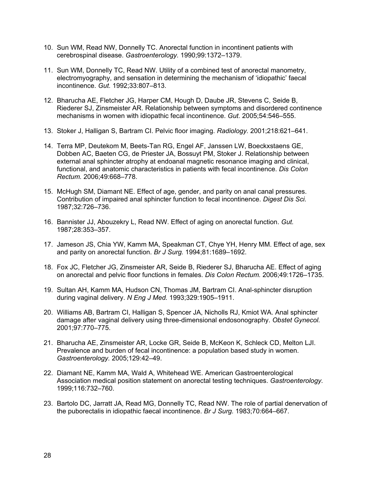- 10. Sun WM, Read NW, Donnelly TC. Anorectal function in incontinent patients with cerebrospinal disease. *Gastroenterology.* 1990;99:1372–1379.
- 11. Sun WM, Donnelly TC, Read NW. Utility of a combined test of anorectal manometry, electromyography, and sensation in determining the mechanism of 'idiopathic' faecal incontinence. *Gut.* 1992;33:807–813.
- 12. Bharucha AE, Fletcher JG, Harper CM, Hough D, Daube JR, Stevens C, Seide B, Riederer SJ, Zinsmeister AR. Relationship between symptoms and disordered continence mechanisms in women with idiopathic fecal incontinence. *Gut.* 2005;54:546–555.
- 13. Stoker J, Halligan S, Bartram CI. Pelvic floor imaging. *Radiology.* 2001;218:621–641.
- 14. Terra MP, Deutekom M, Beets-Tan RG, Engel AF, Janssen LW, Boeckxstaens GE, Dobben AC, Baeten CG, de Priester JA, Bossuyt PM, Stoker J. Relationship between external anal sphincter atrophy at endoanal magnetic resonance imaging and clinical, functional, and anatomic characteristics in patients with fecal incontinence. *Dis Colon Rectum.* 2006;49:668–778.
- 15. McHugh SM, Diamant NE. Effect of age, gender, and parity on anal canal pressures. Contribution of impaired anal sphincter function to fecal incontinence. *Digest Dis Sci.* 1987;32:726–736.
- 16. Bannister JJ, Abouzekry L, Read NW. Effect of aging on anorectal function. *Gut.*  1987;28:353–357.
- 17. Jameson JS, Chia YW, Kamm MA, Speakman CT, Chye YH, Henry MM. Effect of age, sex and parity on anorectal function. *Br J Surg.* 1994;81:1689–1692.
- 18. Fox JC, Fletcher JG, Zinsmeister AR, Seide B, Riederer SJ, Bharucha AE. Effect of aging on anorectal and pelvic floor functions in females. *Dis Colon Rectum.* 2006;49:1726–1735.
- 19. Sultan AH, Kamm MA, Hudson CN, Thomas JM, Bartram CI. Anal-sphincter disruption during vaginal delivery. *N Eng J Med.* 1993;329:1905–1911.
- 20. Williams AB, Bartram CI, Halligan S, Spencer JA, Nicholls RJ, Kmiot WA. Anal sphincter damage after vaginal delivery using three-dimensional endosonography. *Obstet Gynecol.*  2001;97:770–775.
- 21. Bharucha AE, Zinsmeister AR, Locke GR, Seide B, McKeon K, Schleck CD, Melton LJI. Prevalence and burden of fecal incontinence: a population based study in women. *Gastroenterology.* 2005;129:42–49.
- 22. Diamant NE, Kamm MA, Wald A, Whitehead WE. American Gastroenterological Association medical position statement on anorectal testing techniques. *Gastroenterology.*  1999;116:732–760.
- 23. Bartolo DC, Jarratt JA, Read MG, Donnelly TC, Read NW. The role of partial denervation of the puborectalis in idiopathic faecal incontinence. *Br J Surg.* 1983;70:664–667.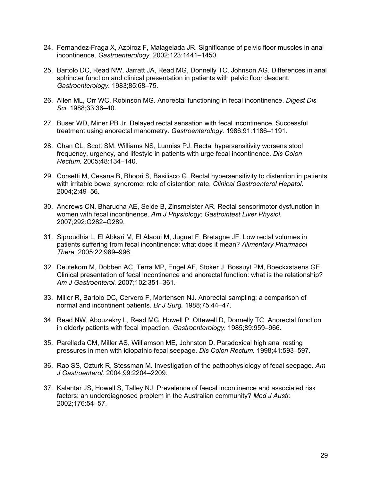- 24. Fernandez-Fraga X, Azpiroz F, Malagelada JR. Significance of pelvic floor muscles in anal incontinence. *Gastroenterology.* 2002;123:1441–1450.
- 25. Bartolo DC, Read NW, Jarratt JA, Read MG, Donnelly TC, Johnson AG. Differences in anal sphincter function and clinical presentation in patients with pelvic floor descent. *Gastroenterology.* 1983;85:68–75.
- 26. Allen ML, Orr WC, Robinson MG. Anorectal functioning in fecal incontinence. *Digest Dis Sci.* 1988;33:36–40.
- 27. Buser WD, Miner PB Jr. Delayed rectal sensation with fecal incontinence. Successful treatment using anorectal manometry. *Gastroenterology.* 1986;91:1186–1191.
- 28. Chan CL, Scott SM, Williams NS, Lunniss PJ. Rectal hypersensitivity worsens stool frequency, urgency, and lifestyle in patients with urge fecal incontinence. *Dis Colon Rectum.* 2005;48:134–140.
- 29. Corsetti M, Cesana B, Bhoori S, Basilisco G. Rectal hypersensitivity to distention in patients with irritable bowel syndrome: role of distention rate. *Clinical Gastroenterol Hepatol.* 2004;2:49–56.
- 30. Andrews CN, Bharucha AE, Seide B, Zinsmeister AR. Rectal sensorimotor dysfunction in women with fecal incontinence. *Am J Physiology; Gastrointest Liver Physiol.* 2007;292:G282–G289.
- 31. Siproudhis L, El Abkari M, El Alaoui M, Juguet F, Bretagne JF. Low rectal volumes in patients suffering from fecal incontinence: what does it mean? *Alimentary Pharmacol Thera.* 2005;22:989–996.
- 32. Deutekom M, Dobben AC, Terra MP, Engel AF, Stoker J, Bossuyt PM, Boeckxstaens GE. Clinical presentation of fecal incontinence and anorectal function: what is the relationship? *Am J Gastroenterol.* 2007;102:351–361.
- 33. Miller R, Bartolo DC, Cervero F, Mortensen NJ. Anorectal sampling: a comparison of normal and incontinent patients. *Br J Surg.* 1988;75:44–47.
- 34. Read NW, Abouzekry L, Read MG, Howell P, Ottewell D, Donnelly TC. Anorectal function in elderly patients with fecal impaction. *Gastroenterology.* 1985;89:959–966.
- 35. Parellada CM, Miller AS, Williamson ME, Johnston D. Paradoxical high anal resting pressures in men with idiopathic fecal seepage. *Dis Colon Rectum.* 1998;41:593–597.
- 36. Rao SS, Ozturk R, Stessman M. Investigation of the pathophysiology of fecal seepage. *Am J Gastroenterol.* 2004;99:2204–2209.
- 37. Kalantar JS, Howell S, Talley NJ. Prevalence of faecal incontinence and associated risk factors: an underdiagnosed problem in the Australian community? *Med J Austr.* 2002;176:54–57.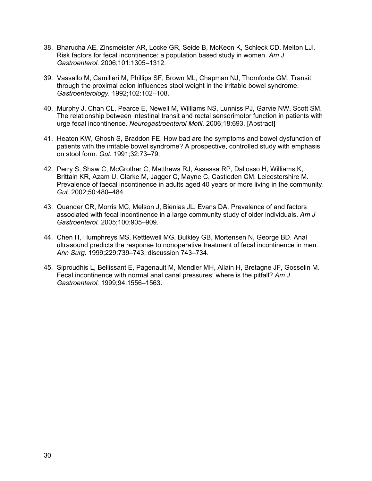- 38. Bharucha AE, Zinsmeister AR, Locke GR, Seide B, McKeon K, Schleck CD, Melton LJI. Risk factors for fecal incontinence: a population based study in women. *Am J Gastroenterol.* 2006;101:1305–1312.
- 39. Vassallo M, Camilleri M, Phillips SF, Brown ML, Chapman NJ, Thomforde GM. Transit through the proximal colon influences stool weight in the irritable bowel syndrome. *Gastroenterology.* 1992;102:102–108.
- 40. Murphy J, Chan CL, Pearce E, Newell M, Williams NS, Lunniss PJ, Garvie NW, Scott SM. The relationship between intestinal transit and rectal sensorimotor function in patients with urge fecal incontinence. *Neurogastroenterol Motil.* 2006;18:693. [Abstract]
- 41. Heaton KW, Ghosh S, Braddon FE. How bad are the symptoms and bowel dysfunction of patients with the irritable bowel syndrome? A prospective, controlled study with emphasis on stool form. *Gut.* 1991;32:73–79.
- 42. Perry S, Shaw C, McGrother C, Matthews RJ, Assassa RP, Dallosso H, Williams K, Brittain KR, Azam U, Clarke M, Jagger C, Mayne C, Castleden CM, Leicestershire M. Prevalence of faecal incontinence in adults aged 40 years or more living in the community. *Gut.* 2002;50:480–484.
- 43. Quander CR, Morris MC, Melson J, Bienias JL, Evans DA. Prevalence of and factors associated with fecal incontinence in a large community study of older individuals. *Am J Gastroenterol.* 2005;100:905–909.
- 44. Chen H, Humphreys MS, Kettlewell MG, Bulkley GB, Mortensen N, George BD. Anal ultrasound predicts the response to nonoperative treatment of fecal incontinence in men. *Ann Surg.* 1999;229:739–743; discussion 743–734.
- 45. Siproudhis L, Bellissant E, Pagenault M, Mendler MH, Allain H, Bretagne JF, Gosselin M. Fecal incontinence with normal anal canal pressures: where is the pitfall? *Am J Gastroenterol.* 1999;94:1556–1563.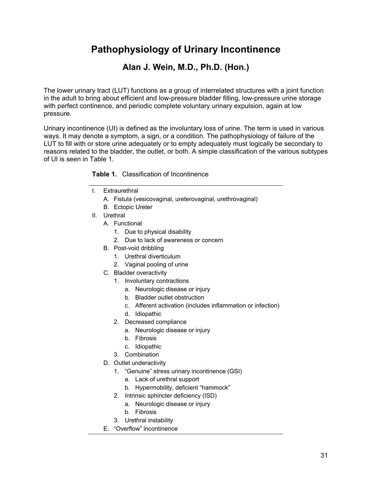# **Pathophysiology of Urinary Incontinence**

# **Alan J. Wein, M.D., Ph.D. (Hon.)**

The lower urinary tract (LUT) functions as a group of interrelated structures with a joint function in the adult to bring about efficient and low-pressure bladder filling, low-pressure urine storage with perfect continence, and periodic complete voluntary urinary expulsion, again at low pressure.

Urinary incontinence (UI) is defined as the involuntary loss of urine. The term is used in various ways. It may denote a symptom, a sign, or a condition. The pathophysiology of failure of the LUT to fill with or store urine adequately or to empty adequately must logically be secondary to reasons related to the bladder, the outlet, or both. A simple classification of the various subtypes of UI is seen in Table 1.

**Table 1.** Classification of Incontinence

- I. Extraurethral
	- A. Fistula (vesicovaginal, ureterovaginal, urethrovaginal)
	- B. Ectopic Ureter
- II. Urethral
	- A. Functional
		- 1. Due to physical disability
		- 2. Due to lack of awareness or concern
	- B. Post-void dribbling
		- 1. Urethral diverticulum
		- 2. Vaginal pooling of urine
	- C. Bladder overactivity
		- 1. Involuntary contractions
			- a. Neurologic disease or injury
			- b. Bladder outlet obstruction
			- c. Afferent activation (includes inflammation or infection)
			- d. Idiopathic
		- 2. Decreased compliance
			- a. Neurologic disease or injury
			- b. Fibrosis
			- c. Idiopathic
		- 3. Combination
	- D. Outlet underactivity
		- 1. "Genuine" stress urinary incontinence (GSI)
			- a. Lack of urethral support
			- b. Hypermobility, deficient "hammock"
		- 2. Intrinsic sphincter deficiency (ISD)
			- a. Neurologic disease or injury
			- b. Fibrosis
		- 3. Urethral instability
	- E. "Overflow" incontinence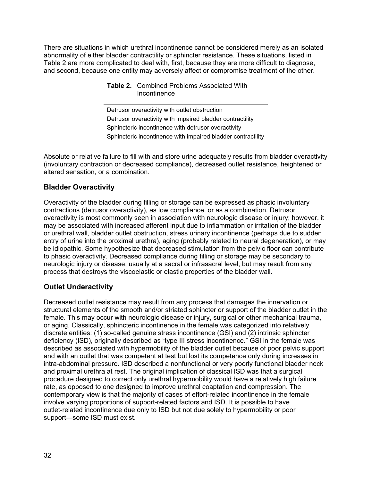There are situations in which urethral incontinence cannot be considered merely as an isolated abnormality of either bladder contractility or sphincter resistance. These situations, listed in Table 2 are more complicated to deal with, first, because they are more difficult to diagnose, and second, because one entity may adversely affect or compromise treatment of the other.

#### **Table 2.** Combined Problems Associated With Incontinence

Detrusor overactivity with outlet obstruction Detrusor overactivity with impaired bladder contractility Sphincteric incontinence with detrusor overactivity Sphincteric incontinence with impaired bladder contractility

Absolute or relative failure to fill with and store urine adequately results from bladder overactivity (involuntary contraction or decreased compliance), decreased outlet resistance, heightened or altered sensation, or a combination.

## **Bladder Overactivity**

Overactivity of the bladder during filling or storage can be expressed as phasic involuntary contractions (detrusor overactivity), as low compliance, or as a combination. Detrusor overactivity is most commonly seen in association with neurologic disease or injury; however, it may be associated with increased afferent input due to inflammation or irritation of the bladder or urethral wall, bladder outlet obstruction, stress urinary incontinence (perhaps due to sudden entry of urine into the proximal urethra), aging (probably related to neural degeneration), or may be idiopathic. Some hypothesize that decreased stimulation from the pelvic floor can contribute to phasic overactivity. Decreased compliance during filling or storage may be secondary to neurologic injury or disease, usually at a sacral or infrasacral level, but may result from any process that destroys the viscoelastic or elastic properties of the bladder wall.

## **Outlet Underactivity**

Decreased outlet resistance may result from any process that damages the innervation or structural elements of the smooth and/or striated sphincter or support of the bladder outlet in the female. This may occur with neurologic disease or injury, surgical or other mechanical trauma, or aging. Classically, sphincteric incontinence in the female was categorized into relatively discrete entities: (1) so-called genuine stress incontinence (GSI) and (2) intrinsic sphincter deficiency (ISD), originally described as "type III stress incontinence." GSI in the female was described as associated with hypermobility of the bladder outlet because of poor pelvic support and with an outlet that was competent at test but lost its competence only during increases in intra-abdominal pressure. ISD described a nonfunctional or very poorly functional bladder neck and proximal urethra at rest. The original implication of classical ISD was that a surgical procedure designed to correct only urethral hypermobility would have a relatively high failure rate, as opposed to one designed to improve urethral coaptation and compression. The contemporary view is that the majority of cases of effort-related incontinence in the female involve varying proportions of support-related factors and ISD. It is possible to have outlet-related incontinence due only to ISD but not due solely to hypermobility or poor support—some ISD must exist.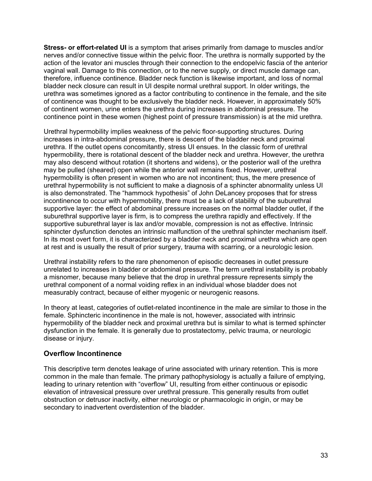**Stress- or effort-related UI** is a symptom that arises primarily from damage to muscles and/or nerves and/or connective tissue within the pelvic floor. The urethra is normally supported by the action of the levator ani muscles through their connection to the endopelvic fascia of the anterior vaginal wall. Damage to this connection, or to the nerve supply, or direct muscle damage can, therefore, influence continence. Bladder neck function is likewise important, and loss of normal bladder neck closure can result in UI despite normal urethral support. In older writings, the urethra was sometimes ignored as a factor contributing to continence in the female, and the site of continence was thought to be exclusively the bladder neck. However, in approximately 50% of continent women, urine enters the urethra during increases in abdominal pressure. The continence point in these women (highest point of pressure transmission) is at the mid urethra.

Urethral hypermobility implies weakness of the pelvic floor-supporting structures. During increases in intra-abdominal pressure, there is descent of the bladder neck and proximal urethra. If the outlet opens concomitantly, stress UI ensues. In the classic form of urethral hypermobility, there is rotational descent of the bladder neck and urethra. However, the urethra may also descend without rotation (it shortens and widens), or the posterior wall of the urethra may be pulled (sheared) open while the anterior wall remains fixed. However, urethral hypermobility is often present in women who are not incontinent; thus, the mere presence of urethral hypermobility is not sufficient to make a diagnosis of a sphincter abnormality unless UI is also demonstrated. The "hammock hypothesis" of John DeLancey proposes that for stress incontinence to occur with hypermobility, there must be a lack of stability of the suburethral supportive layer: the effect of abdominal pressure increases on the normal bladder outlet, if the suburethral supportive layer is firm, is to compress the urethra rapidly and effectively. If the supportive suburethral layer is lax and/or movable, compression is not as effective. Intrinsic sphincter dysfunction denotes an intrinsic malfunction of the urethral sphincter mechanism itself. In its most overt form, it is characterized by a bladder neck and proximal urethra which are open at rest and is usually the result of prior surgery, trauma with scarring, or a neurologic lesion.

Urethral instability refers to the rare phenomenon of episodic decreases in outlet pressure unrelated to increases in bladder or abdominal pressure. The term urethral instability is probably a misnomer, because many believe that the drop in urethral pressure represents simply the urethral component of a normal voiding reflex in an individual whose bladder does not measurably contract, because of either myogenic or neurogenic reasons.

In theory at least, categories of outlet-related incontinence in the male are similar to those in the female. Sphincteric incontinence in the male is not, however, associated with intrinsic hypermobility of the bladder neck and proximal urethra but is similar to what is termed sphincter dysfunction in the female. It is generally due to prostatectomy, pelvic trauma, or neurologic disease or injury.

#### **Overflow Incontinence**

This descriptive term denotes leakage of urine associated with urinary retention. This is more common in the male than female. The primary pathophysiology is actually a failure of emptying, leading to urinary retention with "overflow" UI, resulting from either continuous or episodic elevation of intravesical pressure over urethral pressure. This generally results from outlet obstruction or detrusor inactivity, either neurologic or pharmacologic in origin, or may be secondary to inadvertent overdistention of the bladder.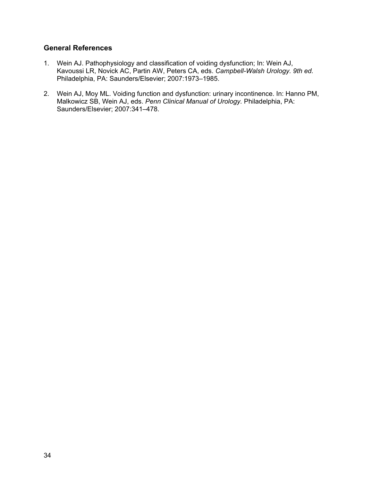#### **General References**

- 1. Wein AJ. Pathophysiology and classification of voiding dysfunction; In: Wein AJ, Kavoussi LR, Novick AC, Partin AW, Peters CA, eds. *Campbell-Walsh Urology. 9th ed.*  Philadelphia, PA: Saunders/Elsevier; 2007:1973–1985.
- 2. Wein AJ, Moy ML. Voiding function and dysfunction: urinary incontinence. In: Hanno PM, Malkowicz SB, Wein AJ, eds. *Penn Clinical Manual of Urology.* Philadelphia, PA: Saunders/Elsevier; 2007:341–478.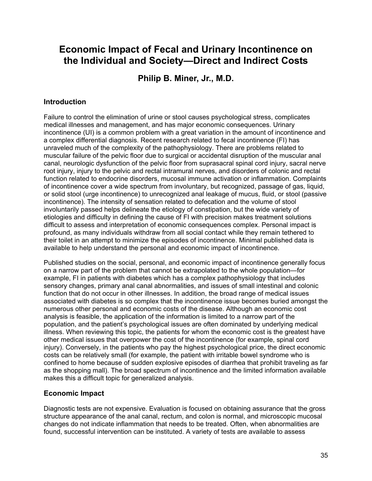# **Economic Impact of Fecal and Urinary Incontinence on the Individual and Society—Direct and Indirect Costs**

**Philip B. Miner, Jr., M.D.** 

### **Introduction**

Failure to control the elimination of urine or stool causes psychological stress, complicates medical illnesses and management, and has major economic consequences. Urinary incontinence (UI) is a common problem with a great variation in the amount of incontinence and a complex differential diagnosis. Recent research related to fecal incontinence (FI) has unraveled much of the complexity of the pathophysiology. There are problems related to muscular failure of the pelvic floor due to surgical or accidental disruption of the muscular anal canal, neurologic dysfunction of the pelvic floor from suprasacral spinal cord injury, sacral nerve root injury, injury to the pelvic and rectal intramural nerves, and disorders of colonic and rectal function related to endocrine disorders, mucosal immune activation or inflammation. Complaints of incontinence cover a wide spectrum from involuntary, but recognized, passage of gas, liquid, or solid stool (urge incontinence) to unrecognized anal leakage of mucus, fluid, or stool (passive incontinence). The intensity of sensation related to defecation and the volume of stool involuntarily passed helps delineate the etiology of constipation, but the wide variety of etiologies and difficulty in defining the cause of FI with precision makes treatment solutions difficult to assess and interpretation of economic consequences complex. Personal impact is profound, as many individuals withdraw from all social contact while they remain tethered to their toilet in an attempt to minimize the episodes of incontinence. Minimal published data is available to help understand the personal and economic impact of incontinence.

Published studies on the social, personal, and economic impact of incontinence generally focus on a narrow part of the problem that cannot be extrapolated to the whole population—for example, FI in patients with diabetes which has a complex pathophysiology that includes sensory changes, primary anal canal abnormalities, and issues of small intestinal and colonic function that do not occur in other illnesses. In addition, the broad range of medical issues associated with diabetes is so complex that the incontinence issue becomes buried amongst the numerous other personal and economic costs of the disease. Although an economic cost analysis is feasible, the application of the information is limited to a narrow part of the population, and the patient's psychological issues are often dominated by underlying medical illness. When reviewing this topic, the patients for whom the economic cost is the greatest have other medical issues that overpower the cost of the incontinence (for example, spinal cord injury). Conversely, in the patients who pay the highest psychological price, the direct economic costs can be relatively small (for example, the patient with irritable bowel syndrome who is confined to home because of sudden explosive episodes of diarrhea that prohibit traveling as far as the shopping mall). The broad spectrum of incontinence and the limited information available makes this a difficult topic for generalized analysis.

### **Economic Impact**

Diagnostic tests are not expensive. Evaluation is focused on obtaining assurance that the gross structure appearance of the anal canal, rectum, and colon is normal, and microscopic mucosal changes do not indicate inflammation that needs to be treated. Often, when abnormalities are found, successful intervention can be instituted. A variety of tests are available to assess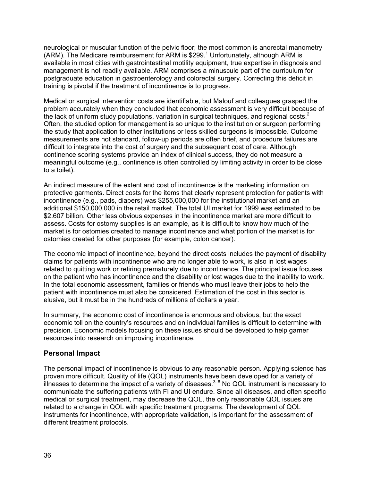neurological or muscular function of the pelvic floor; the most common is anorectal manometry (ARM). The Medicare reimbursement for ARM is  $$299.<sup>1</sup>$  Unfortunately, although ARM is available in most cities with gastrointestinal motility equipment, true expertise in diagnosis and management is not readily available. ARM comprises a minuscule part of the curriculum for postgraduate education in gastroenterology and colorectal surgery. Correcting this deficit in training is pivotal if the treatment of incontinence is to progress.

Medical or surgical intervention costs are identifiable, but Malouf and colleagues grasped the problem accurately when they concluded that economic assessment is very difficult because of the lack of uniform study populations, variation in surgical techniques, and regional costs. $2$ Often, the studied option for management is so unique to the institution or surgeon performing the study that application to other institutions or less skilled surgeons is impossible. Outcome measurements are not standard, follow-up periods are often brief, and procedure failures are difficult to integrate into the cost of surgery and the subsequent cost of care. Although continence scoring systems provide an index of clinical success, they do not measure a meaningful outcome (e.g., continence is often controlled by limiting activity in order to be close to a toilet).

An indirect measure of the extent and cost of incontinence is the marketing information on protective garments. Direct costs for the items that clearly represent protection for patients with incontinence (e.g., pads, diapers) was \$255,000,000 for the institutional market and an additional \$150,000,000 in the retail market. The total UI market for 1999 was estimated to be \$2.607 billion. Other less obvious expenses in the incontinence market are more difficult to assess. Costs for ostomy supplies is an example, as it is difficult to know how much of the market is for ostomies created to manage incontinence and what portion of the market is for ostomies created for other purposes (for example, colon cancer).

The economic impact of incontinence, beyond the direct costs includes the payment of disability claims for patients with incontinence who are no longer able to work, is also in lost wages related to quitting work or retiring prematurely due to incontinence. The principal issue focuses on the patient who has incontinence and the disability or lost wages due to the inability to work. In the total economic assessment, families or friends who must leave their jobs to help the patient with incontinence must also be considered. Estimation of the cost in this sector is elusive, but it must be in the hundreds of millions of dollars a year.

In summary, the economic cost of incontinence is enormous and obvious, but the exact economic toll on the country's resources and on individual families is difficult to determine with precision. Economic models focusing on these issues should be developed to help garner resources into research on improving incontinence.

#### **Personal Impact**

The personal impact of incontinence is obvious to any reasonable person. Applying science has proven more difficult. Quality of life (QOL) instruments have been developed for a variety of illnesses to determine the impact of a variety of diseases. $3-8$  No QOL instrument is necessary to communicate the suffering patients with FI and UI endure. Since all diseases, and often specific medical or surgical treatment, may decrease the QOL, the only reasonable QOL issues are related to a change in QOL with specific treatment programs. The development of QOL instruments for incontinence, with appropriate validation, is important for the assessment of different treatment protocols.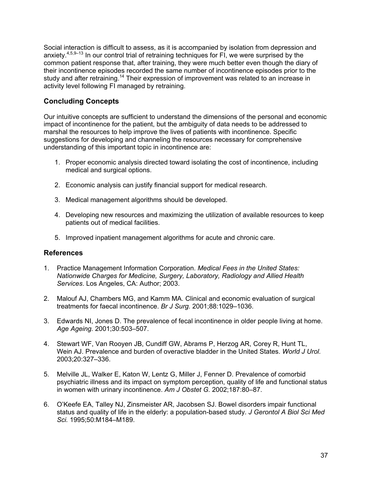Social interaction is difficult to assess, as it is accompanied by isolation from depression and anxiety.<sup>4,5,9–13</sup> In our control trial of retraining techniques for FI, we were surprised by the common patient response that, after training, they were much better even though the diary of their incontinence episodes recorded the same number of incontinence episodes prior to the study and after retraining.<sup>14</sup> Their expression of improvement was related to an increase in activity level following FI managed by retraining.

### **Concluding Concepts**

Our intuitive concepts are sufficient to understand the dimensions of the personal and economic impact of incontinence for the patient, but the ambiguity of data needs to be addressed to marshal the resources to help improve the lives of patients with incontinence. Specific suggestions for developing and channeling the resources necessary for comprehensive understanding of this important topic in incontinence are:

- 1. Proper economic analysis directed toward isolating the cost of incontinence, including medical and surgical options.
- 2. Economic analysis can justify financial support for medical research.
- 3. Medical management algorithms should be developed.
- 4. Developing new resources and maximizing the utilization of available resources to keep patients out of medical facilities.
- 5. Improved inpatient management algorithms for acute and chronic care.

- 1. Practice Management Information Corporation. *Medical Fees in the United States: Nationwide Charges for Medicine, Surgery, Laboratory, Radiology and Allied Health Services*. Los Angeles, CA: Author; 2003.
- 2. Malouf AJ, Chambers MG, and Kamm MA. Clinical and economic evaluation of surgical treatments for faecal incontinence. *Br J Surg.* 2001;88:1029–1036.
- 3. Edwards NI, Jones D. The prevalence of fecal incontinence in older people living at home. *Age Ageing.* 2001;30:503–507.
- 4. Stewart WF, Van Rooyen JB, Cundiff GW, Abrams P, Herzog AR, Corey R, Hunt TL, Wein AJ. Prevalence and burden of overactive bladder in the United States. *World J Urol.*  2003;20:327–336.
- 5. Melville JL, Walker E, Katon W, Lentz G, Miller J, Fenner D. Prevalence of comorbid psychiatric illness and its impact on symptom perception, quality of life and functional status in women with urinary incontinence. *Am J Obstet G.* 2002;187:80–87.
- 6. O'Keefe EA, Talley NJ, Zinsmeister AR, Jacobsen SJ. Bowel disorders impair functional status and quality of life in the elderly: a population-based study. *J Gerontol A Biol Sci Med Sci.* 1995;50:M184–M189.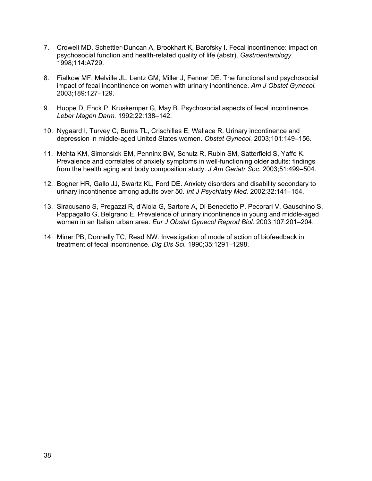- 7. Crowell MD, Schettler-Duncan A, Brookhart K, Barofsky I. Fecal incontinence: impact on psychosocial function and health-related quality of life (abstr). *Gastroenterology.*  1998;114:A729.
- 8. Fialkow MF, Melville JL, Lentz GM, Miller J, Fenner DE. The functional and psychosocial impact of fecal incontinence on women with urinary incontinence. *Am J Obstet Gynecol.*  2003;189:127–129.
- 9. Huppe D, Enck P, Kruskemper G, May B. Psychosocial aspects of fecal incontinence. *Leber Magen Darm.* 1992;22:138–142.
- 10. Nygaard I, Turvey C, Burns TL, Crischilles E, Wallace R. Urinary incontinence and depression in middle-aged United States women. *Obstet Gynecol.* 2003;101:149–156.
- 11. Mehta KM, Simonsick EM, Penninx BW, Schulz R, Rubin SM, Satterfield S, Yaffe K. Prevalence and correlates of anxiety symptoms in well-functioning older adults: findings from the health aging and body composition study. *J Am Geriatr Soc.* 2003;51:499–504.
- 12. Bogner HR, Gallo JJ, Swartz KL, Ford DE. Anxiety disorders and disability secondary to urinary incontinence among adults over 50. *Int J Psychiatry Med.* 2002;32:141–154.
- 13. Siracusano S, Pregazzi R, d'Aloia G, Sartore A, Di Benedetto P, Pecorari V, Gauschino S, Pappagallo G, Belgrano E. Prevalence of urinary incontinence in young and middle-aged women in an Italian urban area. *Eur J Obstet Gynecol Reprod Biol.* 2003;107:201–204.
- 14. Miner PB, Donnelly TC, Read NW. Investigation of mode of action of biofeedback in treatment of fecal incontinence. *Dig Dis Sci.* 1990;35:1291–1298.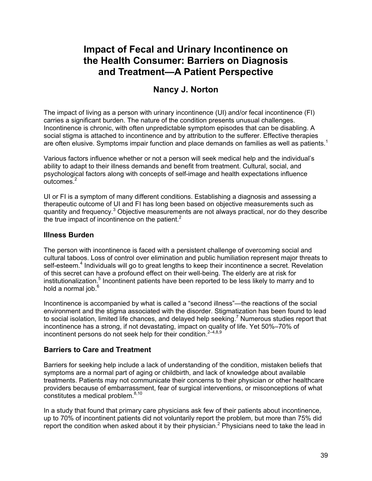# **Impact of Fecal and Urinary Incontinence on the Health Consumer: Barriers on Diagnosis and Treatment—A Patient Perspective**

# **Nancy J. Norton**

The impact of living as a person with urinary incontinence (UI) and/or fecal incontinence (FI) carries a significant burden. The nature of the condition presents unusual challenges. Incontinence is chronic, with often unpredictable symptom episodes that can be disabling. A social stigma is attached to incontinence and by attribution to the sufferer. Effective therapies are often elusive. Symptoms impair function and place demands on families as well as patients.<sup>1</sup>

Various factors influence whether or not a person will seek medical help and the individual's ability to adapt to their illness demands and benefit from treatment. Cultural, social, and psychological factors along with concepts of self-image and health expectations influence outcomes.<sup>2</sup>

UI or FI is a symptom of many different conditions. Establishing a diagnosis and assessing a therapeutic outcome of UI and FI has long been based on objective measurements such as quantity and frequency.<sup>3</sup> Objective measurements are not always practical, nor do they describe the true impact of incontinence on the patient. $2<sup>2</sup>$ 

#### **Illness Burden**

The person with incontinence is faced with a persistent challenge of overcoming social and cultural taboos. Loss of control over elimination and public humiliation represent major threats to self-esteem.<sup>4</sup> Individuals will go to great lengths to keep their incontinence a secret. Revelation of this secret can have a profound effect on their well-being. The elderly are at risk for institutionalization.<sup>5</sup> Incontinent patients have been reported to be less likely to marry and to hold a normal job.<sup>6</sup>

Incontinence is accompanied by what is called a "second illness"—the reactions of the social environment and the stigma associated with the disorder. Stigmatization has been found to lead to social isolation, limited life chances, and delayed help seeking.<sup>7</sup> Numerous studies report that incontinence has a strong, if not devastating, impact on quality of life. Yet 50%–70% of incontinent persons do not seek help for their condition.<sup>2-4,8,9</sup>

### **Barriers to Care and Treatment**

Barriers for seeking help include a lack of understanding of the condition, mistaken beliefs that symptoms are a normal part of aging or childbirth, and lack of knowledge about available treatments. Patients may not communicate their concerns to their physician or other healthcare providers because of embarrassment, fear of surgical interventions, or misconceptions of what constitutes a medical problem. $8,10$ 

In a study that found that primary care physicians ask few of their patients about incontinence, up to 70% of incontinent patients did not voluntarily report the problem, but more than 75% did report the condition when asked about it by their physician.<sup>2</sup> Physicians need to take the lead in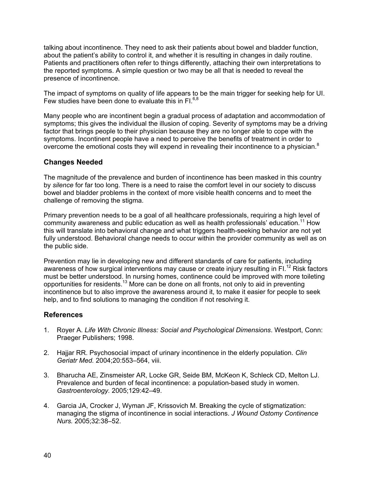talking about incontinence. They need to ask their patients about bowel and bladder function, about the patient's ability to control it, and whether it is resulting in changes in daily routine. Patients and practitioners often refer to things differently, attaching their own interpretations to the reported symptoms. A simple question or two may be all that is needed to reveal the presence of incontinence.

The impact of symptoms on quality of life appears to be the main trigger for seeking help for UI. Few studies have been done to evaluate this in FI. $6,8$ 

Many people who are incontinent begin a gradual process of adaptation and accommodation of symptoms; this gives the individual the illusion of coping. Severity of symptoms may be a driving factor that brings people to their physician because they are no longer able to cope with the symptoms. Incontinent people have a need to perceive the benefits of treatment in order to overcome the emotional costs they will expend in revealing their incontinence to a physician.<sup>8</sup>

#### **Changes Needed**

The magnitude of the prevalence and burden of incontinence has been masked in this country by *silence* for far too long. There is a need to raise the comfort level in our society to discuss bowel and bladder problems in the context of more visible health concerns and to meet the challenge of removing the stigma.

Primary prevention needs to be a goal of all healthcare professionals, requiring a high level of community awareness and public education as well as health professionals' education.<sup>11</sup> How this will translate into behavioral change and what triggers health-seeking behavior are not yet fully understood. Behavioral change needs to occur within the provider community as well as on the public side.

Prevention may lie in developing new and different standards of care for patients, including awareness of how surgical interventions may cause or create injury resulting in FI.<sup>12</sup> Risk factors must be better understood. In nursing homes, continence could be improved with more toileting opportunities for residents.<sup>13</sup> More can be done on all fronts, not only to aid in preventing incontinence but to also improve the awareness around it, to make it easier for people to seek help, and to find solutions to managing the condition if not resolving it.

- 1. Royer A. *Life With Chronic Illness: Social and Psychological Dimensions*. Westport, Conn: Praeger Publishers; 1998.
- 2. Hajjar RR. Psychosocial impact of urinary incontinence in the elderly population. *Clin Geriatr Med.* 2004;20:553–564, viii.
- 3. Bharucha AE, Zinsmeister AR, Locke GR, Seide BM, McKeon K, Schleck CD, Melton LJ. Prevalence and burden of fecal incontinence: a population-based study in women. *Gastroenterology.* 2005;129:42–49.
- 4. Garcia JA, Crocker J, Wyman JF, Krissovich M. Breaking the cycle of stigmatization: managing the stigma of incontinence in social interactions. *J Wound Ostomy Continence Nurs.* 2005;32:38–52.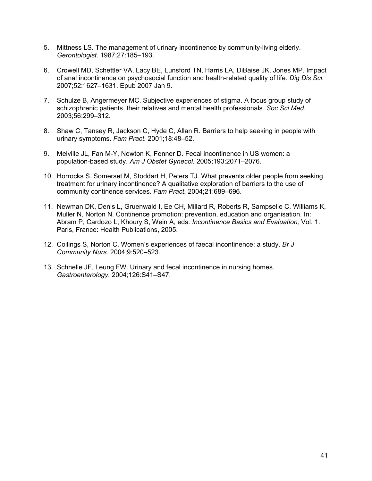- 5. Mittness LS. The management of urinary incontinence by community-living elderly. *Gerontologist.* 1987;27:185–193.
- 6. Crowell MD, Schettler VA, Lacy BE, Lunsford TN, Harris LA, DiBaise JK, Jones MP. Impact of anal incontinence on psychosocial function and health-related quality of life. *Dig Dis Sci.*  2007;52:1627–1631. Epub 2007 Jan 9.
- 7. Schulze B, Angermeyer MC. Subjective experiences of stigma. A focus group study of schizophrenic patients, their relatives and mental health professionals. *Soc Sci Med.*  2003;56:299–312.
- 8. Shaw C, Tansey R, Jackson C, Hyde C, Allan R. Barriers to help seeking in people with urinary symptoms. *Fam Pract.* 2001;18:48–52.
- 9. Melville JL, Fan M-Y, Newton K, Fenner D. Fecal incontinence in US women: a population-based study. *Am J Obstet Gynecol.* 2005;193:2071–2076.
- 10. Horrocks S, Somerset M, Stoddart H, Peters TJ. What prevents older people from seeking treatment for urinary incontinence? A qualitative exploration of barriers to the use of community continence services. *Fam Pract.* 2004;21:689–696.
- 11. Newman DK, Denis L, Gruenwald I, Ee CH, Millard R, Roberts R, Sampselle C, Williams K, Muller N, Norton N. Continence promotion: prevention, education and organisation. In: Abram P, Cardozo L, Khoury S, Wein A, eds. *Incontinence Basics and Evaluation,* Vol. 1. Paris, France: Health Publications, 2005.
- 12. Collings S, Norton C. Women's experiences of faecal incontinence: a study. *Br J Community Nurs.* 2004;9:520–523.
- 13. Schnelle JF, Leung FW. Urinary and fecal incontinence in nursing homes. *Gastroenterology.* 2004;126:S41–S47.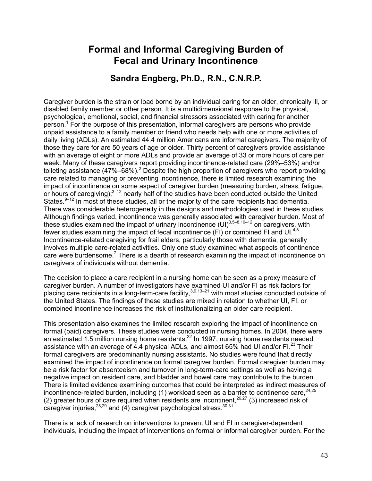# **Formal and Informal Caregiving Burden of Fecal and Urinary Incontinence**

## **Sandra Engberg, Ph.D., R.N., C.N.R.P.**

Caregiver burden is the strain or load borne by an individual caring for an older, chronically ill, or disabled family member or other person. It is a multidimensional response to the physical, psychological, emotional, social, and financial stressors associated with caring for another person.<sup>1</sup> For the purpose of this presentation, informal caregivers are persons who provide unpaid assistance to a family member or friend who needs help with one or more activities of daily living (ADLs). An estimated 44.4 million Americans are informal caregivers. The majority of those they care for are 50 years of age or older. Thirty percent of caregivers provide assistance with an average of eight or more ADLs and provide an average of 33 or more hours of care per week. Many of these caregivers report providing incontinence-related care (29%–53%) and/or toileting assistance (47%–68%).<sup>2</sup> Despite the high proportion of caregivers who report providing care related to managing or preventing incontinence, there is limited research examining the impact of incontinence on some aspect of caregiver burden (measuring burden, stress, fatigue, or hours of caregiving); $3-12$  nearly half of the studies have been conducted outside the United States. $9-12$  In most of these studies, all or the majority of the care recipients had dementia. There was considerable heterogeneity in the designs and methodologies used in these studies. Although findings varied, incontinence was generally associated with caregiver burden. Most of these studies examined the impact of urinary incontinence  $(UI)^{3,5-8,10-12}$  on caregivers, with fewer studies examining the impact of fecal incontinence (FI) or combined FI and UI.<sup>4,8</sup> Incontinence-related caregiving for frail elders, particularly those with dementia, generally involves multiple care-related activities. Only one study examined what aspects of continence care were burdensome.<sup>7</sup> There is a dearth of research examining the impact of incontinence on caregivers of individuals without dementia.

The decision to place a care recipient in a nursing home can be seen as a proxy measure of caregiver burden. A number of investigators have examined UI and/or FI as risk factors for placing care recipients in a long-term-care facility,  $3,9,13-21$  with most studies conducted outside of the United States. The findings of these studies are mixed in relation to whether UI, FI, or combined incontinence increases the risk of institutionalizing an older care recipient.

This presentation also examines the limited research exploring the impact of incontinence on formal (paid) caregivers. These studies were conducted in nursing homes. In 2004, there were an estimated 1.5 million nursing home residents. $^{22}$  In 1997, nursing home residents needed assistance with an average of 4.4 physical ADLs, and almost 65% had UI and/or FI.<sup>23</sup> Their formal caregivers are predominantly nursing assistants. No studies were found that directly examined the impact of incontinence on formal caregiver burden. Formal caregiver burden may be a risk factor for absenteeism and turnover in long-term-care settings as well as having a negative impact on resident care, and bladder and bowel care may contribute to the burden. There is limited evidence examining outcomes that could be interpreted as indirect measures of incontinence-related burden, including (1) workload seen as a barrier to continence care,  $24,25$ (2) greater hours of care required when residents are incontinent,  $26.27$  (3) increased risk of caregiver injuries,  $28,29$  and (4) caregiver psychological stress.  $30,31$ 

There is a lack of research on interventions to prevent UI and FI in caregiver-dependent individuals, including the impact of interventions on formal or informal caregiver burden. For the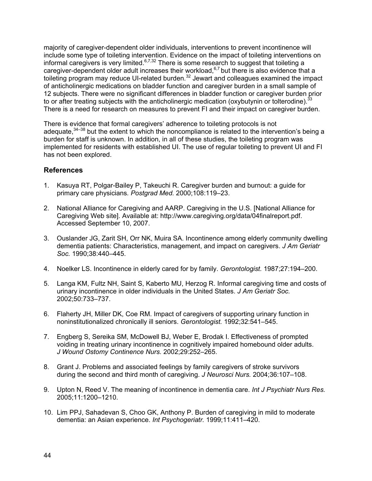majority of caregiver-dependent older individuals, interventions to prevent incontinence will include some type of toileting intervention. Evidence on the impact of toileting interventions on informal caregivers is very limited.<sup>6,7,32</sup> There is some research to suggest that toileting a caregiver-dependent older adult increases their workload,<sup>6,7</sup> but there is also evidence that a toileting program may reduce UI-related burden.<sup>32</sup> Jewart and colleagues examined the impact of anticholinergic medications on bladder function and caregiver burden in a small sample of 12 subjects. There were no significant differences in bladder function or caregiver burden prior to or after treating subjects with the anticholinergic medication (oxybutynin or tolterodine).<sup>3</sup> There is a need for research on measures to prevent FI and their impact on caregiver burden.

There is evidence that formal caregivers' adherence to toileting protocols is not adequate,  $34-38$  but the extent to which the noncompliance is related to the intervention's being a burden for staff is unknown. In addition, in all of these studies, the toileting program was implemented for residents with established UI. The use of regular toileting to prevent UI and FI has not been explored.

- 1. Kasuya RT, Polgar-Bailey P, Takeuchi R. Caregiver burden and burnout: a guide for primary care physicians*. Postgrad Med.* 2000;108:119–23.
- 2. National Alliance for Caregiving and AARP. Caregiving in the U.S. [National Alliance for Caregiving Web site]. Available at: http://www.caregiving.org/data/04finalreport.pdf. Accessed September 10, 2007.
- 3. Ouslander JG, Zarit SH, Orr NK, Muira SA. Incontinence among elderly community dwelling dementia patients: Characteristics, management, and impact on caregivers. *J Am Geriatr Soc.* 1990;38:440–445.
- 4. Noelker LS. Incontinence in elderly cared for by family. *Gerontologist.* 1987;27:194–200.
- 5. Langa KM, Fultz NH, Saint S, Kaberto MU, Herzog R. Informal caregiving time and costs of urinary incontinence in older individuals in the United States. *J Am Geriatr Soc.*  2002;50:733–737.
- 6. Flaherty JH, Miller DK, Coe RM. Impact of caregivers of supporting urinary function in noninstitutionalized chronically ill seniors. *Gerontologist.* 1992;32:541–545.
- 7. Engberg S, Sereika SM, McDowell BJ, Weber E, Brodak I. Effectiveness of prompted voiding in treating urinary incontinence in cognitively impaired homebound older adults. *J Wound Ostomy Continence Nurs.* 2002;29:252–265.
- 8. Grant J. Problems and associated feelings by family caregivers of stroke survivors during the second and third month of caregiving. *J Neurosci Nurs.* 2004;36:107–108.
- 9. Upton N, Reed V. The meaning of incontinence in dementia care. *Int J Psychiatr Nurs Res.*  2005;11:1200–1210.
- 10. Lim PPJ, Sahadevan S, Choo GK, Anthony P. Burden of caregiving in mild to moderate dementia: an Asian experience. *Int Psychogeriatr.* 1999;11:411–420.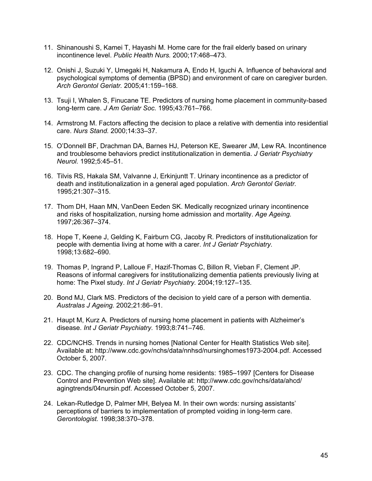- 11. Shinanoushi S, Kamei T, Hayashi M. Home care for the frail elderly based on urinary incontinence level. *Public Health Nurs.* 2000;17:468–473.
- 12. Onishi J, Suzuki Y, Umegaki H, Nakamura A, Endo H, Iguchi A. Influence of behavioral and psychological symptoms of dementia (BPSD) and environment of care on caregiver burden. *Arch Gerontol Geriatr.* 2005;41:159–168.
- 13. Tsuji I, Whalen S, Finucane TE. Predictors of nursing home placement in community-based long-term care. *J Am Geriatr Soc.* 1995;43:761–766.
- 14. Armstrong M. Factors affecting the decision to place a relative with dementia into residential care. *Nurs Stand.* 2000;14:33–37.
- 15. O'Donnell BF, Drachman DA, Barnes HJ, Peterson KE, Swearer JM, Lew RA. Incontinence and troublesome behaviors predict institutionalization in dementia. *J Geriatr Psychiatry Neurol.* 1992;5:45–51.
- 16. Tilvis RS, Hakala SM, Valvanne J, Erkinjuntt T. Urinary incontinence as a predictor of death and institutionalization in a general aged population. *Arch Gerontol Geriatr.*  1995;21:307–315.
- 17. Thom DH, Haan MN, VanDeen Eeden SK. Medically recognized urinary incontinence and risks of hospitalization, nursing home admission and mortality. *Age Ageing.*  1997;26:367–374.
- 18. Hope T, Keene J, Gelding K, Fairburn CG, Jacoby R. Predictors of institutionalization for people with dementia living at home with a carer. *Int J Geriatr Psychiatry.*  1998;13:682–690.
- 19. Thomas P, Ingrand P, Lalloue F, Hazif-Thomas C, Billon R, Vieban F, Clement JP. Reasons of informal caregivers for institutionalizing dementia patients previously living at home: The Pixel study. *Int J Geriatr Psychiatry.* 2004;19:127–135.
- 20. Bond MJ, Clark MS. Predictors of the decision to yield care of a person with dementia. *Australas J Ageing.* 2002;21:86–91.
- 21. Haupt M, Kurz A. Predictors of nursing home placement in patients with Alzheimer's disease. *Int J Geriatr Psychiatry.* 1993;8:741–746.
- 22. CDC/NCHS. Trends in nursing homes [National Center for Health Statistics Web site]. Available at: http://www.cdc.gov/nchs/data/nnhsd/nursinghomes1973-2004.pdf. Accessed October 5, 2007.
- 23. CDC. The changing profile of nursing home residents: 1985–1997 [Centers for Disease Control and Prevention Web site]. Available at: http://www.cdc.gov/nchs/data/ahcd/ agingtrends/04nursin.pdf. Accessed October 5, 2007.
- 24. Lekan-Rutledge D, Palmer MH, Belyea M. In their own words: nursing assistants' perceptions of barriers to implementation of prompted voiding in long-term care. *Gerontologist.* 1998;38:370–378.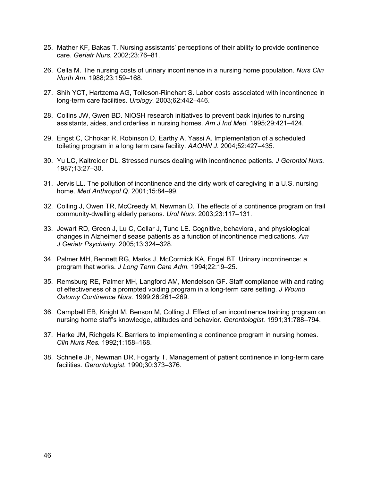- 25. Mather KF, Bakas T. Nursing assistants' perceptions of their ability to provide continence care. *Geriatr Nurs.* 2002;23:76–81.
- 26. Cella M. The nursing costs of urinary incontinence in a nursing home population. *Nurs Clin North Am.* 1988;23:159–168.
- 27. Shih YCT, Hartzema AG, Tolleson-Rinehart S. Labor costs associated with incontinence in long-term care facilities. *Urology.* 2003;62:442–446.
- 28. Collins JW, Gwen BD. NIOSH research initiatives to prevent back injuries to nursing assistants, aides, and orderlies in nursing homes. *Am J Ind Med.* 1995;29:421–424.
- 29. Engst C, Chhokar R, Robinson D, Earthy A, Yassi A. Implementation of a scheduled toileting program in a long term care facility. *AAOHN J.* 2004;52:427–435.
- 30. Yu LC, Kaltreider DL. Stressed nurses dealing with incontinence patients. *J Gerontol Nurs.*  1987;13:27–30.
- 31. Jervis LL. The pollution of incontinence and the dirty work of caregiving in a U.S. nursing home. *Med Anthropol Q.* 2001;15:84–99.
- 32. Colling J, Owen TR, McCreedy M, Newman D. The effects of a continence program on frail community-dwelling elderly persons. *Urol Nurs.* 2003;23:117–131.
- 33. Jewart RD, Green J, Lu C, Cellar J, Tune LE. Cognitive, behavioral, and physiological changes in Alzheimer disease patients as a function of incontinence medications. *Am J Geriatr Psychiatry.* 2005;13:324–328.
- 34. Palmer MH, Bennett RG, Marks J, McCormick KA, Engel BT. Urinary incontinence: a program that works. *J Long Term Care Adm.* 1994;22:19–25.
- 35. Remsburg RE, Palmer MH, Langford AM, Mendelson GF. Staff compliance with and rating of effectiveness of a prompted voiding program in a long-term care setting. *J Wound Ostomy Continence Nurs.* 1999;26:261–269.
- 36. Campbell EB, Knight M, Benson M, Colling J. Effect of an incontinence training program on nursing home staff's knowledge, attitudes and behavior. *Gerontologist.* 1991;31:788–794.
- 37. Harke JM, Richgels K. Barriers to implementing a continence program in nursing homes. *Clin Nurs Res.* 1992;1:158–168.
- 38. Schnelle JF, Newman DR, Fogarty T. Management of patient continence in long-term care facilities. *Gerontologist.* 1990;30:373–376.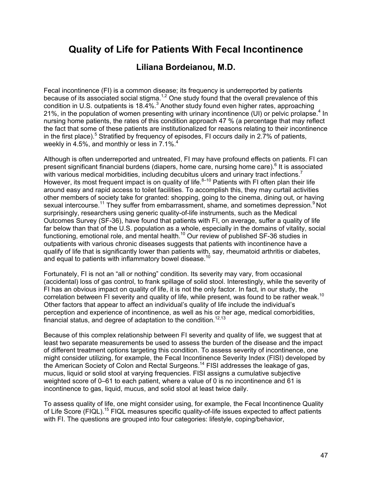# **Quality of Life for Patients With Fecal Incontinence**

## **Liliana Bordeianou, M.D.**

Fecal incontinence (FI) is a common disease; its frequency is underreported by patients because of its associated social stigma.<sup>1,2</sup> One study found that the overall prevalence of this condition in U.S. outpatients is 18.4%.<sup>3</sup> Another study found even higher rates, approaching 21%, in the population of women presenting with urinary incontinence (UI) or pelvic prolapse.<sup>4</sup> In nursing home patients, the rates of this condition approach 47 % (a percentage that may reflect the fact that some of these patients are institutionalized for reasons relating to their incontinence in the first place).<sup>5</sup> Stratified by frequency of episodes, FI occurs daily in 2.7% of patients, weekly in 4.5%, and monthly or less in 7.1%.<sup>4</sup>

Although is often underreported and untreated, FI may have profound effects on patients. FI can present significant financial burdens (diapers, home care, nursing home care).<sup>6</sup> It is associated with various medical morbidities, including decubitus ulcers and urinary tract infections.<sup>7</sup> However, its most frequent impact is on quality of life. $8-10$  Patients with FI often plan their life around easy and rapid access to toilet facilities. To accomplish this, they may curtail activities other members of society take for granted: shopping, going to the cinema, dining out, or having sexual intercourse.<sup>11</sup> They suffer from embarrassment, shame, and sometimes depression.<sup>9</sup> Not surprisingly, researchers using generic quality-of-life instruments, such as the Medical Outcomes Survey (SF-36), have found that patients with FI, on average, suffer a quality of life far below than that of the U.S. population as a whole, especially in the domains of vitality, social functioning, emotional role, and mental health.<sup>10</sup> Our review of published SF-36 studies in outpatients with various chronic diseases suggests that patients with incontinence have a qualify of life that is significantly lower than patients with, say, rheumatoid arthritis or diabetes, and equal to patients with inflammatory bowel disease.<sup>10</sup>

Fortunately, FI is not an "all or nothing" condition. Its severity may vary, from occasional (accidental) loss of gas control, to frank spillage of solid stool. Interestingly, while the severity of FI has an obvious impact on quality of life, it is not the only factor. In fact, in our study, the correlation between FI severity and quality of life, while present, was found to be rather weak.<sup>10</sup> Other factors that appear to affect an individual's quality of life include the individual's perception and experience of incontinence, as well as his or her age, medical comorbidities, financial status, and degree of adaptation to the condition.<sup>12,13</sup>

Because of this complex relationship between FI severity and quality of life, we suggest that at least two separate measurements be used to assess the burden of the disease and the impact of different treatment options targeting this condition. To assess severity of incontinence, one might consider utilizing, for example, the Fecal Incontinence Severity Index (FISI) developed by the American Society of Colon and Rectal Surgeons.<sup>14</sup> FISI addresses the leakage of gas, mucus, liquid or solid stool at varying frequencies. FISI assigns a cumulative subjective weighted score of 0–61 to each patient, where a value of 0 is no incontinence and 61 is incontinence to gas, liquid, mucus, and solid stool at least twice daily.

To assess quality of life, one might consider using, for example, the Fecal Incontinence Quality of Life Score (FIQL).<sup>15</sup> FIQL measures specific quality-of-life issues expected to affect patients with FI. The questions are grouped into four categories: lifestyle, coping/behavior,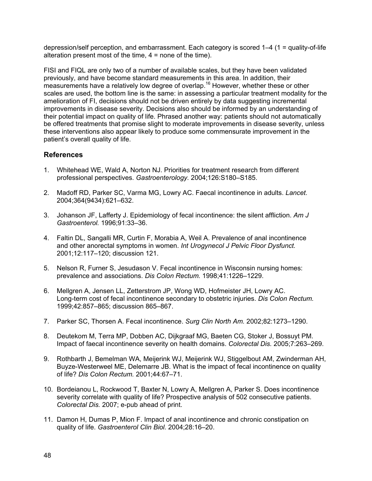depression/self perception, and embarrassment. Each category is scored 1–4 (1 = quality-of-life alteration present most of the time, 4 = none of the time).

FISI and FIQL are only two of a number of available scales, but they have been validated previously, and have become standard measurements in this area. In addition, their measurements have a relatively low degree of overlap.<sup>16</sup> However, whether these or other scales are used, the bottom line is the same: in assessing a particular treatment modality for the amelioration of FI, decisions should not be driven entirely by data suggesting incremental improvements in disease severity. Decisions also should be informed by an understanding of their potential impact on quality of life. Phrased another way: patients should not automatically be offered treatments that promise slight to moderate improvements in disease severity, unless these interventions also appear likely to produce some commensurate improvement in the patient's overall quality of life.

- 1. Whitehead WE, Wald A, Norton NJ. Priorities for treatment research from different professional perspectives. *Gastroenterology.* 2004;126:S180–S185.
- 2. Madoff RD, Parker SC, Varma MG, Lowry AC. Faecal incontinence in adults. *Lancet.*  2004;364(9434):621–632.
- 3. Johanson JF, Lafferty J. Epidemiology of fecal incontinence: the silent affliction. *Am J Gastroenterol.* 1996;91:33–36.
- 4. Faltin DL, Sangalli MR, Curtin F, Morabia A, Weil A. Prevalence of anal incontinence and other anorectal symptoms in women. *Int Urogynecol J Pelvic Floor Dysfunct.*  2001;12:117–120; discussion 121.
- 5. Nelson R, Furner S, Jesudason V. Fecal incontinence in Wisconsin nursing homes: prevalence and associations. *Dis Colon Rectum.* 1998;41:1226–1229.
- 6. Mellgren A, Jensen LL, Zetterstrom JP, Wong WD, Hofmeister JH, Lowry AC. Long-term cost of fecal incontinence secondary to obstetric injuries. *Dis Colon Rectum.*  1999;42:857–865; discussion 865–867.
- 7. Parker SC, Thorsen A. Fecal incontinence. *Surg Clin North Am.* 2002;82:1273–1290.
- 8. Deutekom M, Terra MP, Dobben AC, Dijkgraaf MG, Baeten CG, Stoker J, Bossuyt PM. Impact of faecal incontinence severity on health domains. *Colorectal Dis.* 2005;7:263–269.
- 9. Rothbarth J, Bemelman WA, Meijerink WJ, Meijerink WJ, Stiggelbout AM, Zwinderman AH, Buyze-Westerweel ME, Delemarre JB. What is the impact of fecal incontinence on quality of life? *Dis Colon Rectum.* 2001;44:67–71.
- 10. Bordeianou L, Rockwood T, Baxter N, Lowry A, Mellgren A, Parker S. Does incontinence severity correlate with quality of life? Prospective analysis of 502 consecutive patients. *Colorectal Dis.* 2007; e-pub ahead of print.
- 11. Damon H, Dumas P, Mion F. Impact of anal incontinence and chronic constipation on quality of life. *Gastroenterol Clin Biol.* 2004;28:16–20.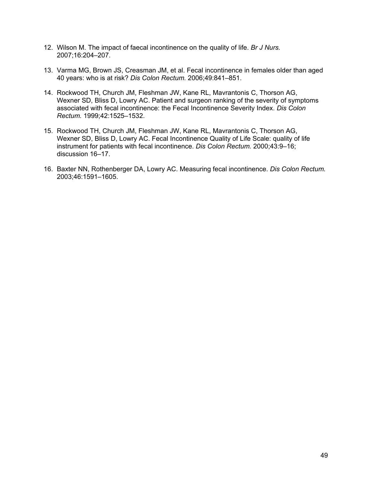- 12. Wilson M. The impact of faecal incontinence on the quality of life. *Br J Nurs.*  2007;16:204–207.
- 13. Varma MG, Brown JS, Creasman JM, et al. Fecal incontinence in females older than aged 40 years: who is at risk? *Dis Colon Rectum.* 2006;49:841–851.
- 14. Rockwood TH, Church JM, Fleshman JW, Kane RL, Mavrantonis C, Thorson AG, Wexner SD, Bliss D, Lowry AC. Patient and surgeon ranking of the severity of symptoms associated with fecal incontinence: the Fecal Incontinence Severity Index. *Dis Colon Rectum.* 1999;42:1525–1532.
- 15. Rockwood TH, Church JM, Fleshman JW, Kane RL, Mavrantonis C, Thorson AG, Wexner SD, Bliss D, Lowry AC. Fecal Incontinence Quality of Life Scale: quality of life instrument for patients with fecal incontinence. *Dis Colon Rectum.* 2000;43:9–16; discussion 16–17.
- 16. Baxter NN, Rothenberger DA, Lowry AC. Measuring fecal incontinence. *Dis Colon Rectum.*  2003;46:1591–1605.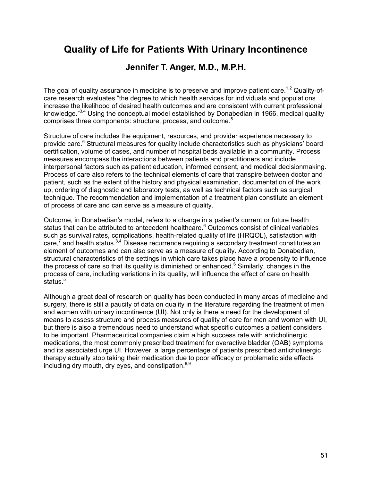# **Quality of Life for Patients With Urinary Incontinence**

## **Jennifer T. Anger, M.D., M.P.H.**

The goal of quality assurance in medicine is to preserve and improve patient care.<sup>1,2</sup> Quality-ofcare research evaluates "the degree to which health services for individuals and populations increase the likelihood of desired health outcomes and are consistent with current professional knowledge."3,4 Using the conceptual model established by Donabedian in 1966, medical quality comprises three components: structure, process, and outcome.<sup>5</sup>

Structure of care includes the equipment, resources, and provider experience necessary to provide care.<sup>6</sup> Structural measures for quality include characteristics such as physicians' board certification, volume of cases, and number of hospital beds available in a community. Process measures encompass the interactions between patients and practitioners and include interpersonal factors such as patient education, informed consent, and medical decisionmaking. Process of care also refers to the technical elements of care that transpire between doctor and patient, such as the extent of the history and physical examination, documentation of the work up, ordering of diagnostic and laboratory tests, as well as technical factors such as surgical technique. The recommendation and implementation of a treatment plan constitute an element of process of care and can serve as a measure of quality.

Outcome, in Donabedian's model, refers to a change in a patient's current or future health status that can be attributed to antecedent healthcare.<sup>6</sup> Outcomes consist of clinical variables such as survival rates, complications, health-related quality of life (HRQOL), satisfaction with care,<sup>7</sup> and health status.<sup>3,4</sup> Disease recurrence requiring a secondary treatment constitutes an element of outcomes and can also serve as a measure of quality. According to Donabedian, structural characteristics of the settings in which care takes place have a propensity to influence the process of care so that its quality is diminished or enhanced.<sup>6</sup> Similarly, changes in the process of care, including variations in its quality, will influence the effect of care on health status.<sup>5</sup>

Although a great deal of research on quality has been conducted in many areas of medicine and surgery, there is still a paucity of data on quality in the literature regarding the treatment of men and women with urinary incontinence (UI). Not only is there a need for the development of means to assess structure and process measures of quality of care for men and women with UI, but there is also a tremendous need to understand what specific outcomes a patient considers to be important. Pharmaceutical companies claim a high success rate with anticholinergic medications, the most commonly prescribed treatment for overactive bladder (OAB) symptoms and its associated urge UI. However, a large percentage of patients prescribed anticholinergic therapy actually stop taking their medication due to poor efficacy or problematic side effects including dry mouth, dry eyes, and constipation.<sup>8,9</sup>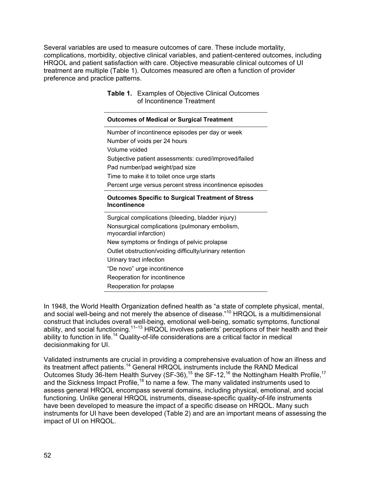Several variables are used to measure outcomes of care. These include mortality, complications, morbidity, objective clinical variables, and patient-centered outcomes, including HRQOL and patient satisfaction with care. Objective measurable clinical outcomes of UI treatment are multiple (Table 1). Outcomes measured are often a function of provider preference and practice patterns.

> **Table 1.** Examples of Objective Clinical Outcomes of Incontinence Treatment

| <b>Outcomes of Medical or Surgical Treatment</b>                         |  |  |  |  |  |  |  |
|--------------------------------------------------------------------------|--|--|--|--|--|--|--|
| Number of incontinence episodes per day or week                          |  |  |  |  |  |  |  |
| Number of voids per 24 hours                                             |  |  |  |  |  |  |  |
| Volume voided                                                            |  |  |  |  |  |  |  |
| Subjective patient assessments: cured/improved/failed                    |  |  |  |  |  |  |  |
| Pad number/pad weight/pad size                                           |  |  |  |  |  |  |  |
| Time to make it to toilet once urge starts                               |  |  |  |  |  |  |  |
| Percent urge versus percent stress incontinence episodes                 |  |  |  |  |  |  |  |
| <b>Outcomes Specific to Surgical Treatment of Stress</b><br>Incontinence |  |  |  |  |  |  |  |
| Surgical complications (bleeding, bladder injury)                        |  |  |  |  |  |  |  |
| Nonsurgical complications (pulmonary embolism,<br>myocardial infarction) |  |  |  |  |  |  |  |
| New symptoms or findings of pelvic prolapse                              |  |  |  |  |  |  |  |
| Outlet obstruction/voiding difficulty/urinary retention                  |  |  |  |  |  |  |  |
|                                                                          |  |  |  |  |  |  |  |
| Urinary tract infection                                                  |  |  |  |  |  |  |  |
| "De novo" urge incontinence                                              |  |  |  |  |  |  |  |
| Reoperation for incontinence                                             |  |  |  |  |  |  |  |

In 1948, the World Health Organization defined health as "a state of complete physical, mental, and social well-being and not merely the absence of disease."10 HRQOL is a multidimensional construct that includes overall well-being, emotional well-being, somatic symptoms, functional ability, and social functioning.11–13 HRQOL involves patients' perceptions of their health and their ability to function in life.14 Quality-of-life considerations are a critical factor in medical decisionmaking for UI.

Validated instruments are crucial in providing a comprehensive evaluation of how an illness and its treatment affect patients.<sup>14</sup> General HRQOL instruments include the RAND Medical Outcomes Study 36-Item Health Survey (SF-36),<sup>15</sup> the SF-12,<sup>16</sup> the Nottingham Health Profile,<sup>17</sup> and the Sickness Impact Profile,<sup>18</sup> to name a few. The many validated instruments used to assess general HRQOL encompass several domains, including physical, emotional, and social functioning. Unlike general HRQOL instruments, disease-specific quality-of-life instruments have been developed to measure the impact of a specific disease on HRQOL. Many such instruments for UI have been developed (Table 2) and are an important means of assessing the impact of UI on HRQOL.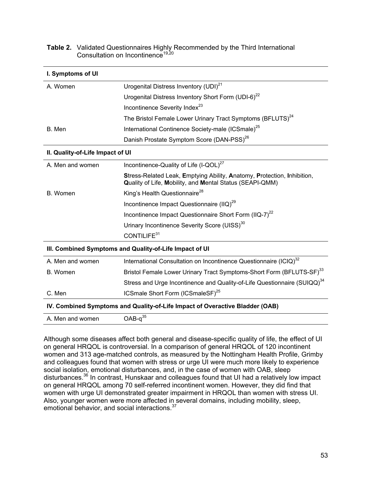| I. Symptoms of UI                                                            |                                                                                                                                     |  |  |  |  |  |  |
|------------------------------------------------------------------------------|-------------------------------------------------------------------------------------------------------------------------------------|--|--|--|--|--|--|
| A. Women                                                                     | Urogenital Distress Inventory (UDI) <sup>21</sup>                                                                                   |  |  |  |  |  |  |
|                                                                              | Urogenital Distress Inventory Short Form (UDI-6) <sup>22</sup>                                                                      |  |  |  |  |  |  |
|                                                                              | Incontinence Severity Index <sup>23</sup>                                                                                           |  |  |  |  |  |  |
|                                                                              | The Bristol Female Lower Urinary Tract Symptoms (BFLUTS) <sup>24</sup>                                                              |  |  |  |  |  |  |
| B. Men                                                                       | International Continence Society-male (ICSmale) <sup>25</sup>                                                                       |  |  |  |  |  |  |
|                                                                              | Danish Prostate Symptom Score (DAN-PSS) <sup>26</sup>                                                                               |  |  |  |  |  |  |
| II. Quality-of-Life Impact of UI                                             |                                                                                                                                     |  |  |  |  |  |  |
| A. Men and women                                                             | Incontinence-Quality of Life (I-QOL) <sup>27</sup>                                                                                  |  |  |  |  |  |  |
|                                                                              | Stress-Related Leak, Emptying Ability, Anatomy, Protection, Inhibition,<br>Quality of Life, Mobility, and Mental Status (SEAPI-QMM) |  |  |  |  |  |  |
| B. Women                                                                     | King's Health Questionnaire <sup>28</sup>                                                                                           |  |  |  |  |  |  |
|                                                                              | Incontinence Impact Questionnaire (IIQ) <sup>29</sup>                                                                               |  |  |  |  |  |  |
|                                                                              | Incontinence Impact Questionnaire Short Form $(IIQ-7)^{22}$                                                                         |  |  |  |  |  |  |
|                                                                              | Urinary Incontinence Severity Score (UISS) <sup>30</sup>                                                                            |  |  |  |  |  |  |
|                                                                              | CONTILIFE <sup>31</sup>                                                                                                             |  |  |  |  |  |  |
| III. Combined Symptoms and Quality-of-Life Impact of UI                      |                                                                                                                                     |  |  |  |  |  |  |
| A. Men and women                                                             | International Consultation on Incontinence Questionnaire (ICIQ) <sup>32</sup>                                                       |  |  |  |  |  |  |
| B. Women                                                                     | Bristol Female Lower Urinary Tract Symptoms-Short Form (BFLUTS-SF) <sup>33</sup>                                                    |  |  |  |  |  |  |
|                                                                              | Stress and Urge Incontinence and Quality-of-Life Questionnaire (SUIQQ) <sup>34</sup>                                                |  |  |  |  |  |  |
| C. Men                                                                       | ICSmale Short Form (ICSmaleSF) <sup>25</sup>                                                                                        |  |  |  |  |  |  |
| IV. Combined Symptoms and Quality-of-Life Impact of Overactive Bladder (OAB) |                                                                                                                                     |  |  |  |  |  |  |
| A. Men and women                                                             | OAB- $q^{35}$                                                                                                                       |  |  |  |  |  |  |

#### **Table 2.** Validated Questionnaires Highly Recommended by the Third International Consultation on Incontinence<sup>19,20</sup>

Although some diseases affect both general and disease-specific quality of life, the effect of UI on general HRQOL is controversial. In a comparison of general HRQOL of 120 incontinent women and 313 age-matched controls, as measured by the Nottingham Health Profile, Grimby and colleagues found that women with stress or urge UI were much more likely to experience social isolation, emotional disturbances, and, in the case of women with OAB, sleep disturbances.<sup>36</sup> In contrast, Hunskaar and colleagues found that UI had a relatively low impact on general HRQOL among 70 self-referred incontinent women. However, they did find that women with urge UI demonstrated greater impairment in HRQOL than women with stress UI. Also, younger women were more affected in several domains, including mobility, sleep, emotional behavior, and social interactions.<sup>37</sup>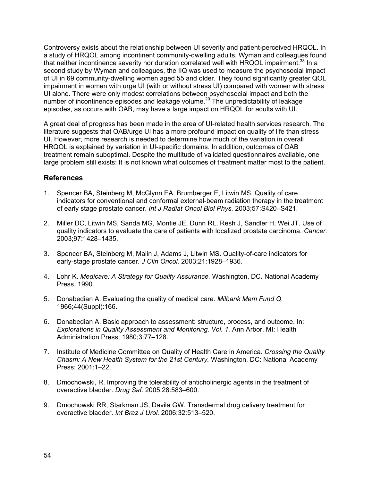Controversy exists about the relationship between UI severity and patient-perceived HRQOL. In a study of HRQOL among incontinent community-dwelling adults, Wyman and colleagues found that neither incontinence severity nor duration correlated well with HRQOL impairment.<sup>38</sup> In a second study by Wyman and colleagues, the IIQ was used to measure the psychosocial impact of UI in 69 community-dwelling women aged 55 and older. They found significantly greater QOL impairment in women with urge UI (with or without stress UI) compared with women with stress UI alone. There were only modest correlations between psychosocial impact and both the number of incontinence episodes and leakage volume.29 The unpredictability of leakage episodes, as occurs with OAB, may have a large impact on HRQOL for adults with UI.

A great deal of progress has been made in the area of UI-related health services research. The literature suggests that OAB/urge UI has a more profound impact on quality of life than stress UI. However, more research is needed to determine how much of the variation in overall HRQOL is explained by variation in UI-specific domains. In addition, outcomes of OAB treatment remain suboptimal. Despite the multitude of validated questionnaires available, one large problem still exists: It is not known what outcomes of treatment matter most to the patient.

- 1. Spencer BA, Steinberg M, McGlynn EA, Brumberger E, Litwin MS. Quality of care indicators for conventional and conformal external-beam radiation therapy in the treatment of early stage prostate cancer. *Int J Radiat Oncol Biol Phys.* 2003;57:S420–S421.
- 2. Miller DC, Litwin MS, Sanda MG, Montie JE, Dunn RL, Resh J, Sandler H, Wei JT. Use of quality indicators to evaluate the care of patients with localized prostate carcinoma. *Cancer.*  2003;97:1428–1435.
- 3. Spencer BA, Steinberg M, Malin J, Adams J, Litwin MS. Quality-of-care indicators for early-stage prostate cancer. *J Clin Oncol.* 2003;21:1928–1936.
- 4. Lohr K. *Medicare: A Strategy for Quality Assurance.* Washington, DC. National Academy Press, 1990.
- 5. Donabedian A. Evaluating the quality of medical care. *Milbank Mem Fund Q.*  1966;44(Suppl):166.
- 6. Donabedian A. Basic approach to assessment: structure, process, and outcome. In: *Explorations in Quality Assessment and Monitoring. Vol. 1.* Ann Arbor, MI: Health Administration Press; 1980;3:77–128.
- 7. Institute of Medicine Committee on Quality of Health Care in America. *Crossing the Quality Chasm: A New Health System for the 21st Century.* Washington, DC: National Academy Press; 2001:1–22.
- 8. Dmochowski, R. Improving the tolerability of anticholinergic agents in the treatment of overactive bladder. *Drug Saf.* 2005;28:583–600.
- 9. Dmochowski RR, Starkman JS, Davila GW. Transdermal drug delivery treatment for overactive bladder. *Int Braz J Urol.* 2006;32:513–520.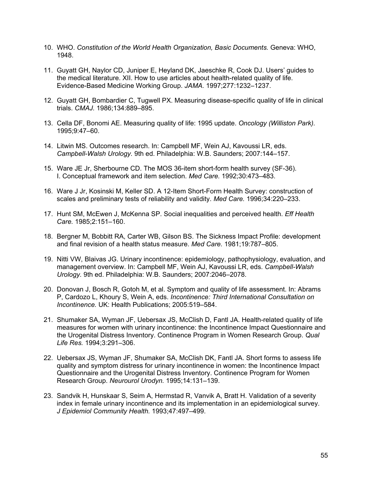- 10. WHO. *Constitution of the World Health Organization, Basic Documents.* Geneva: WHO, 1948.
- 11. Guyatt GH, Naylor CD, Juniper E, Heyland DK, Jaeschke R, Cook DJ. Users' guides to the medical literature. XII. How to use articles about health-related quality of life. Evidence-Based Medicine Working Group. *JAMA.* 1997;277:1232–1237.
- 12. Guyatt GH, Bombardier C, Tugwell PX. Measuring disease-specific quality of life in clinical trials. *CMAJ.* 1986;134:889–895.
- 13. Cella DF, Bonomi AE. Measuring quality of life: 1995 update. *Oncology (Williston Park).*  1995;9:47–60.
- 14. Litwin MS. Outcomes research. In: Campbell MF, Wein AJ, Kavoussi LR, eds. *Campbell-Walsh Urology.* 9th ed. Philadelphia: W.B. Saunders; 2007:144–157.
- 15. Ware JE Jr, Sherbourne CD. The MOS 36-item short-form health survey (SF-36). I. Conceptual framework and item selection. *Med Care.* 1992;30:473–483.
- 16. Ware J Jr, Kosinski M, Keller SD. A 12-Item Short-Form Health Survey: construction of scales and preliminary tests of reliability and validity. *Med Care.* 1996;34:220–233.
- 17. Hunt SM, McEwen J, McKenna SP. Social inequalities and perceived health. *Eff Health Care.* 1985;2:151–160.
- 18. Bergner M, Bobbitt RA, Carter WB, Gilson BS. The Sickness Impact Profile: development and final revision of a health status measure. *Med Care.* 1981;19:787–805.
- 19. Nitti VW, Blaivas JG. Urinary incontinence: epidemiology, pathophysiology, evaluation, and management overview. In: Campbell MF, Wein AJ, Kavoussi LR, eds. *Campbell-Walsh Urology.* 9th ed. Philadelphia: W.B. Saunders; 2007:2046–2078.
- 20. Donovan J, Bosch R, Gotoh M, et al. Symptom and quality of life assessment. In: Abrams P, Cardozo L, Khoury S, Wein A, eds. *Incontinence: Third International Consultation on Incontinence.* UK: Health Publications; 2005:519–584.
- 21. Shumaker SA, Wyman JF, Uebersax JS, McClish D, Fantl JA. Health-related quality of life measures for women with urinary incontinence: the Incontinence Impact Questionnaire and the Urogenital Distress Inventory. Continence Program in Women Research Group. *Qual Life Res.* 1994;3:291–306.
- 22. Uebersax JS, Wyman JF, Shumaker SA, McClish DK, Fantl JA. Short forms to assess life quality and symptom distress for urinary incontinence in women: the Incontinence Impact Questionnaire and the Urogenital Distress Inventory. Continence Program for Women Research Group. *Neurourol Urodyn.* 1995;14:131–139.
- 23. Sandvik H, Hunskaar S, Seim A, Hermstad R, Vanvik A, Bratt H. Validation of a severity index in female urinary incontinence and its implementation in an epidemiological survey. *J Epidemiol Community Health.* 1993;47:497–499.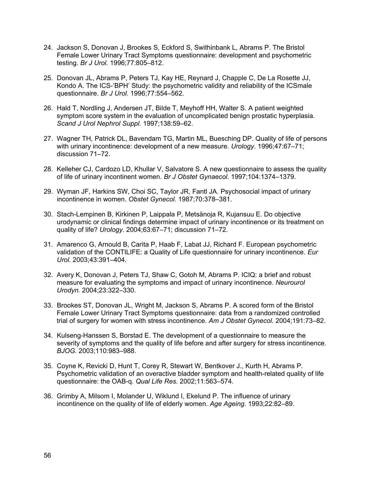- 24. Jackson S, Donovan J, Brookes S, Eckford S, Swithinbank L, Abrams P. The Bristol Female Lower Urinary Tract Symptoms questionnaire: development and psychometric testing. *Br J Urol.* 1996;77:805–812.
- 25. Donovan JL, Abrams P, Peters TJ, Kay HE, Reynard J, Chapple C, De La Rosette JJ, Kondo A. The ICS-'BPH' Study: the psychometric validity and reliability of the ICSmale questionnaire. *Br J Urol.* 1996;77:554–562.
- 26. Hald T, Nordling J, Andersen JT, Bilde T, Meyhoff HH, Walter S. A patient weighted symptom score system in the evaluation of uncomplicated benign prostatic hyperplasia. *Scand J Urol Nephrol Suppl.* 1997;138:59–62.
- 27. Wagner TH, Patrick DL, Bavendam TG, Martin ML, Buesching DP. Quality of life of persons with urinary incontinence: development of a new measure. *Urology.* 1996;47:67–71; discussion 71–72.
- 28. Kelleher CJ, Cardozo LD, Khullar V, Salvatore S. A new questionnaire to assess the quality of life of urinary incontinent women. *Br J Obstet Gynaecol.* 1997;104:1374–1379.
- 29. Wyman JF, Harkins SW, Choi SC, Taylor JR, Fantl JA. Psychosocial impact of urinary incontinence in women. *Obstet Gynecol.* 1987;70:378–381.
- 30. Stach-Lempinen B, Kirkinen P, Laippala P, Metsänoja R, Kujansuu E. Do objective urodynamic or clinical findings determine impact of urinary incontinence or its treatment on quality of life? *Urology.* 2004;63:67–71; discussion 71–72.
- 31. Amarenco G, Arnould B, Carita P, Haab F, Labat JJ, Richard F. European psychometric validation of the CONTILIFE: a Quality of Life questionnaire for urinary incontinence. *Eur Urol.* 2003;43:391–404.
- 32. Avery K, Donovan J, Peters TJ, Shaw C, Gotoh M, Abrams P. ICIQ: a brief and robust measure for evaluating the symptoms and impact of urinary incontinence. *Neurourol Urodyn.* 2004;23:322–330.
- 33. Brookes ST, Donovan JL, Wright M, Jackson S, Abrams P. A scored form of the Bristol Female Lower Urinary Tract Symptoms questionnaire: data from a randomized controlled trial of surgery for women with stress incontinence. *Am J Obstet Gynecol.* 2004;191:73–82.
- 34. Kulseng-Hanssen S, Borstad E. The development of a questionnaire to measure the severity of symptoms and the quality of life before and after surgery for stress incontinence. *BJOG.* 2003;110:983–988.
- 35. Coyne K, Revicki D, Hunt T, Corey R, Stewart W, Bentkover J., Kurth H, Abrams P. Psychometric validation of an overactive bladder symptom and health-related quality of life questionnaire: the OAB-q. *Qual Life Res.* 2002;11:563–574.
- 36. Grimby A, Milsom I, Molander U, Wiklund I, Ekelund P. The influence of urinary incontinence on the quality of life of elderly women. *Age Ageing.* 1993;22:82–89.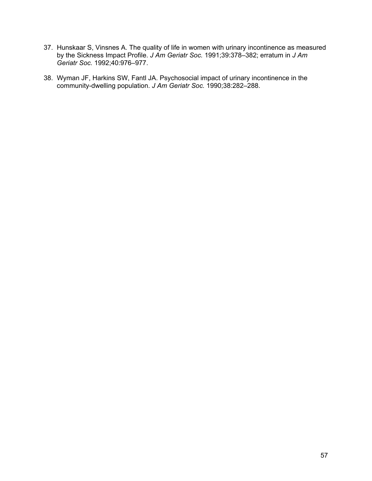- 37. Hunskaar S, Vinsnes A. The quality of life in women with urinary incontinence as measured by the Sickness Impact Profile. *J Am Geriatr Soc.* 1991;39:378–382; erratum in *J Am Geriatr Soc.* 1992;40:976–977.
- 38. Wyman JF, Harkins SW, Fantl JA. Psychosocial impact of urinary incontinence in the community-dwelling population. *J Am Geriatr Soc.* 1990;38:282–288.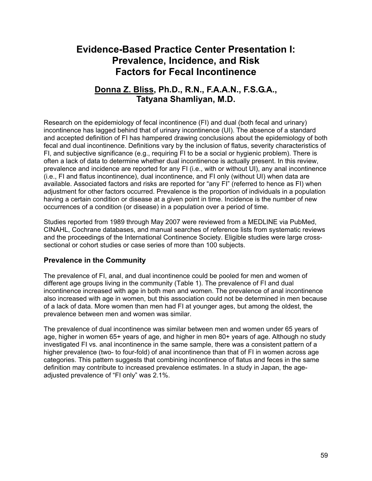# **Evidence-Based Practice Center Presentation I: Prevalence, Incidence, and Risk Factors for Fecal Incontinence**

## **Donna Z. Bliss, Ph.D., R.N., F.A.A.N., F.S.G.A., Tatyana Shamliyan, M.D.**

Research on the epidemiology of fecal incontinence (FI) and dual (both fecal and urinary) incontinence has lagged behind that of urinary incontinence (UI). The absence of a standard and accepted definition of FI has hampered drawing conclusions about the epidemiology of both fecal and dual incontinence. Definitions vary by the inclusion of flatus, severity characteristics of FI, and subjective significance (e.g., requiring FI to be a social or hygienic problem). There is often a lack of data to determine whether dual incontinence is actually present. In this review, prevalence and incidence are reported for any FI (i.e., with or without UI), any anal incontinence (i.e., FI and flatus incontinence), dual incontinence, and FI only (without UI) when data are available. Associated factors and risks are reported for "any FI" (referred to hence as FI) when adjustment for other factors occurred. Prevalence is the proportion of individuals in a population having a certain condition or disease at a given point in time. Incidence is the number of new occurrences of a condition (or disease) in a population over a period of time.

Studies reported from 1989 through May 2007 were reviewed from a MEDLINE via PubMed, CINAHL, Cochrane databases, and manual searches of reference lists from systematic reviews and the proceedings of the International Continence Society. Eligible studies were large crosssectional or cohort studies or case series of more than 100 subjects.

#### **Prevalence in the Community**

The prevalence of FI, anal, and dual incontinence could be pooled for men and women of different age groups living in the community (Table 1). The prevalence of FI and dual incontinence increased with age in both men and women. The prevalence of anal incontinence also increased with age in women, but this association could not be determined in men because of a lack of data. More women than men had FI at younger ages, but among the oldest, the prevalence between men and women was similar.

The prevalence of dual incontinence was similar between men and women under 65 years of age, higher in women 65+ years of age, and higher in men 80+ years of age. Although no study investigated FI vs. anal incontinence in the same sample, there was a consistent pattern of a higher prevalence (two- to four-fold) of anal incontinence than that of FI in women across age categories. This pattern suggests that combining incontinence of flatus and feces in the same definition may contribute to increased prevalence estimates. In a study in Japan, the ageadjusted prevalence of "FI only" was 2.1%.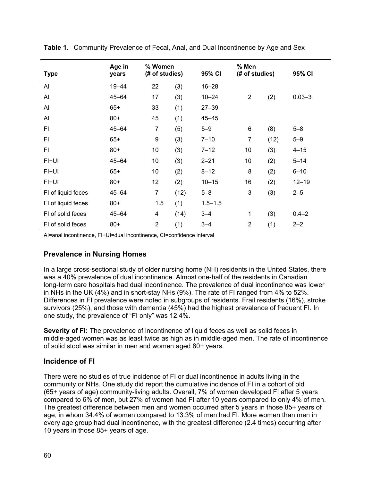|                    | Age in    | % Women        |      |             | % Men          |      |            |
|--------------------|-----------|----------------|------|-------------|----------------|------|------------|
| <b>Type</b>        | years     | (# of studies) |      | 95% CI      | (# of studies) |      | 95% CI     |
| Al                 | 19-44     | 22             | (3)  | $16 - 28$   |                |      |            |
| Al                 | $45 - 64$ | 17             | (3)  | $10 - 24$   | $\overline{2}$ | (2)  | $0.03 - 3$ |
| AI                 | $65+$     | 33             | (1)  | $27 - 39$   |                |      |            |
| AI                 | $80 +$    | 45             | (1)  | $45 - 45$   |                |      |            |
| F1                 | $45 - 64$ | 7              | (5)  | $5 - 9$     | 6              | (8)  | $5 - 8$    |
| FI                 | $65+$     | 9              | (3)  | $7 - 10$    | $\overline{7}$ | (12) | $5 - 9$    |
| FI                 | $80 +$    | 10             | (3)  | $7 - 12$    | 10             | (3)  | $4 - 15$   |
| FI+UI              | $45 - 64$ | 10             | (3)  | $2 - 21$    | 10             | (2)  | $5 - 14$   |
| $FI+UI$            | $65+$     | 10             | (2)  | $8 - 12$    | 8              | (2)  | $6 - 10$   |
| $FI+UI$            | $80 +$    | 12             | (2)  | $10 - 15$   | 16             | (2)  | $12 - 19$  |
| FI of liquid feces | $45 - 64$ | $\overline{7}$ | (12) | $5 - 8$     | 3              | (3)  | $2 - 5$    |
| FI of liquid feces | $80 +$    | 1.5            | (1)  | $1.5 - 1.5$ |                |      |            |
| FI of solid feces  | $45 - 64$ | 4              | (14) | $3 - 4$     | 1              | (3)  | $0.4 - 2$  |
| FI of solid feces  | $80 +$    | $\overline{2}$ | (1)  | $3 - 4$     | $\overline{2}$ | (1)  | $2 - 2$    |

**Table 1.** Community Prevalence of Fecal, Anal, and Dual Incontinence by Age and Sex

AI=anal incontinence, FI+UI=dual incontinence, CI=confidence interval

### **Prevalence in Nursing Homes**

In a large cross-sectional study of older nursing home (NH) residents in the United States, there was a 40% prevalence of dual incontinence. Almost one-half of the residents in Canadian long-term care hospitals had dual incontinence. The prevalence of dual incontinence was lower in NHs in the UK (4%) and in short-stay NHs (9%). The rate of FI ranged from 4% to 52%. Differences in FI prevalence were noted in subgroups of residents. Frail residents (16%), stroke survivors (25%), and those with dementia (45%) had the highest prevalence of frequent FI. In one study, the prevalence of "FI only" was 12.4%.

**Severity of FI:** The prevalence of incontinence of liquid feces as well as solid feces in middle-aged women was as least twice as high as in middle-aged men. The rate of incontinence of solid stool was similar in men and women aged 80+ years.

#### **Incidence of FI**

There were no studies of true incidence of FI or dual incontinence in adults living in the community or NHs. One study did report the cumulative incidence of FI in a cohort of old (65+ years of age) community-living adults. Overall, 7% of women developed FI after 5 years compared to 6% of men, but 27% of women had FI after 10 years compared to only 4% of men. The greatest difference between men and women occurred after 5 years in those 85+ years of age, in whom 34.4% of women compared to 13.3% of men had FI. More women than men in every age group had dual incontinence, with the greatest difference (2.4 times) occurring after 10 years in those 85+ years of age.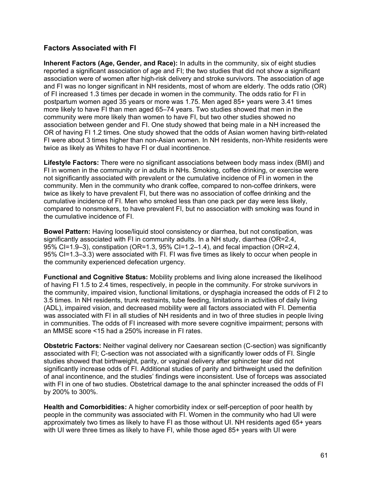#### **Factors Associated with FI**

**Inherent Factors (Age, Gender, and Race):** In adults in the community, six of eight studies reported a significant association of age and FI; the two studies that did not show a significant association were of women after high-risk delivery and stroke survivors. The association of age and FI was no longer significant in NH residents, most of whom are elderly. The odds ratio (OR) of FI increased 1.3 times per decade in women in the community. The odds ratio for FI in postpartum women aged 35 years or more was 1.75. Men aged 85+ years were 3.41 times more likely to have FI than men aged 65–74 years. Two studies showed that men in the community were more likely than women to have FI, but two other studies showed no association between gender and FI. One study showed that being male in a NH increased the OR of having FI 1.2 times. One study showed that the odds of Asian women having birth-related FI were about 3 times higher than non-Asian women. In NH residents, non-White residents were twice as likely as Whites to have FI or dual incontinence.

**Lifestyle Factors:** There were no significant associations between body mass index (BMI) and FI in women in the community or in adults in NHs. Smoking, coffee drinking, or exercise were not significantly associated with prevalent or the cumulative incidence of FI in women in the community. Men in the community who drank coffee, compared to non-coffee drinkers, were twice as likely to have prevalent FI, but there was no association of coffee drinking and the cumulative incidence of FI. Men who smoked less than one pack per day were less likely, compared to nonsmokers, to have prevalent FI, but no association with smoking was found in the cumulative incidence of FI.

**Bowel Pattern:** Having loose/liquid stool consistency or diarrhea, but not constipation, was significantly associated with FI in community adults. In a NH study, diarrhea (OR=2.4, 95% CI=1.9–3), constipation (OR=1.3, 95% CI=1.2–1.4), and fecal impaction (OR=2.4, 95% CI=1.3–3.3) were associated with FI. FI was five times as likely to occur when people in the community experienced defecation urgency.

**Functional and Cognitive Status:** Mobility problems and living alone increased the likelihood of having FI 1.5 to 2.4 times, respectively, in people in the community. For stroke survivors in the community, impaired vision, functional limitations, or dysphagia increased the odds of FI 2 to 3.5 times. In NH residents, trunk restraints, tube feeding, limitations in activities of daily living (ADL), impaired vision, and decreased mobility were all factors associated with FI. Dementia was associated with FI in all studies of NH residents and in two of three studies in people living in communities. The odds of FI increased with more severe cognitive impairment; persons with an MMSE score <15 had a 250% increase in FI rates.

**Obstetric Factors:** Neither vaginal delivery nor Caesarean section (C-section) was significantly associated with FI; C-section was not associated with a significantly lower odds of FI. Single studies showed that birthweight, parity, or vaginal delivery after sphincter tear did not significantly increase odds of FI. Additional studies of parity and birthweight used the definition of anal incontinence, and the studies' findings were inconsistent. Use of forceps was associated with FI in one of two studies. Obstetrical damage to the anal sphincter increased the odds of FI by 200% to 300%.

**Health and Comorbidities:** A higher comorbidity index or self-perception of poor health by people in the community was associated with FI. Women in the community who had UI were approximately two times as likely to have FI as those without UI. NH residents aged 65+ years with UI were three times as likely to have FI, while those aged 85+ years with UI were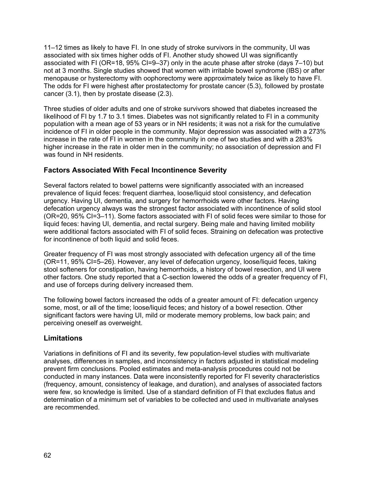11–12 times as likely to have FI. In one study of stroke survivors in the community, UI was associated with six times higher odds of FI. Another study showed UI was significantly associated with FI (OR=18, 95% CI=9–37) only in the acute phase after stroke (days 7–10) but not at 3 months. Single studies showed that women with irritable bowel syndrome (IBS) or after menopause or hysterectomy with oophorectomy were approximately twice as likely to have FI. The odds for FI were highest after prostatectomy for prostate cancer (5.3), followed by prostate cancer (3.1), then by prostate disease (2.3).

Three studies of older adults and one of stroke survivors showed that diabetes increased the likelihood of FI by 1.7 to 3.1 times. Diabetes was not significantly related to FI in a community population with a mean age of 53 years or in NH residents; it was not a risk for the cumulative incidence of FI in older people in the community. Major depression was associated with a 273% increase in the rate of FI in women in the community in one of two studies and with a 283% higher increase in the rate in older men in the community; no association of depression and FI was found in NH residents.

### **Factors Associated With Fecal Incontinence Severity**

Several factors related to bowel patterns were significantly associated with an increased prevalence of liquid feces: frequent diarrhea, loose/liquid stool consistency, and defecation urgency. Having UI, dementia, and surgery for hemorrhoids were other factors. Having defecation urgency always was the strongest factor associated with incontinence of solid stool (OR=20, 95% CI=3–11). Some factors associated with FI of solid feces were similar to those for liquid feces: having UI, dementia, and rectal surgery. Being male and having limited mobility were additional factors associated with FI of solid feces. Straining on defecation was protective for incontinence of both liquid and solid feces.

Greater frequency of FI was most strongly associated with defecation urgency all of the time (OR=11, 95% CI=5–26). However, any level of defecation urgency, loose/liquid feces, taking stool softeners for constipation, having hemorrhoids, a history of bowel resection, and UI were other factors. One study reported that a C-section lowered the odds of a greater frequency of FI, and use of forceps during delivery increased them.

The following bowel factors increased the odds of a greater amount of FI: defecation urgency some, most, or all of the time; loose/liquid feces; and history of a bowel resection. Other significant factors were having UI, mild or moderate memory problems, low back pain; and perceiving oneself as overweight.

#### **Limitations**

Variations in definitions of FI and its severity, few population-level studies with multivariate analyses, differences in samples, and inconsistency in factors adjusted in statistical modeling prevent firm conclusions. Pooled estimates and meta-analysis procedures could not be conducted in many instances. Data were inconsistently reported for FI severity characteristics (frequency, amount, consistency of leakage, and duration), and analyses of associated factors were few, so knowledge is limited. Use of a standard definition of FI that excludes flatus and determination of a minimum set of variables to be collected and used in multivariate analyses are recommended.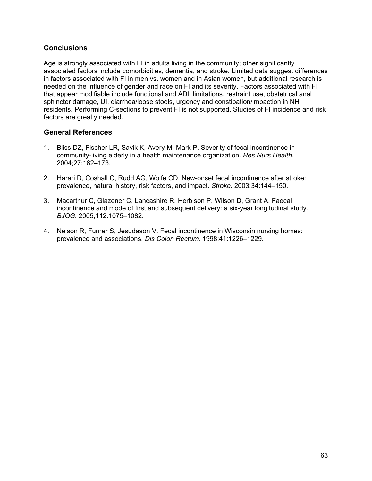### **Conclusions**

Age is strongly associated with FI in adults living in the community; other significantly associated factors include comorbidities, dementia, and stroke. Limited data suggest differences in factors associated with FI in men vs. women and in Asian women, but additional research is needed on the influence of gender and race on FI and its severity. Factors associated with FI that appear modifiable include functional and ADL limitations, restraint use, obstetrical anal sphincter damage, UI, diarrhea/loose stools, urgency and constipation/impaction in NH residents. Performing C-sections to prevent FI is not supported. Studies of FI incidence and risk factors are greatly needed.

#### **General References**

- 1. Bliss DZ, Fischer LR, Savik K, Avery M, Mark P. Severity of fecal incontinence in community-living elderly in a health maintenance organization. *Res Nurs Health.*  2004;27:162–173.
- 2. Harari D, Coshall C, Rudd AG, Wolfe CD. New-onset fecal incontinence after stroke: prevalence, natural history, risk factors, and impact. *Stroke.* 2003;34:144–150.
- 3. Macarthur C, Glazener C, Lancashire R, Herbison P, Wilson D, Grant A. Faecal incontinence and mode of first and subsequent delivery: a six-year longitudinal study. *BJOG.* 2005;112:1075–1082.
- 4. Nelson R, Furner S, Jesudason V. Fecal incontinence in Wisconsin nursing homes: prevalence and associations. *Dis Colon Rectum.* 1998;41:1226–1229.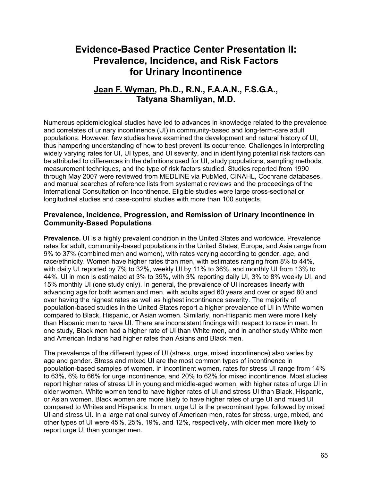# **Evidence-Based Practice Center Presentation II: Prevalence, Incidence, and Risk Factors for Urinary Incontinence**

## **Jean F. Wyman, Ph.D., R.N., F.A.A.N., F.S.G.A., Tatyana Shamliyan, M.D.**

Numerous epidemiological studies have led to advances in knowledge related to the prevalence and correlates of urinary incontinence (UI) in community-based and long-term-care adult populations. However, few studies have examined the development and natural history of UI, thus hampering understanding of how to best prevent its occurrence. Challenges in interpreting widely varying rates for UI, UI types, and UI severity, and in identifying potential risk factors can be attributed to differences in the definitions used for UI, study populations, sampling methods, measurement techniques, and the type of risk factors studied. Studies reported from 1990 through May 2007 were reviewed from MEDLINE via PubMed, CINAHL, Cochrane databases, and manual searches of reference lists from systematic reviews and the proceedings of the International Consultation on Incontinence. Eligible studies were large cross-sectional or longitudinal studies and case-control studies with more than 100 subjects.

#### **Prevalence, Incidence, Progression, and Remission of Urinary Incontinence in Community-Based Populations**

**Prevalence.** UI is a highly prevalent condition in the United States and worldwide. Prevalence rates for adult, community-based populations in the United States, Europe, and Asia range from 9% to 37% (combined men and women), with rates varying according to gender, age, and race/ethnicity. Women have higher rates than men, with estimates ranging from 8% to 44%. with daily UI reported by 7% to 32%, weekly UI by 11% to 36%, and monthly UI from 13% to 44%. UI in men is estimated at 3% to 39%, with 3% reporting daily UI, 3% to 8% weekly UI, and 15% monthly UI (one study only). In general, the prevalence of UI increases linearly with advancing age for both women and men, with adults aged 60 years and over or aged 80 and over having the highest rates as well as highest incontinence severity. The majority of population-based studies in the United States report a higher prevalence of UI in White women compared to Black, Hispanic, or Asian women. Similarly, non-Hispanic men were more likely than Hispanic men to have UI. There are inconsistent findings with respect to race in men. In one study, Black men had a higher rate of UI than White men, and in another study White men and American Indians had higher rates than Asians and Black men.

The prevalence of the different types of UI (stress, urge, mixed incontinence) also varies by age and gender. Stress and mixed UI are the most common types of incontinence in population-based samples of women. In incontinent women, rates for stress UI range from 14% to 63%, 6% to 66% for urge incontinence, and 20% to 62% for mixed incontinence. Most studies report higher rates of stress UI in young and middle-aged women, with higher rates of urge UI in older women. White women tend to have higher rates of UI and stress UI than Black, Hispanic, or Asian women. Black women are more likely to have higher rates of urge UI and mixed UI compared to Whites and Hispanics. In men, urge UI is the predominant type, followed by mixed UI and stress UI. In a large national survey of American men, rates for stress, urge, mixed, and other types of UI were 45%, 25%, 19%, and 12%, respectively, with older men more likely to report urge UI than younger men.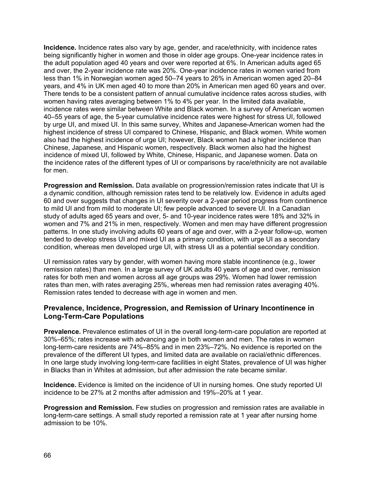**Incidence.** Incidence rates also vary by age, gender, and race/ethnicity, with incidence rates being significantly higher in women and those in older age groups. One-year incidence rates in the adult population aged 40 years and over were reported at 6%. In American adults aged 65 and over, the 2-year incidence rate was 20%. One-year incidence rates in women varied from less than 1% in Norwegian women aged 50–74 years to 26% in American women aged 20–84 years, and 4% in UK men aged 40 to more than 20% in American men aged 60 years and over. There tends to be a consistent pattern of annual cumulative incidence rates across studies, with women having rates averaging between 1% to 4% per year. In the limited data available, incidence rates were similar between White and Black women. In a survey of American women 40–55 years of age, the 5-year cumulative incidence rates were highest for stress UI, followed by urge UI, and mixed UI. In this same survey, Whites and Japanese-American women had the highest incidence of stress UI compared to Chinese, Hispanic, and Black women. White women also had the highest incidence of urge UI; however, Black women had a higher incidence than Chinese, Japanese, and Hispanic women, respectively. Black women also had the highest incidence of mixed UI, followed by White, Chinese, Hispanic, and Japanese women. Data on the incidence rates of the different types of UI or comparisons by race/ethnicity are not available for men.

**Progression and Remission.** Data available on progression/remission rates indicate that UI is a dynamic condition, although remission rates tend to be relatively low. Evidence in adults aged 60 and over suggests that changes in UI severity over a 2-year period progress from continence to mild UI and from mild to moderate UI; few people advanced to severe UI. In a Canadian study of adults aged 65 years and over, 5- and 10-year incidence rates were 18% and 32% in women and 7% and 21% in men, respectively. Women and men may have different progression patterns. In one study involving adults 60 years of age and over, with a 2-year follow-up, women tended to develop stress UI and mixed UI as a primary condition, with urge UI as a secondary condition, whereas men developed urge UI, with stress UI as a potential secondary condition.

UI remission rates vary by gender, with women having more stable incontinence (e.g., lower remission rates) than men. In a large survey of UK adults 40 years of age and over, remission rates for both men and women across all age groups was 29%. Women had lower remission rates than men, with rates averaging 25%, whereas men had remission rates averaging 40%. Remission rates tended to decrease with age in women and men.

#### **Prevalence, Incidence, Progression, and Remission of Urinary Incontinence in Long-Term-Care Populations**

**Prevalence.** Prevalence estimates of UI in the overall long-term-care population are reported at 30%–65%; rates increase with advancing age in both women and men. The rates in women long-term-care residents are 74%–85% and in men 23%–72%. No evidence is reported on the prevalence of the different UI types, and limited data are available on racial/ethnic differences. In one large study involving long-term-care facilities in eight States, prevalence of UI was higher in Blacks than in Whites at admission, but after admission the rate became similar.

**Incidence.** Evidence is limited on the incidence of UI in nursing homes. One study reported UI incidence to be 27% at 2 months after admission and 19%–20% at 1 year.

**Progression and Remission.** Few studies on progression and remission rates are available in long-term-care settings. A small study reported a remission rate at 1 year after nursing home admission to be 10%.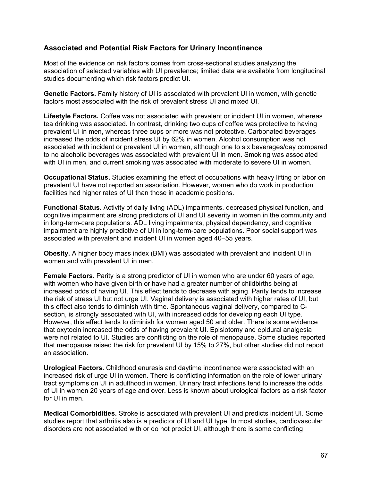### **Associated and Potential Risk Factors for Urinary Incontinence**

Most of the evidence on risk factors comes from cross-sectional studies analyzing the association of selected variables with UI prevalence; limited data are available from longitudinal studies documenting which risk factors predict UI.

**Genetic Factors.** Family history of UI is associated with prevalent UI in women, with genetic factors most associated with the risk of prevalent stress UI and mixed UI.

**Lifestyle Factors.** Coffee was not associated with prevalent or incident UI in women, whereas tea drinking was associated. In contrast, drinking two cups of coffee was protective to having prevalent UI in men, whereas three cups or more was not protective. Carbonated beverages increased the odds of incident stress UI by 62% in women. Alcohol consumption was not associated with incident or prevalent UI in women, although one to six beverages/day compared to no alcoholic beverages was associated with prevalent UI in men. Smoking was associated with UI in men, and current smoking was associated with moderate to severe UI in women.

**Occupational Status.** Studies examining the effect of occupations with heavy lifting or labor on prevalent UI have not reported an association. However, women who do work in production facilities had higher rates of UI than those in academic positions.

**Functional Status.** Activity of daily living (ADL) impairments, decreased physical function, and cognitive impairment are strong predictors of UI and UI severity in women in the community and in long-term-care populations. ADL living impairments, physical dependency, and cognitive impairment are highly predictive of UI in long-term-care populations. Poor social support was associated with prevalent and incident UI in women aged 40–55 years.

**Obesity.** A higher body mass index (BMI) was associated with prevalent and incident UI in women and with prevalent UI in men.

**Female Factors.** Parity is a strong predictor of UI in women who are under 60 years of age, with women who have given birth or have had a greater number of childbirths being at increased odds of having UI. This effect tends to decrease with aging. Parity tends to increase the risk of stress UI but not urge UI. Vaginal delivery is associated with higher rates of UI, but this effect also tends to diminish with time. Spontaneous vaginal delivery, compared to Csection, is strongly associated with UI, with increased odds for developing each UI type. However, this effect tends to diminish for women aged 50 and older. There is some evidence that oxytocin increased the odds of having prevalent UI. Episiotomy and epidural analgesia were not related to UI. Studies are conflicting on the role of menopause. Some studies reported that menopause raised the risk for prevalent UI by 15% to 27%, but other studies did not report an association.

**Urological Factors.** Childhood enuresis and daytime incontinence were associated with an increased risk of urge UI in women. There is conflicting information on the role of lower urinary tract symptoms on UI in adulthood in women. Urinary tract infections tend to increase the odds of UI in women 20 years of age and over. Less is known about urological factors as a risk factor for UI in men.

**Medical Comorbidities.** Stroke is associated with prevalent UI and predicts incident UI. Some studies report that arthritis also is a predictor of UI and UI type. In most studies, cardiovascular disorders are not associated with or do not predict UI, although there is some conflicting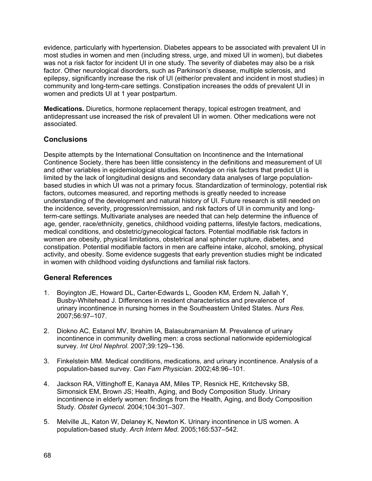evidence, particularly with hypertension. Diabetes appears to be associated with prevalent UI in most studies in women and men (including stress, urge, and mixed UI in women), but diabetes was not a risk factor for incident UI in one study. The severity of diabetes may also be a risk factor. Other neurological disorders, such as Parkinson's disease, multiple sclerosis, and epilepsy, significantly increase the risk of UI (either/or prevalent and incident in most studies) in community and long-term-care settings. Constipation increases the odds of prevalent UI in women and predicts UI at 1 year postpartum.

**Medications.** Diuretics, hormone replacement therapy, topical estrogen treatment, and antidepressant use increased the risk of prevalent UI in women. Other medications were not associated.

### **Conclusions**

Despite attempts by the International Consultation on Incontinence and the International Continence Society, there has been little consistency in the definitions and measurement of UI and other variables in epidemiological studies. Knowledge on risk factors that predict UI is limited by the lack of longitudinal designs and secondary data analyses of large populationbased studies in which UI was not a primary focus. Standardization of terminology, potential risk factors, outcomes measured, and reporting methods is greatly needed to increase understanding of the development and natural history of UI. Future research is still needed on the incidence, severity, progression/remission, and risk factors of UI in community and longterm-care settings. Multivariate analyses are needed that can help determine the influence of age, gender, race/ethnicity, genetics, childhood voiding patterns, lifestyle factors, medications, medical conditions, and obstetric/gynecological factors. Potential modifiable risk factors in women are obesity, physical limitations, obstetrical anal sphincter rupture, diabetes, and constipation. Potential modifiable factors in men are caffeine intake, alcohol, smoking, physical activity, and obesity. Some evidence suggests that early prevention studies might be indicated in women with childhood voiding dysfunctions and familial risk factors.

### **General References**

- 1. Boyington JE, Howard DL, Carter-Edwards L, Gooden KM, Erdem N, Jallah Y, Busby-Whitehead J. Differences in resident characteristics and prevalence of urinary incontinence in nursing homes in the Southeastern United States. *Nurs Res.*  2007;56:97–107.
- 2. Diokno AC, Estanol MV, Ibrahim IA, Balasubramaniam M. Prevalence of urinary incontinence in community dwelling men: a cross sectional nationwide epidemiological survey. *Int Urol Nephrol.* 2007;39:129–136.
- 3. Finkelstein MM. Medical conditions, medications, and urinary incontinence. Analysis of a population-based survey. *Can Fam Physician.* 2002;48:96–101.
- 4. Jackson RA, Vittinghoff E, Kanaya AM, Miles TP, Resnick HE, Kritchevsky SB, Simonsick EM, Brown JS; Health, Aging, and Body Composition Study. Urinary incontinence in elderly women: findings from the Health, Aging, and Body Composition Study. *Obstet Gynecol.* 2004;104:301–307.
- 5. Melville JL, Katon W, Delaney K, Newton K. Urinary incontinence in US women. A population-based study. *Arch Intern Med.* 2005;165:537–542.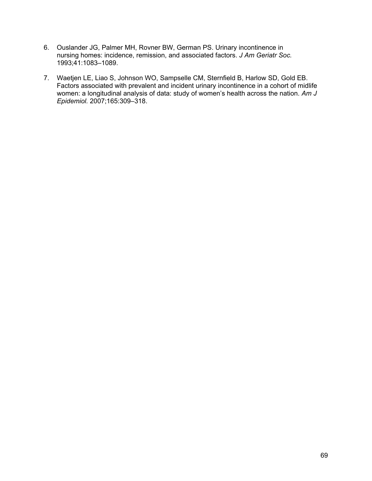- 6. Ouslander JG, Palmer MH, Rovner BW, German PS. Urinary incontinence in nursing homes: incidence, remission, and associated factors. *J Am Geriatr Soc.*  1993;41:1083–1089.
- 7. Waetjen LE, Liao S, Johnson WO, Sampselle CM, Sternfield B, Harlow SD, Gold EB. Factors associated with prevalent and incident urinary incontinence in a cohort of midlife women: a longitudinal analysis of data: study of women's health across the nation. *Am J Epidemiol.* 2007;165:309–318.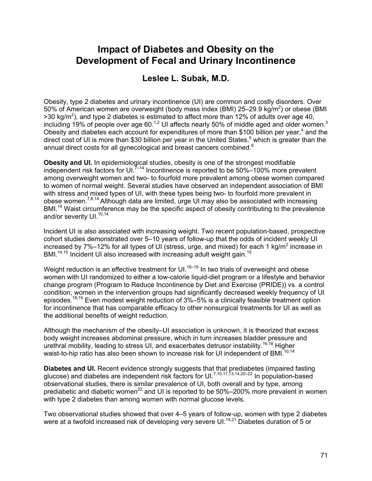## **Impact of Diabetes and Obesity on the Development of Fecal and Urinary Incontinence**

## **Leslee L. Subak, M.D.**

Obesity, type 2 diabetes and urinary incontinence (UI) are common and costly disorders. Over 50% of American women are overweight (body mass index (BMI) 25–29.9 kg/m<sup>2</sup>) or obese (BMI  $>$ 30 kg/m<sup>2</sup>), and type 2 diabetes is estimated to affect more than 12% of adults over age 40, including 19% of people over age 60. $1,2$  UI affects nearly 50% of middle aged and older women.<sup>3</sup> Obesity and diabetes each account for expenditures of more than \$100 billion per year, $4$  and the direct cost of UI is more than \$30 billion per year in the United States,<sup>5</sup> which is greater than the annual direct costs for all gynecological and breast cancers combined.<sup>6</sup>

**Obesity and UI.** In epidemiological studies, obesity is one of the strongest modifiable independent risk factors for UI.7–14 Incontinence is reported to be 50%–100% more prevalent among overweight women and two- to fourfold more prevalent among obese women compared to women of normal weight. Several studies have observed an independent association of BMI with stress and mixed types of UI, with these types being two- to fourfold more prevalent in obese women.7,8,14 Although data are limited, urge UI may also be associated with increasing BMI.<sup>14</sup> Waist circumference may be the specific aspect of obesity contributing to the prevalence and/or severity UI.<sup>10,14</sup>

Incident UI is also associated with increasing weight. Two recent population-based, prospective cohort studies demonstrated over 5–10 years of follow-up that the odds of incident weekly UI increased by 7%–12% for all types of UI (stress, urge, and mixed) for each 1 kg/m<sup>2</sup> increase in BMI.<sup>14,15</sup> Incident UI also increased with increasing adult weight gain.<sup>15</sup>

Weight reduction is an effective treatment for UI.<sup>16–19</sup> In two trials of overweight and obese women with UI randomized to either a low-calorie liquid-diet program or a lifestyle and behavior change program (Program to Reduce Incontinence by Diet and Exercise (PRIDE)) vs. a control condition, women in the intervention groups had significantly decreased weekly frequency of UI episodes.18,19 Even modest weight reduction of 3%–5% is a clinically feasible treatment option for incontinence that has comparable efficacy to other nonsurgical treatments for UI as well as the additional benefits of weight reduction.

Although the mechanism of the obesity–UI association is unknown, it is theorized that excess body weight increases abdominal pressure, which in turn increases bladder pressure and urethral mobility, leading to stress UI, and exacerbates detrusor instability.<sup>16,18</sup> Higher waist-to-hip ratio has also been shown to increase risk for UI independent of BMI.<sup>10,14</sup>

**Diabetes and UI.** Recent evidence strongly suggests that that prediabetes (impaired fasting glucose) and diabetes are independent risk factors for UI.<sup>7,10,11,13,14,20-22</sup> In population-based observational studies, there is similar prevalence of UI, both overall and by type, among prediabetic and diabetic women<sup>22</sup> and UI is reported to be 50%–200% more prevalent in women with type 2 diabetes than among women with normal glucose levels.

Two observational studies showed that over 4–5 years of follow-up, women with type 2 diabetes were at a twofold increased risk of developing very severe UI.<sup>14,21</sup> Diabetes duration of 5 or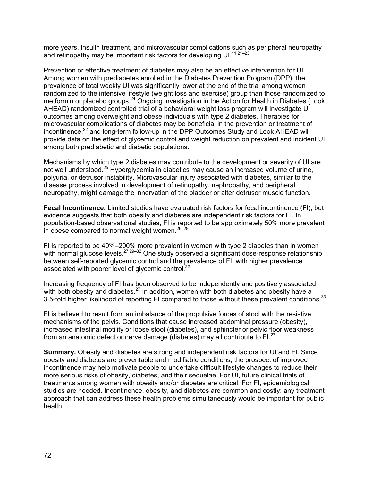more years, insulin treatment, and microvascular complications such as peripheral neuropathy and retinopathy may be important risk factors for developing UI.<sup>11,21-23</sup>

Prevention or effective treatment of diabetes may also be an effective intervention for UI. Among women with prediabetes enrolled in the Diabetes Prevention Program (DPP), the prevalence of total weekly UI was significantly lower at the end of the trial among women randomized to the intensive lifestyle (weight loss and exercise) group than those randomized to metformin or placebo groups.<sup>24</sup> Ongoing investigation in the Action for Health in Diabetes (Look AHEAD) randomized controlled trial of a behavioral weight loss program will investigate UI outcomes among overweight and obese individuals with type 2 diabetes. Therapies for microvascular complications of diabetes may be beneficial in the prevention or treatment of  $incontinence<sup>22</sup>$  and long-term follow-up in the DPP Outcomes Study and Look AHEAD will provide data on the effect of glycemic control and weight reduction on prevalent and incident UI among both prediabetic and diabetic populations.

Mechanisms by which type 2 diabetes may contribute to the development or severity of UI are not well understood.25 Hyperglycemia in diabetics may cause an increased volume of urine, polyuria, or detrusor instability. Microvascular injury associated with diabetes, similar to the disease process involved in development of retinopathy, nephropathy, and peripheral neuropathy, might damage the innervation of the bladder or alter detrusor muscle function.

**Fecal Incontinence.** Limited studies have evaluated risk factors for fecal incontinence (FI), but evidence suggests that both obesity and diabetes are independent risk factors for FI. In population-based observational studies, FI is reported to be approximately 50% more prevalent in obese compared to normal weight women. $26-29$ 

FI is reported to be 40%–200% more prevalent in women with type 2 diabetes than in women with normal glucose levels.<sup>27,29–32</sup> One study observed a significant dose-response relationship between self-reported glycemic control and the prevalence of FI, with higher prevalence associated with poorer level of glycemic control.<sup>32</sup>

Increasing frequency of FI has been observed to be independently and positively associated with both obesity and diabetes.<sup>27</sup> In addition, women with both diabetes and obesity have a 3.5-fold higher likelihood of reporting FI compared to those without these prevalent conditions.<sup>33</sup>

FI is believed to result from an imbalance of the propulsive forces of stool with the resistive mechanisms of the pelvis. Conditions that cause increased abdominal pressure (obesity), increased intestinal motility or loose stool (diabetes), and sphincter or pelvic floor weakness from an anatomic defect or nerve damage (diabetes) may all contribute to  $Fl<sup>27</sup>$ 

**Summary.** Obesity and diabetes are strong and independent risk factors for UI and FI. Since obesity and diabetes are preventable and modifiable conditions, the prospect of improved incontinence may help motivate people to undertake difficult lifestyle changes to reduce their more serious risks of obesity, diabetes, and their sequelae. For UI, future clinical trials of treatments among women with obesity and/or diabetes are critical. For FI, epidemiological studies are needed. Incontinence, obesity, and diabetes are common and costly: any treatment approach that can address these health problems simultaneously would be important for public health.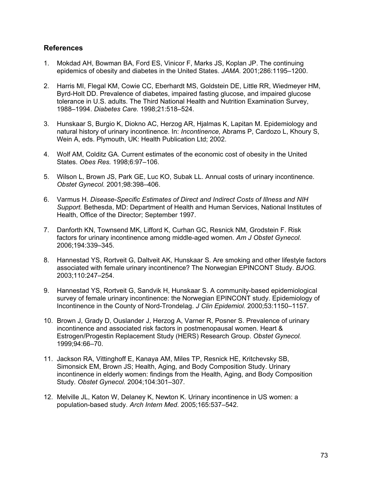- 1. Mokdad AH, Bowman BA, Ford ES, Vinicor F, Marks JS, Koplan JP. The continuing epidemics of obesity and diabetes in the United States. *JAMA.* 2001;286:1195–1200.
- 2. Harris MI, Flegal KM, Cowie CC, Eberhardt MS, Goldstein DE, Little RR, Wiedmeyer HM, Byrd-Holt DD. Prevalence of diabetes, impaired fasting glucose, and impaired glucose tolerance in U.S. adults. The Third National Health and Nutrition Examination Survey, 1988–1994. *Diabetes Care.* 1998;21:518–524.
- 3. Hunskaar S, Burgio K, Diokno AC, Herzog AR, Hjalmas K, Lapitan M. Epidemiology and natural history of urinary incontinence. In: *Incontinence,* Abrams P, Cardozo L, Khoury S, Wein A, eds. Plymouth, UK: Health Publication Ltd; 2002.
- 4. Wolf AM, Colditz GA. Current estimates of the economic cost of obesity in the United States. *Obes Res.* 1998;6:97–106.
- 5. Wilson L, Brown JS, Park GE, Luc KO, Subak LL. Annual costs of urinary incontinence. *Obstet Gynecol.* 2001;98:398–406.
- 6. Varmus H. *Disease-Specific Estimates of Direct and Indirect Costs of Illness and NIH Support.* Bethesda, MD: Department of Health and Human Services, National Institutes of Health, Office of the Director; September 1997.
- 7. Danforth KN, Townsend MK, Lifford K, Curhan GC, Resnick NM, Grodstein F. Risk factors for urinary incontinence among middle-aged women. *Am J Obstet Gynecol.*  2006;194:339–345.
- 8. Hannestad YS, Rortveit G, Daltveit AK, Hunskaar S. Are smoking and other lifestyle factors associated with female urinary incontinence? The Norwegian EPINCONT Study. *BJOG.*  2003;110:247–254.
- 9. Hannestad YS, Rortveit G, Sandvik H, Hunskaar S. A community-based epidemiological survey of female urinary incontinence: the Norwegian EPINCONT study. Epidemiology of Incontinence in the County of Nord-Trondelag. *J Clin Epidemiol.* 2000;53:1150–1157.
- 10. Brown J, Grady D, Ouslander J, Herzog A, Varner R, Posner S. Prevalence of urinary incontinence and associated risk factors in postmenopausal women. Heart & Estrogen/Progestin Replacement Study (HERS) Research Group. *Obstet Gynecol.*  1999;94:66–70.
- 11. Jackson RA, Vittinghoff E, Kanaya AM, Miles TP, Resnick HE, Kritchevsky SB, Simonsick EM, Brown JS; Health, Aging, and Body Composition Study. Urinary incontinence in elderly women: findings from the Health, Aging, and Body Composition Study. *Obstet Gynecol.* 2004;104:301–307.
- 12. Melville JL, Katon W, Delaney K, Newton K. Urinary incontinence in US women: a population-based study. *Arch Intern Med.* 2005;165:537–542.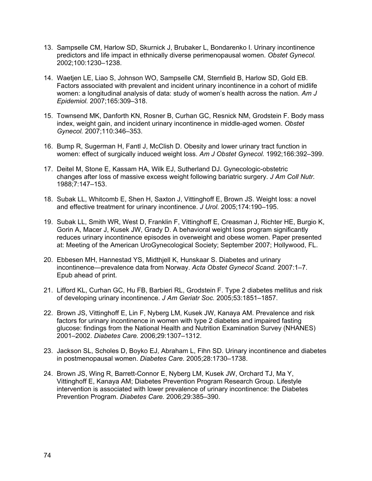- 13. Sampselle CM, Harlow SD, Skurnick J, Brubaker L, Bondarenko I. Urinary incontinence predictors and life impact in ethnically diverse perimenopausal women. *Obstet Gynecol.*  2002;100:1230–1238.
- 14. Waetjen LE, Liao S, Johnson WO, Sampselle CM, Sternfield B, Harlow SD, Gold EB. Factors associated with prevalent and incident urinary incontinence in a cohort of midlife women: a longitudinal analysis of data: study of women's health across the nation. *Am J Epidemiol.* 2007;165:309–318.
- 15. Townsend MK, Danforth KN, Rosner B, Curhan GC, Resnick NM, Grodstein F. Body mass index, weight gain, and incident urinary incontinence in middle-aged women. *Obstet Gynecol.* 2007;110:346–353.
- 16. Bump R, Sugerman H, Fantl J, McClish D. Obesity and lower urinary tract function in women: effect of surgically induced weight loss. *Am J Obstet Gynecol.* 1992;166:392–399.
- 17. Deitel M, Stone E, Kassam HA, Wilk EJ, Sutherland DJ. Gynecologic-obstetric changes after loss of massive excess weight following bariatric surgery. *J Am Coll Nutr.*  1988;7:147–153.
- 18. Subak LL, Whitcomb E, Shen H, Saxton J, Vittinghoff E, Brown JS. Weight loss: a novel and effective treatment for urinary incontinence. *J Urol.* 2005;174:190–195.
- 19. Subak LL, Smith WR, West D, Franklin F, Vittinghoff E, Creasman J, Richter HE, Burgio K, Gorin A, Macer J, Kusek JW, Grady D. A behavioral weight loss program significantly reduces urinary incontinence episodes in overweight and obese women. Paper presented at: Meeting of the American UroGynecological Society; September 2007; Hollywood, FL.
- 20. Ebbesen MH, Hannestad YS, Midthjell K, Hunskaar S. Diabetes and urinary incontinence—prevalence data from Norway. *Acta Obstet Gynecol Scand.* 2007:1–7. Epub ahead of print.
- 21. Lifford KL, Curhan GC, Hu FB, Barbieri RL, Grodstein F. Type 2 diabetes mellitus and risk of developing urinary incontinence. *J Am Geriatr Soc.* 2005;53:1851–1857.
- 22. Brown JS, Vittinghoff E, Lin F, Nyberg LM, Kusek JW, Kanaya AM. Prevalence and risk factors for urinary incontinence in women with type 2 diabetes and impaired fasting glucose: findings from the National Health and Nutrition Examination Survey (NHANES) 2001–2002. *Diabetes Care.* 2006;29:1307–1312.
- 23. Jackson SL, Scholes D, Boyko EJ, Abraham L, Fihn SD. Urinary incontinence and diabetes in postmenopausal women. *Diabetes Care.* 2005;28:1730–1738.
- 24. Brown JS, Wing R, Barrett-Connor E, Nyberg LM, Kusek JW, Orchard TJ, Ma Y, Vittinghoff E, Kanaya AM; Diabetes Prevention Program Research Group. Lifestyle intervention is associated with lower prevalence of urinary incontinence: the Diabetes Prevention Program. *Diabetes Care.* 2006;29:385–390.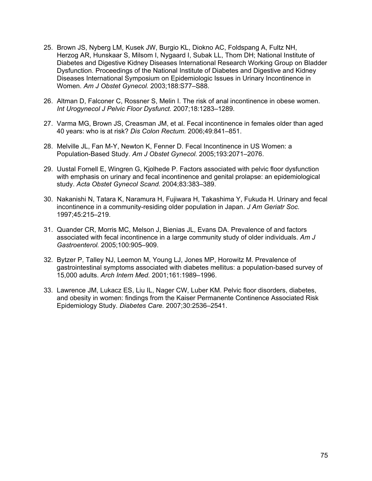- 25. Brown JS, Nyberg LM, Kusek JW, Burgio KL, Diokno AC, Foldspang A, Fultz NH, Herzog AR, Hunskaar S, Milsom I, Nygaard I, Subak LL, Thom DH; National Institute of Diabetes and Digestive Kidney Diseases International Research Working Group on Bladder Dysfunction. Proceedings of the National Institute of Diabetes and Digestive and Kidney Diseases International Symposium on Epidemiologic Issues in Urinary Incontinence in Women. *Am J Obstet Gynecol.* 2003;188:S77–S88.
- 26. Altman D, Falconer C, Rossner S, Melin I. The risk of anal incontinence in obese women. *Int Urogynecol J Pelvic Floor Dysfunct.* 2007;18:1283–1289.
- 27. Varma MG, Brown JS, Creasman JM, et al. Fecal incontinence in females older than aged 40 years: who is at risk? *Dis Colon Rectum.* 2006;49:841–851.
- 28. Melville JL, Fan M-Y, Newton K, Fenner D. Fecal Incontinence in US Women: a Population-Based Study. *Am J Obstet Gynecol.* 2005;193:2071–2076.
- 29. Uustal Fornell E, Wingren G, Kjolhede P. Factors associated with pelvic floor dysfunction with emphasis on urinary and fecal incontinence and genital prolapse: an epidemiological study. *Acta Obstet Gynecol Scand.* 2004;83:383–389.
- 30. Nakanishi N, Tatara K, Naramura H, Fujiwara H, Takashima Y, Fukuda H. Urinary and fecal incontinence in a community-residing older population in Japan. *J Am Geriatr Soc.*  1997;45:215–219.
- 31. Quander CR, Morris MC, Melson J, Bienias JL, Evans DA. Prevalence of and factors associated with fecal incontinence in a large community study of older individuals. *Am J Gastroenterol.* 2005;100:905–909.
- 32. Bytzer P, Talley NJ, Leemon M, Young LJ, Jones MP, Horowitz M. Prevalence of gastrointestinal symptoms associated with diabetes mellitus: a population-based survey of 15,000 adults. *Arch Intern Med.* 2001;161:1989–1996.
- 33. Lawrence JM, Lukacz ES, Liu IL, Nager CW, Luber KM. Pelvic floor disorders, diabetes, and obesity in women: findings from the Kaiser Permanente Continence Associated Risk Epidemiology Study. *Diabetes Care.* 2007;30:2536–2541.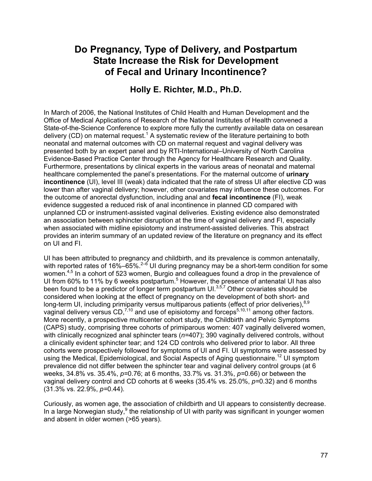# **Do Pregnancy, Type of Delivery, and Postpartum State Increase the Risk for Development of Fecal and Urinary Incontinence?**

## **Holly E. Richter, M.D., Ph.D.**

In March of 2006, the National Institutes of Child Health and Human Development and the Office of Medical Applications of Research of the National Institutes of Health convened a State-of-the-Science Conference to explore more fully the currently available data on cesarean delivery (CD) on maternal request.<sup>1</sup> A systematic review of the literature pertaining to both neonatal and maternal outcomes with CD on maternal request and vaginal delivery was presented both by an expert panel and by RTI-International–University of North Carolina Evidence-Based Practice Center through the Agency for Healthcare Research and Quality. Furthermore, presentations by clinical experts in the various areas of neonatal and maternal healthcare complemented the panel's presentations. For the maternal outcome of **urinary incontinence** (UI), level III (weak) data indicated that the rate of stress UI after elective CD was lower than after vaginal delivery; however, other covariates may influence these outcomes. For the outcome of anorectal dysfunction, including anal and **fecal incontinence** (FI), weak evidence suggested a reduced risk of anal incontinence in planned CD compared with unplanned CD or instrument-assisted vaginal deliveries. Existing evidence also demonstrated an association between sphincter disruption at the time of vaginal delivery and FI, especially when associated with midline episiotomy and instrument-assisted deliveries. This abstract provides an interim summary of an updated review of the literature on pregnancy and its effect on UI and FI.

UI has been attributed to pregnancy and childbirth, and its prevalence is common antenatally, with reported rates of 16%–65%.<sup>2–6</sup> UI during pregnancy may be a short-term condition for some women.<sup>4,5</sup> In a cohort of 523 women, Burgio and colleagues found a drop in the prevalence of UI from 60% to 11% by 6 weeks postpartum.<sup>5</sup> However, the presence of antenatal UI has also been found to be a predictor of longer term postpartum  $UI^{3,5,7}$  Other covariates should be considered when looking at the effect of pregnancy on the development of both short- and long-term UI, including primiparity versus multiparous patients (effect of prior deliveries),  $8,9$ vaginal delivery versus  $CD<sub>1</sub><sup>7,10</sup>$  and use of episiotomy and forceps<sup>5,10,11</sup> among other factors. More recently, a prospective multicenter cohort study, the Childbirth and Pelvic Symptoms (CAPS) study, comprising three cohorts of primiparous women: 407 vaginally delivered women, with clinically recognized anal sphincter tears (*n=*407); 390 vaginally delivered controls, without a clinically evident sphincter tear; and 124 CD controls who delivered prior to labor. All three cohorts were prospectively followed for symptoms of UI and FI. UI symptoms were assessed by using the Medical, Epidemiological, and Social Aspects of Aging questionnaire.<sup>12</sup> UI symptom prevalence did not differ between the sphincter tear and vaginal delivery control groups (at 6 weeks, 34.8% vs. 35.4%, *p=*0.76; at 6 months, 33.7% vs. 31.3%, *p=*0.66) or between the vaginal delivery control and CD cohorts at 6 weeks (35.4% vs. 25.0%, *p=*0.32) and 6 months (31.3% vs. 22.9%, *p=*0.44).

Curiously, as women age, the association of childbirth and UI appears to consistently decrease. In a large Norwegian study,<sup>9</sup> the relationship of UI with parity was significant in younger women and absent in older women (>65 years).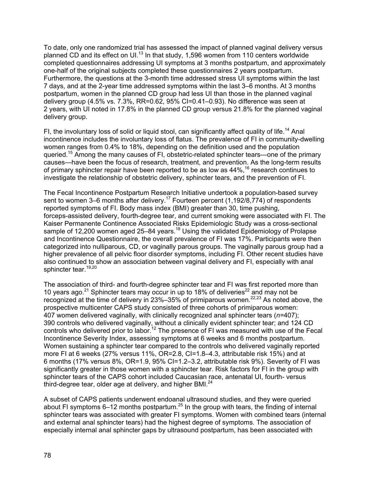To date, only one randomized trial has assessed the impact of planned vaginal delivery versus planned CD and its effect on UI.<sup>13</sup> In that study, 1,596 women from 110 centers worldwide completed questionnaires addressing UI symptoms at 3 months postpartum, and approximately one-half of the original subjects completed these questionnaires 2 years postpartum. Furthermore, the questions at the 3-month time addressed stress UI symptoms within the last 7 days, and at the 2-year time addressed symptoms within the last 3–6 months. At 3 months postpartum, women in the planned CD group had less UI than those in the planned vaginal delivery group (4.5% vs. 7.3%, RR=0.62, 95% CI=0.41–0.93). No difference was seen at 2 years, with UI noted in 17.8% in the planned CD group versus 21.8% for the planned vaginal delivery group.

FI, the involuntary loss of solid or liquid stool, can significantly affect quality of life.<sup>14</sup> Anal incontinence includes the involuntary loss of flatus. The prevalence of FI in community-dwelling women ranges from 0.4% to 18%, depending on the definition used and the population queried.<sup>15</sup> Among the many causes of FI, obstetric-related sphincter tears—one of the primary causes—have been the focus of research, treatment, and prevention. As the long-term results of primary sphincter repair have been reported to be as low as 44%,<sup>16</sup> research continues to investigate the relationship of obstetric delivery, sphincter tears, and the prevention of FI.

The Fecal Incontinence Postpartum Research Initiative undertook a population-based survey sent to women 3–6 months after delivery.<sup>17</sup> Fourteen percent (1,192/8,774) of respondents reported symptoms of FI. Body mass index (BMI) greater than 30, time pushing, forceps-assisted delivery, fourth-degree tear, and current smoking were associated with FI. The Kaiser Permanente Continence Associated Risks Epidemiologic Study was a cross-sectional sample of 12,200 women aged 25–84 years.<sup>18</sup> Using the validated Epidemiology of Prolapse and Incontinence Questionnaire, the overall prevalence of FI was 17%. Participants were then categorized into nulliparous, CD, or vaginally parous groups. The vaginally parous group had a higher prevalence of all pelvic floor disorder symptoms, including FI. Other recent studies have also continued to show an association between vaginal delivery and FI, especially with anal sphincter tear.<sup>19,20</sup>

The association of third- and fourth-degree sphincter tear and FI was first reported more than 10 years ago.<sup>21</sup> Sphincter tears may occur in up to 18% of deliveries<sup>22</sup> and may not be recognized at the time of delivery in 23%–35% of primiparous women.<sup>22,23</sup> As noted above, the prospective multicenter CAPS study consisted of three cohorts of primiparous women: 407 women delivered vaginally, with clinically recognized anal sphincter tears (*n=*407); 390 controls who delivered vaginally, without a clinically evident sphincter tear; and 124 CD controls who delivered prior to labor.<sup>12</sup> The presence of FI was measured with use of the Fecal Incontinence Severity Index, assessing symptoms at 6 weeks and 6 months postpartum. Women sustaining a sphincter tear compared to the controls who delivered vaginally reported more FI at 6 weeks (27% versus 11%, OR=2.8, CI=1.8–4.3, attributable risk 15%) and at 6 months (17% versus 8%, OR=1.9, 95% CI=1.2–3.2, attributable risk 9%). Severity of FI was significantly greater in those women with a sphincter tear. Risk factors for FI in the group with sphincter tears of the CAPS cohort included Caucasian race, antenatal UI, fourth- versus third-degree tear, older age at delivery, and higher BMI. $^{24}$ 

A subset of CAPS patients underwent endoanal ultrasound studies, and they were queried about FI symptoms 6-12 months postpartum.<sup>25</sup> In the group with tears, the finding of internal sphincter tears was associated with greater FI symptoms. Women with combined tears (internal and external anal sphincter tears) had the highest degree of symptoms. The association of especially internal anal sphincter gaps by ultrasound postpartum, has been associated with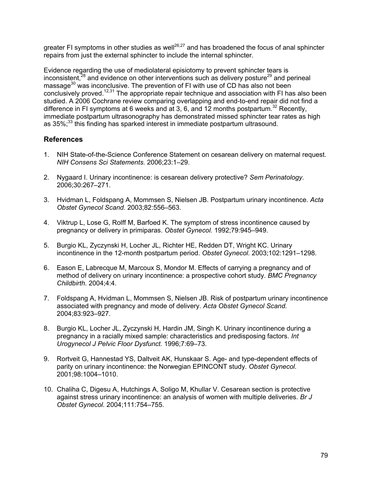greater FI symptoms in other studies as well<sup>26,27</sup> and has broadened the focus of anal sphincter repairs from just the external sphincter to include the internal sphincter.

Evidence regarding the use of mediolateral episiotomy to prevent sphincter tears is inconsistent, $^{28}$  and evidence on other interventions such as delivery posture<sup>29</sup> and perineal massage<sup>30</sup> was inconclusive. The prevention of FI with use of CD has also not been conclusively proved.12,31 The appropriate repair technique and association with FI has also been studied. A 2006 Cochrane review comparing overlapping and end-to-end repair did not find a difference in FI symptoms at 6 weeks and at 3, 6, and 12 months postpartum.<sup>32</sup> Recently, immediate postpartum ultrasonography has demonstrated missed sphincter tear rates as high as  $35\%$ ;<sup>33</sup> this finding has sparked interest in immediate postpartum ultrasound.

- 1. NIH State-of-the-Science Conference Statement on cesarean delivery on maternal request. *NIH Consens Sci Statements.* 2006;23:1–29.
- 2. Nygaard I. Urinary incontinence: is cesarean delivery protective? *Sem Perinatology.*  2006;30:267–271.
- 3. Hvidman L, Foldspang A, Mommsen S, Nielsen JB. Postpartum urinary incontinence. *Acta Obstet Gynecol Scand.* 2003;82:556–563.
- 4. Viktrup L, Lose G, Rolff M, Barfoed K. The symptom of stress incontinence caused by pregnancy or delivery in primiparas. *Obstet Gynecol.* 1992;79:945–949.
- 5. Burgio KL, Zyczynski H, Locher JL, Richter HE, Redden DT, Wright KC. Urinary incontinence in the 12-month postpartum period. *Obstet Gynecol.* 2003;102:1291–1298.
- 6. Eason E, Labrecque M, Marcoux S, Mondor M. Effects of carrying a pregnancy and of method of delivery on urinary incontinence: a prospective cohort study. *BMC Pregnancy Childbirth.* 2004;4:4.
- 7. Foldspang A, Hvidman L, Mommsen S, Nielsen JB. Risk of postpartum urinary incontinence associated with pregnancy and mode of delivery. *Acta Obstet Gynecol Scand.*  2004;83:923–927.
- 8. Burgio KL, Locher JL, Zyczynski H, Hardin JM, Singh K. Urinary incontinence during a pregnancy in a racially mixed sample: characteristics and predisposing factors. *Int Urogynecol J Pelvic Floor Dysfunct.* 1996;7:69–73.
- 9. Rortveit G, Hannestad YS, Daltveit AK, Hunskaar S. Age- and type-dependent effects of parity on urinary incontinence: the Norwegian EPINCONT study. *Obstet Gynecol.*  2001;98:1004–1010.
- 10. Chaliha C, Digesu A, Hutchings A, Soligo M, Khullar V. Cesarean section is protective against stress urinary incontinence: an analysis of women with multiple deliveries. *Br J Obstet Gynecol.* 2004;111:754–755.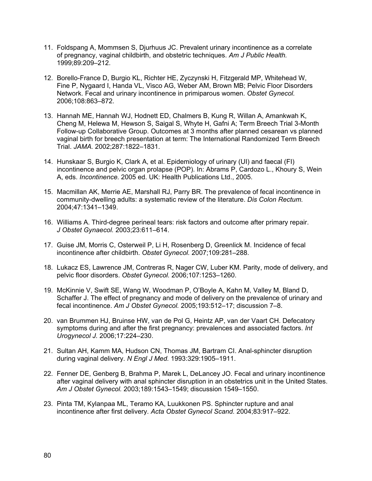- 11. Foldspang A, Mommsen S, Djurhuus JC. Prevalent urinary incontinence as a correlate of pregnancy, vaginal childbirth, and obstetric techniques. *Am J Public Health.*  1999;89:209–212.
- 12. Borello-France D, Burgio KL, Richter HE, Zyczynski H, Fitzgerald MP, Whitehead W, Fine P, Nygaard I, Handa VL, Visco AG, Weber AM, Brown MB; Pelvic Floor Disorders Network. Fecal and urinary incontinence in primiparous women. *Obstet Gynecol.*  2006;108:863–872.
- 13. Hannah ME, Hannah WJ, Hodnett ED, Chalmers B, Kung R, Willan A, Amankwah K, Cheng M, Helewa M, Hewson S, Saigal S, Whyte H, Gafni A; Term Breech Trial 3-Month Follow-up Collaborative Group. Outcomes at 3 months after planned cesarean vs planned vaginal birth for breech presentation at term: The International Randomized Term Breech Trial. *JAMA.* 2002;287:1822–1831.
- 14. Hunskaar S, Burgio K, Clark A, et al. Epidemiology of urinary (UI) and faecal (FI) incontinence and pelvic organ prolapse (POP). In: Abrams P, Cardozo L., Khoury S, Wein A, eds. *Incontinence.* 2005 ed. UK: Health Publications Ltd., 2005.
- 15. Macmillan AK, Merrie AE, Marshall RJ, Parry BR. The prevalence of fecal incontinence in community-dwelling adults: a systematic review of the literature. *Dis Colon Rectum.*  2004;47:1341–1349.
- 16. Williams A. Third-degree perineal tears: risk factors and outcome after primary repair. *J Obstet Gynaecol.* 2003;23:611–614.
- 17. Guise JM, Morris C, Osterweil P, Li H, Rosenberg D, Greenlick M. Incidence of fecal incontinence after childbirth. *Obstet Gynecol.* 2007;109:281–288.
- 18. Lukacz ES, Lawrence JM, Contreras R, Nager CW, Luber KM. Parity, mode of delivery, and pelvic floor disorders. *Obstet Gynecol.* 2006;107:1253–1260.
- 19. McKinnie V, Swift SE, Wang W, Woodman P, O'Boyle A, Kahn M, Valley M, Bland D, Schaffer J. The effect of pregnancy and mode of delivery on the prevalence of urinary and fecal incontinence. *Am J Obstet Gynecol.* 2005;193:512–17; discussion 7–8.
- 20. van Brummen HJ, Bruinse HW, van de Pol G, Heintz AP, van der Vaart CH. Defecatory symptoms during and after the first pregnancy: prevalences and associated factors. *Int Urogynecol J.* 2006;17:224–230.
- 21. Sultan AH, Kamm MA, Hudson CN, Thomas JM, Bartram CI. Anal-sphincter disruption during vaginal delivery. *N Engl J Med.* 1993:329:1905–1911.
- 22. Fenner DE, Genberg B, Brahma P, Marek L, DeLancey JO. Fecal and urinary incontinence after vaginal delivery with anal sphincter disruption in an obstetrics unit in the United States. *Am J Obstet Gynecol.* 2003;189:1543–1549; discussion 1549–1550.
- 23. Pinta TM, Kylanpaa ML, Teramo KA, Luukkonen PS. Sphincter rupture and anal incontinence after first delivery. *Acta Obstet Gynecol Scand.* 2004;83:917–922.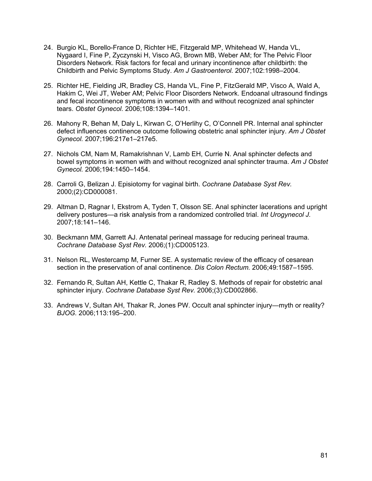- 24. Burgio KL, Borello-France D, Richter HE, Fitzgerald MP, Whitehead W, Handa VL, Nygaard I, Fine P, Zyczynski H, Visco AG, Brown MB, Weber AM; for The Pelvic Floor Disorders Network. Risk factors for fecal and urinary incontinence after childbirth: the Childbirth and Pelvic Symptoms Study. *Am J Gastroenterol.* 2007;102:1998–2004.
- 25. Richter HE, Fielding JR, Bradley CS, Handa VL, Fine P, FitzGerald MP, Visco A, Wald A, Hakim C, Wei JT, Weber AM; Pelvic Floor Disorders Network. Endoanal ultrasound findings and fecal incontinence symptoms in women with and without recognized anal sphincter tears. *Obstet Gynecol.* 2006;108:1394–1401.
- 26. Mahony R, Behan M, Daly L, Kirwan C, O'Herlihy C, O'Connell PR. Internal anal sphincter defect influences continence outcome following obstetric anal sphincter injury. *Am J Obstet Gynecol.* 2007;196:217e1–217e5.
- 27. Nichols CM, Nam M, Ramakrishnan V, Lamb EH, Currie N. Anal sphincter defects and bowel symptoms in women with and without recognized anal sphincter trauma. *Am J Obstet Gynecol.* 2006;194:1450–1454.
- 28. Carroli G, Belizan J. Episiotomy for vaginal birth. *Cochrane Database Syst Rev.*  2000;(2):CD000081.
- 29. Altman D, Ragnar I, Ekstrom A, Tyden T, Olsson SE. Anal sphincter lacerations and upright delivery postures—a risk analysis from a randomized controlled trial. *Int Urogynecol J.*  2007;18:141–146.
- 30. Beckmann MM, Garrett AJ. Antenatal perineal massage for reducing perineal trauma. *Cochrane Database Syst Rev.* 2006;(1):CD005123.
- 31. Nelson RL, Westercamp M, Furner SE. A systematic review of the efficacy of cesarean section in the preservation of anal continence. *Dis Colon Rectum.* 2006;49:1587–1595.
- 32. Fernando R, Sultan AH, Kettle C, Thakar R, Radley S. Methods of repair for obstetric anal sphincter injury. *Cochrane Database Syst Rev.* 2006;(3):CD002866.
- 33. Andrews V, Sultan AH, Thakar R, Jones PW. Occult anal sphincter injury—myth or reality? *BJOG.* 2006;113:195–200.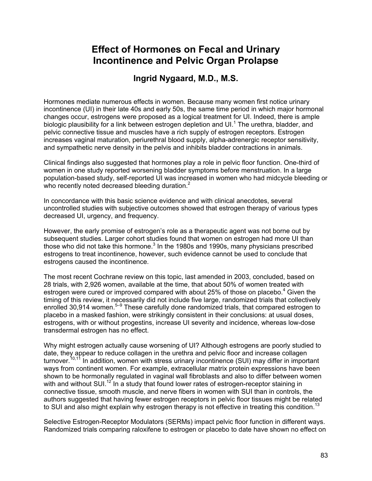# **Effect of Hormones on Fecal and Urinary Incontinence and Pelvic Organ Prolapse**

## **Ingrid Nygaard, M.D., M.S.**

Hormones mediate numerous effects in women. Because many women first notice urinary incontinence (UI) in their late 40s and early 50s, the same time period in which major hormonal changes occur, estrogens were proposed as a logical treatment for UI. Indeed, there is ample biologic plausibility for a link between estrogen depletion and UI.<sup>1</sup> The urethra, bladder, and pelvic connective tissue and muscles have a rich supply of estrogen receptors. Estrogen increases vaginal maturation, periurethral blood supply, alpha-adrenergic receptor sensitivity, and sympathetic nerve density in the pelvis and inhibits bladder contractions in animals.

Clinical findings also suggested that hormones play a role in pelvic floor function. One-third of women in one study reported worsening bladder symptoms before menstruation. In a large population-based study, self-reported UI was increased in women who had midcycle bleeding or who recently noted decreased bleeding duration.<sup>2</sup>

In concordance with this basic science evidence and with clinical anecdotes, several uncontrolled studies with subjective outcomes showed that estrogen therapy of various types decreased UI, urgency, and frequency.

However, the early promise of estrogen's role as a therapeutic agent was not borne out by subsequent studies. Larger cohort studies found that women on estrogen had more UI than those who did not take this hormone. $3$  In the 1980s and 1990s, many physicians prescribed estrogens to treat incontinence, however, such evidence cannot be used to conclude that estrogens caused the incontinence.

The most recent Cochrane review on this topic, last amended in 2003, concluded, based on 28 trials, with 2,926 women, available at the time, that about 50% of women treated with estrogen were cured or improved compared with about 25% of those on placebo.<sup>4</sup> Given the timing of this review, it necessarily did not include five large, randomized trials that collectively enrolled 30,914 women.<sup>5–9</sup> These carefully done randomized trials, that compared estrogen to placebo in a masked fashion, were strikingly consistent in their conclusions: at usual doses, estrogens, with or without progestins, increase UI severity and incidence, whereas low-dose transdermal estrogen has no effect.

Why might estrogen actually cause worsening of UI? Although estrogens are poorly studied to date, they appear to reduce collagen in the urethra and pelvic floor and increase collagen turnover.<sup>10,11</sup> In addition, women with stress urinary incontinence (SUI) may differ in important ways from continent women. For example, extracellular matrix protein expressions have been shown to be hormonally regulated in vaginal wall fibroblasts and also to differ between women with and without SUI.<sup>12</sup> In a study that found lower rates of estrogen-receptor staining in connective tissue, smooth muscle, and nerve fibers in women with SUI than in controls, the authors suggested that having fewer estrogen receptors in pelvic floor tissues might be related to SUI and also might explain why estrogen therapy is not effective in treating this condition.<sup>13</sup>

Selective Estrogen-Receptor Modulators (SERMs) impact pelvic floor function in different ways. Randomized trials comparing raloxifene to estrogen or placebo to date have shown no effect on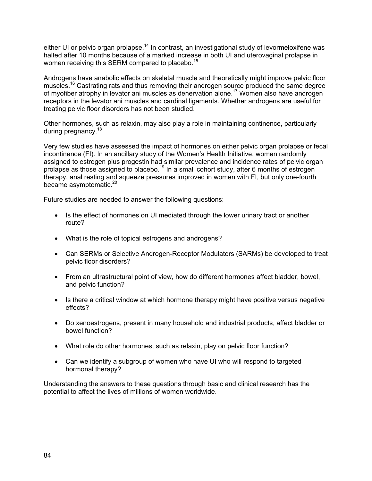either UI or pelvic organ prolapse.<sup>14</sup> In contrast, an investigational study of levormeloxifene was halted after 10 months because of a marked increase in both UI and uterovaginal prolapse in women receiving this SERM compared to placebo.<sup>15</sup>

Androgens have anabolic effects on skeletal muscle and theoretically might improve pelvic floor muscles.<sup>16</sup> Castrating rats and thus removing their androgen source produced the same degree of myofiber atrophy in levator ani muscles as denervation alone.17 Women also have androgen receptors in the levator ani muscles and cardinal ligaments. Whether androgens are useful for treating pelvic floor disorders has not been studied.

Other hormones, such as relaxin, may also play a role in maintaining continence, particularly during pregnancy.<sup>18</sup>

Very few studies have assessed the impact of hormones on either pelvic organ prolapse or fecal incontinence (FI). In an ancillary study of the Women's Health Initiative, women randomly assigned to estrogen plus progestin had similar prevalence and incidence rates of pelvic organ prolapse as those assigned to placebo.<sup>19</sup> In a small cohort study, after 6 months of estrogen therapy, anal resting and squeeze pressures improved in women with FI, but only one-fourth became asymptomatic. $20$ 

Future studies are needed to answer the following questions:

- Is the effect of hormones on UI mediated through the lower urinary tract or another route?
- What is the role of topical estrogens and androgens?
- Can SERMs or Selective Androgen-Receptor Modulators (SARMs) be developed to treat pelvic floor disorders?
- From an ultrastructural point of view, how do different hormones affect bladder, bowel, and pelvic function?
- Is there a critical window at which hormone therapy might have positive versus negative effects?
- Do xenoestrogens, present in many household and industrial products, affect bladder or bowel function?
- What role do other hormones, such as relaxin, play on pelvic floor function?
- Can we identify a subgroup of women who have UI who will respond to targeted hormonal therapy?

Understanding the answers to these questions through basic and clinical research has the potential to affect the lives of millions of women worldwide.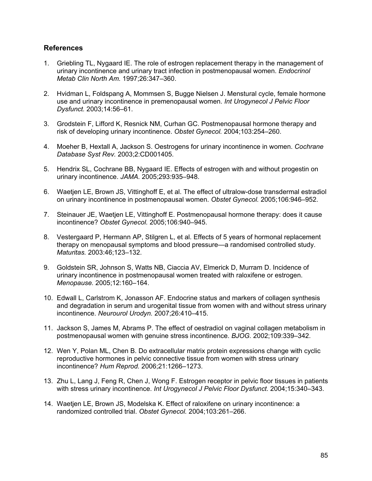- 1. Griebling TL, Nygaard IE. The role of estrogen replacement therapy in the management of urinary incontinence and urinary tract infection in postmenopausal women. *Endocrinol Metab Clin North Am.* 1997;26:347–360.
- 2. Hvidman L, Foldspang A, Mommsen S, Bugge Nielsen J. Menstural cycle, female hormone use and urinary incontinence in premenopausal women. *Int Urogynecol J Pelvic Floor Dysfunct.* 2003;14:56–61.
- 3. Grodstein F, Lifford K, Resnick NM, Curhan GC. Postmenopausal hormone therapy and risk of developing urinary incontinence. *Obstet Gynecol.* 2004;103:254–260.
- 4. Moeher B, Hextall A, Jackson S. Oestrogens for urinary incontinence in women. *Cochrane Database Syst Rev.* 2003;2:CD001405.
- 5. Hendrix SL, Cochrane BB, Nygaard IE. Effects of estrogen with and without progestin on urinary incontinence. *JAMA.* 2005;293:935–948.
- 6. Waetjen LE, Brown JS, Vittinghoff E, et al. The effect of ultralow-dose transdermal estradiol on urinary incontinence in postmenopausal women. *Obstet Gynecol.* 2005;106:946–952.
- 7. Steinauer JE, Waetjen LE, Vittinghoff E. Postmenopausal hormone therapy: does it cause incontinence? *Obstet Gynecol.* 2005;106:940–945.
- 8. Vestergaard P, Hermann AP, Stilgren L, et al. Effects of 5 years of hormonal replacement therapy on menopausal symptoms and blood pressure—a randomised controlled study. *Maturitas.* 2003:46;123–132.
- 9. Goldstein SR, Johnson S, Watts NB, Ciaccia AV, Elmerick D, Murram D. Incidence of urinary incontinence in postmenopausal women treated with raloxifene or estrogen. *Menopause.* 2005;12:160–164.
- 10. Edwall L, Carlstrom K, Jonasson AF. Endocrine status and markers of collagen synthesis and degradation in serum and urogenital tissue from women with and without stress urinary incontinence. *Neurourol Urodyn.* 2007;26:410–415.
- 11. Jackson S, James M, Abrams P. The effect of oestradiol on vaginal collagen metabolism in postmenopausal women with genuine stress incontinence. *BJOG.* 2002;109:339–342.
- 12. Wen Y, Polan ML, Chen B. Do extracellular matrix protein expressions change with cyclic reproductive hormones in pelvic connective tissue from women with stress urinary incontinence? *Hum Reprod.* 2006;21:1266–1273.
- 13. Zhu L, Lang J, Feng R, Chen J, Wong F. Estrogen receptor in pelvic floor tissues in patients with stress urinary incontinence. *Int Urogynecol J Pelvic Floor Dysfunct.* 2004;15:340–343.
- 14. Waetjen LE, Brown JS, Modelska K. Effect of raloxifene on urinary incontinence: a randomized controlled trial. *Obstet Gynecol.* 2004;103:261–266.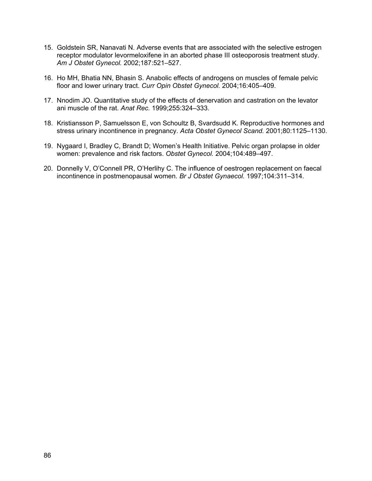- 15. Goldstein SR, Nanavati N. Adverse events that are associated with the selective estrogen receptor modulator levormeloxifene in an aborted phase III osteoporosis treatment study. *Am J Obstet Gynecol.* 2002;187:521–527.
- 16. Ho MH, Bhatia NN, Bhasin S. Anabolic effects of androgens on muscles of female pelvic floor and lower urinary tract. *Curr Opin Obstet Gynecol.* 2004;16:405–409.
- 17. Nnodim JO. Quantitative study of the effects of denervation and castration on the levator ani muscle of the rat. *Anat Rec.* 1999;255:324–333.
- 18. Kristiansson P, Samuelsson E, von Schoultz B, Svardsudd K. Reproductive hormones and stress urinary incontinence in pregnancy. *Acta Obstet Gynecol Scand.* 2001;80:1125–1130.
- 19. Nygaard I, Bradley C, Brandt D; Women's Health Initiative. Pelvic organ prolapse in older women: prevalence and risk factors. *Obstet Gynecol.* 2004;104:489–497.
- 20. Donnelly V, O'Connell PR, O'Herlihy C. The influence of oestrogen replacement on faecal incontinence in postmenopausal women. *Br J Obstet Gynaecol.* 1997;104:311–314.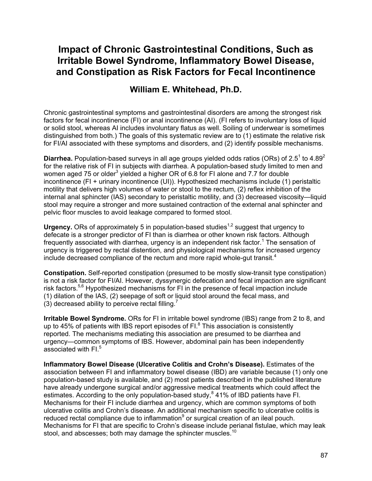# **Impact of Chronic Gastrointestinal Conditions, Such as Irritable Bowel Syndrome, Inflammatory Bowel Disease, and Constipation as Risk Factors for Fecal Incontinence**

## **William E. Whitehead, Ph.D.**

Chronic gastrointestinal symptoms and gastrointestinal disorders are among the strongest risk factors for fecal incontinence (FI) or anal incontinence (AI). (FI refers to involuntary loss of liquid or solid stool, whereas AI includes involuntary flatus as well. Soiling of underwear is sometimes distinguished from both.) The goals of this systematic review are to (1) estimate the relative risk for FI/AI associated with these symptoms and disorders, and (2) identify possible mechanisms.

**Diarrhea.** Population-based surveys in all age groups yielded odds ratios (ORs) of 2.5<sup>1</sup> to 4.89<sup>2</sup> for the relative risk of FI in subjects with diarrhea. A population-based study limited to men and women aged 75 or older<sup>3</sup> yielded a higher OR of 6.8 for FI alone and 7.7 for double incontinence (FI + urinary incontinence (UI)). Hypothesized mechanisms include (1) peristaltic motility that delivers high volumes of water or stool to the rectum, (2) reflex inhibition of the internal anal sphincter (IAS) secondary to peristaltic motility, and (3) decreased viscosity—liquid stool may require a stronger and more sustained contraction of the external anal sphincter and pelvic floor muscles to avoid leakage compared to formed stool.

**Urgency.** ORs of approximately 5 in population-based studies<sup>1,2</sup> suggest that urgency to defecate is a stronger predictor of FI than is diarrhea or other known risk factors. Although frequently associated with diarrhea, urgency is an independent risk factor.<sup>1</sup> The sensation of urgency is triggered by rectal distention, and physiological mechanisms for increased urgency include decreased compliance of the rectum and more rapid whole-gut transit.<sup>4</sup>

**Constipation.** Self-reported constipation (presumed to be mostly slow-transit type constipation) is not a risk factor for FI/AI. However, dyssynergic defecation and fecal impaction are significant risk factors.5,6 Hypothesized mechanisms for FI in the presence of fecal impaction include (1) dilation of the IAS, (2) seepage of soft or liquid stool around the fecal mass, and (3) decreased ability to perceive rectal filling.<sup>7</sup>

**Irritable Bowel Syndrome.** ORs for FI in irritable bowel syndrome (IBS) range from 2 to 8, and up to 45% of patients with IBS report episodes of  $FI.^8$  This association is consistently reported. The mechanisms mediating this association are presumed to be diarrhea and urgency—common symptoms of IBS. However, abdominal pain has been independently associated with FI.<sup>5</sup>

**Inflammatory Bowel Disease (Ulcerative Colitis and Crohn's Disease).** Estimates of the association between FI and inflammatory bowel disease (IBD) are variable because (1) only one population-based study is available, and (2) most patients described in the published literature have already undergone surgical and/or aggressive medical treatments which could affect the estimates. According to the only population-based study, $8$  41% of IBD patients have FI. Mechanisms for their FI include diarrhea and urgency, which are common symptoms of both ulcerative colitis and Crohn's disease. An additional mechanism specific to ulcerative colitis is reduced rectal compliance due to inflammation $9$  or surgical creation of an ileal pouch. Mechanisms for FI that are specific to Crohn's disease include perianal fistulae, which may leak stool, and abscesses; both may damage the sphincter muscles.<sup>10</sup>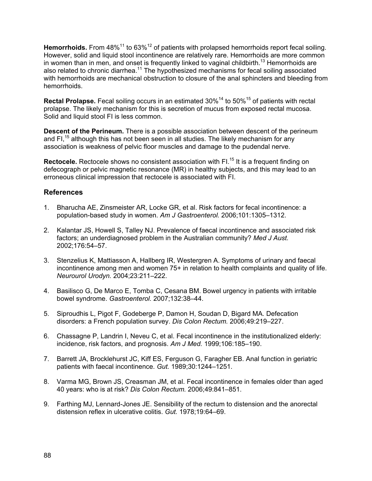Hemorrhoids. From 48%<sup>11</sup> to 63%<sup>12</sup> of patients with prolapsed hemorrhoids report fecal soiling. However, solid and liquid stool incontinence are relatively rare. Hemorrhoids are more common in women than in men, and onset is frequently linked to vaginal childbirth.<sup>13</sup> Hemorrhoids are also related to chronic diarrhea.<sup>11</sup> The hypothesized mechanisms for fecal soiling associated with hemorrhoids are mechanical obstruction to closure of the anal sphincters and bleeding from hemorrhoids.

**Rectal Prolapse.** Fecal soiling occurs in an estimated 30%<sup>14</sup> to 50%<sup>15</sup> of patients with rectal prolapse. The likely mechanism for this is secretion of mucus from exposed rectal mucosa. Solid and liquid stool FI is less common.

**Descent of the Perineum.** There is a possible association between descent of the perineum and FI $15$  although this has not been seen in all studies. The likely mechanism for any association is weakness of pelvic floor muscles and damage to the pudendal nerve.

**Rectocele.** Rectocele shows no consistent association with FI.<sup>15</sup> It is a frequent finding on defecograph or pelvic magnetic resonance (MR) in healthy subjects, and this may lead to an erroneous clinical impression that rectocele is associated with FI.

- 1. Bharucha AE, Zinsmeister AR, Locke GR, et al. Risk factors for fecal incontinence: a population-based study in women. *Am J Gastroenterol.* 2006;101:1305–1312.
- 2. Kalantar JS, Howell S, Talley NJ. Prevalence of faecal incontinence and associated risk factors; an underdiagnosed problem in the Australian community? *Med J Aust.*  2002;176:54–57.
- 3. Stenzelius K, Mattiasson A, Hallberg IR, Westergren A. Symptoms of urinary and faecal incontinence among men and women 75+ in relation to health complaints and quality of life. *Neurourol Urodyn.* 2004;23:211–222.
- 4. Basilisco G, De Marco E, Tomba C, Cesana BM. Bowel urgency in patients with irritable bowel syndrome. *Gastroenterol.* 2007;132:38–44.
- 5. Siproudhis L, Pigot F, Godeberge P, Damon H, Soudan D, Bigard MA. Defecation disorders: a French population survey. *Dis Colon Rectum.* 2006;49:219–227.
- 6. Chassagne P, Landrin I, Neveu C, et al. Fecal incontinence in the institutionalized elderly: incidence, risk factors, and prognosis. *Am J Med.* 1999;106:185–190.
- 7. Barrett JA, Brocklehurst JC, Kiff ES, Ferguson G, Faragher EB. Anal function in geriatric patients with faecal incontinence. *Gut.* 1989;30:1244–1251.
- 8. Varma MG, Brown JS, Creasman JM, et al. Fecal incontinence in females older than aged 40 years: who is at risk? *Dis Colon Rectum.* 2006;49:841–851.
- 9. Farthing MJ, Lennard-Jones JE. Sensibility of the rectum to distension and the anorectal distension reflex in ulcerative colitis. *Gut.* 1978;19:64–69.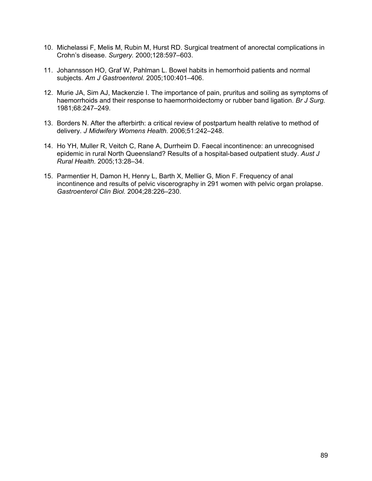- 10. Michelassi F, Melis M, Rubin M, Hurst RD. Surgical treatment of anorectal complications in Crohn's disease. *Surgery.* 2000;128:597–603.
- 11. Johannsson HO, Graf W, Pahlman L. Bowel habits in hemorrhoid patients and normal subjects. *Am J Gastroenterol.* 2005;100:401–406.
- 12. Murie JA, Sim AJ, Mackenzie I. The importance of pain, pruritus and soiling as symptoms of haemorrhoids and their response to haemorrhoidectomy or rubber band ligation. *Br J Surg.*  1981;68:247–249.
- 13. Borders N. After the afterbirth: a critical review of postpartum health relative to method of delivery. *J Midwifery Womens Health.* 2006;51:242–248.
- 14. Ho YH, Muller R, Veitch C, Rane A, Durrheim D. Faecal incontinence: an unrecognised epidemic in rural North Queensland? Results of a hospital-based outpatient study. *Aust J Rural Health.* 2005;13:28–34.
- 15. Parmentier H, Damon H, Henry L, Barth X, Mellier G, Mion F. Frequency of anal incontinence and results of pelvic viscerography in 291 women with pelvic organ prolapse. *Gastroenterol Clin Biol.* 2004;28:226–230.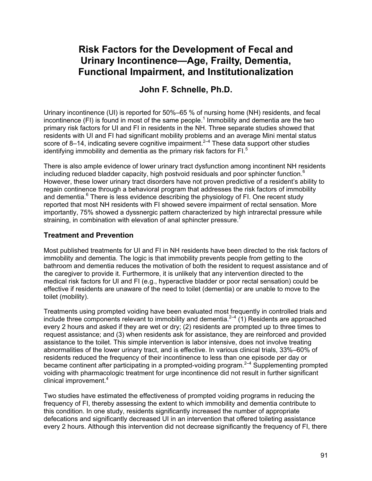# **Risk Factors for the Development of Fecal and Urinary Incontinence—Age, Frailty, Dementia, Functional Impairment, and Institutionalization**

## **John F. Schnelle, Ph.D.**

Urinary incontinence (UI) is reported for 50%–65 % of nursing home (NH) residents, and fecal incontinence (FI) is found in most of the same people.<sup>1</sup> Immobility and dementia are the two primary risk factors for UI and FI in residents in the NH. Three separate studies showed that residents with UI and FI had significant mobility problems and an average Mini mental status score of 8–14, indicating severe cognitive impairment.<sup>2–4</sup> These data support other studies identifying immobility and dementia as the primary risk factors for  $F1.5$ 

There is also ample evidence of lower urinary tract dysfunction among incontinent NH residents including reduced bladder capacity, high postvoid residuals and poor sphincter function.<sup>6</sup> However, these lower urinary tract disorders have not proven predictive of a resident's ability to regain continence through a behavioral program that addresses the risk factors of immobility and dementia. $6$  There is less evidence describing the physiology of FI. One recent study reported that most NH residents with FI showed severe impairment of rectal sensation. More importantly, 75% showed a dyssnergic pattern characterized by high intrarectal pressure while straining, in combination with elevation of anal sphincter pressure.<sup>7</sup>

### **Treatment and Prevention**

Most published treatments for UI and FI in NH residents have been directed to the risk factors of immobility and dementia. The logic is that immobility prevents people from getting to the bathroom and dementia reduces the motivation of both the resident to request assistance and of the caregiver to provide it. Furthermore, it is unlikely that any intervention directed to the medical risk factors for UI and FI (e.g., hyperactive bladder or poor rectal sensation) could be effective if residents are unaware of the need to toilet (dementia) or are unable to move to the toilet (mobility).

Treatments using prompted voiding have been evaluated most frequently in controlled trials and include three components relevant to immobility and dementia.<sup>2–4</sup> (1) Residents are approached every 2 hours and asked if they are wet or dry; (2) residents are prompted up to three times to request assistance; and (3) when residents ask for assistance, they are reinforced and provided assistance to the toilet. This simple intervention is labor intensive, does not involve treating abnormalities of the lower urinary tract, and is effective. In various clinical trials, 33%–60% of residents reduced the frequency of their incontinence to less than one episode per day or became continent after participating in a prompted-voiding program. $2-4$  Supplementing prompted voiding with pharmacologic treatment for urge incontinence did not result in further significant clinical improvement.<sup>4</sup>

Two studies have estimated the effectiveness of prompted voiding programs in reducing the frequency of FI, thereby assessing the extent to which immobility and dementia contribute to this condition. In one study, residents significantly increased the number of appropriate defecations and significantly decreased UI in an intervention that offered toileting assistance every 2 hours. Although this intervention did not decrease significantly the frequency of FI, there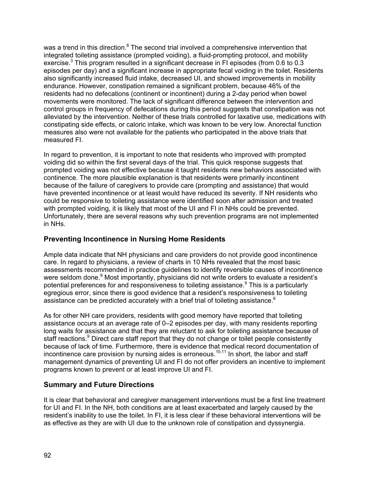was a trend in this direction.<sup>8</sup> The second trial involved a comprehensive intervention that integrated toileting assistance (prompted voiding), a fluid-prompting protocol, and mobility exercise. $3$  This program resulted in a significant decrease in FI episodes (from 0.6 to 0.3 episodes per day) and a significant increase in appropriate fecal voiding in the toilet. Residents also significantly increased fluid intake, decreased UI, and showed improvements in mobility endurance. However, constipation remained a significant problem, because 46% of the residents had no defecations (continent or incontinent) during a 2-day period when bowel movements were monitored. The lack of significant difference between the intervention and control groups in frequency of defecations during this period suggests that constipation was not alleviated by the intervention. Neither of these trials controlled for laxative use, medications with constipating side effects, or caloric intake, which was known to be very low. Anorectal function measures also were not available for the patients who participated in the above trials that measured FI.

In regard to prevention, it is important to note that residents who improved with prompted voiding did so within the first several days of the trial. This quick response suggests that prompted voiding was not effective because it taught residents new behaviors associated with continence. The more plausible explanation is that residents were primarily incontinent because of the failure of caregivers to provide care (prompting and assistance) that would have prevented incontinence or at least would have reduced its severity. If NH residents who could be responsive to toileting assistance were identified soon after admission and treated with prompted voiding, it is likely that most of the UI and FI in NHs could be prevented. Unfortunately, there are several reasons why such prevention programs are not implemented in NHs.

### **Preventing Incontinence in Nursing Home Residents**

Ample data indicate that NH physicians and care providers do not provide good incontinence care. In regard to physicians, a review of charts in 10 NHs revealed that the most basic assessments recommended in practice guidelines to identify reversible causes of incontinence were seldom done.<sup>9</sup> Most importantly, physicians did not write orders to evaluate a resident's potential preferences for and responsiveness to toileting assistance. <sup>9</sup> This is a particularly egregious error, since there is good evidence that a resident's responsiveness to toileting assistance can be predicted accurately with a brief trial of toileting assistance.<sup>6</sup>

As for other NH care providers, residents with good memory have reported that toileting assistance occurs at an average rate of 0–2 episodes per day, with many residents reporting long waits for assistance and that they are reluctant to ask for toileting assistance because of staff reactions.<sup>9</sup> Direct care staff report that they do not change or toilet people consistently because of lack of time. Furthermore, there is evidence that medical record documentation of incontinence care provision by nursing aides is erroneous.<sup>10,11</sup> In short, the labor and staff management dynamics of preventing UI and FI do not offer providers an incentive to implement programs known to prevent or at least improve UI and FI.

### **Summary and Future Directions**

It is clear that behavioral and caregiver management interventions must be a first line treatment for UI and FI. In the NH, both conditions are at least exacerbated and largely caused by the resident's inability to use the toilet. In FI, it is less clear if these behavioral interventions will be as effective as they are with UI due to the unknown role of constipation and dyssynergia.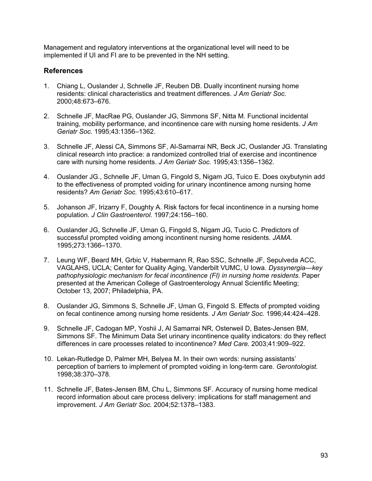Management and regulatory interventions at the organizational level will need to be implemented if UI and FI are to be prevented in the NH setting.

- 1. Chiang L, Ouslander J, Schnelle JF, Reuben DB. Dually incontinent nursing home residents: clinical characteristics and treatment differences. *J Am Geriatr Soc.*  2000;48:673–676.
- 2. Schnelle JF, MacRae PG, Ouslander JG, Simmons SF, Nitta M. Functional incidental training, mobility performance, and incontinence care with nursing home residents. *J Am Geriatr Soc.* 1995;43:1356–1362.
- 3. Schnelle JF, Alessi CA, Simmons SF, Al-Samarrai NR, Beck JC, Ouslander JG. Translating clinical research into practice: a randomized controlled trial of exercise and incontinence care with nursing home residents. *J Am Geriatr Soc.* 1995;43:1356–1362.
- 4. Ouslander JG., Schnelle JF, Uman G, Fingold S, Nigam JG, Tuico E. Does oxybutynin add to the effectiveness of prompted voiding for urinary incontinence among nursing home residents? *Am Geriatr Soc.* 1995;43:610–617.
- 5. Johanson JF, Irizarry F, Doughty A. Risk factors for fecal incontinence in a nursing home population. *J Clin Gastroenterol.* 1997;24:156–160.
- 6. Ouslander JG, Schnelle JF, Uman G, Fingold S, Nigam JG, Tucio C. Predictors of successful prompted voiding among incontinent nursing home residents. *JAMA.*  1995;273:1366–1370.
- 7. Leung WF, Beard MH, Grbic V, Habermann R, Rao SSC, Schnelle JF, Sepulveda ACC, VAGLAHS, UCLA; Center for Quality Aging, Vanderbilt VUMC, U Iowa. *Dyssynergia—key*  pathophysiologic mechanism for fecal incontinence (FI) in nursing home residents. Paper presented at the American College of Gastroenterology Annual Scientific Meeting; October 13, 2007; Philadelphia, PA.
- 8. Ouslander JG, Simmons S, Schnelle JF, Uman G, Fingold S. Effects of prompted voiding on fecal continence among nursing home residents. *J Am Geriatr Soc.* 1996;44:424–428.
- 9. Schnelle JF, Cadogan MP, Yoshii J, Al Samarrai NR, Osterweil D, Bates-Jensen BM, Simmons SF. The Minimum Data Set urinary incontinence quality indicators: do they reflect differences in care processes related to incontinence? *Med Care.* 2003;41:909–922.
- 10. Lekan-Rutledge D, Palmer MH, Belyea M. In their own words: nursing assistants' perception of barriers to implement of prompted voiding in long-term care. *Gerontologist.*  1998;38:370–378.
- 11. Schnelle JF, Bates-Jensen BM, Chu L, Simmons SF. Accuracy of nursing home medical record information about care process delivery: implications for staff management and improvement. *J Am Geriatr Soc.* 2004;52:1378–1383.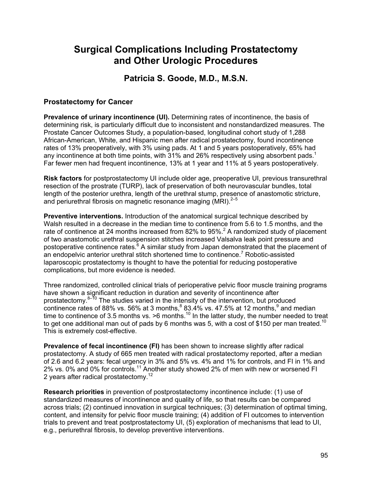# **Surgical Complications Including Prostatectomy and Other Urologic Procedures**

## **Patricia S. Goode, M.D., M.S.N.**

### **Prostatectomy for Cancer**

**Prevalence of urinary incontinence (UI).** Determining rates of incontinence, the basis of determining risk, is particularly difficult due to inconsistent and nonstandardized measures. The Prostate Cancer Outcomes Study, a population-based, longitudinal cohort study of 1,288 African-American, White, and Hispanic men after radical prostatectomy, found incontinence rates of 13% preoperatively, with 3% using pads. At 1 and 5 years postoperatively, 65% had any incontinence at both time points, with 31% and 26% respectively using absorbent pads.<sup>1</sup> Far fewer men had frequent incontinence, 13% at 1 year and 11% at 5 years postoperatively.

**Risk factors** for postprostatectomy UI include older age, preoperative UI, previous transurethral resection of the prostrate (TURP), lack of preservation of both neurovascular bundles, total length of the posterior urethra, length of the urethral stump, presence of anastomotic stricture, and periurethral fibrosis on magnetic resonance imaging  $(MRI).^{2-5}$ 

**Preventive interventions.** Introduction of the anatomical surgical technique described by Walsh resulted in a decrease in the median time to continence from 5.6 to 1.5 months, and the rate of continence at 24 months increased from 82% to 95%.<sup>2</sup> A randomized study of placement of two anastomotic urethral suspension stitches increased Valsalva leak point pressure and postoperative continence rates.<sup>6</sup> A similar study from Japan demonstrated that the placement of an endopelvic anterior urethral stitch shortened time to continence.<sup>7</sup> Robotic-assisted laparoscopic prostatectomy is thought to have the potential for reducing postoperative complications, but more evidence is needed.

Three randomized, controlled clinical trials of perioperative pelvic floor muscle training programs have shown a significant reduction in duration and severity of incontinence after prostatectomy. $8-10$  The studies varied in the intensity of the intervention, but produced continence rates of 88% vs. 56% at 3 months, $83.4\%$  vs. 47.5% at 12 months, $9$  and median time to continence of 3.5 months vs.  $>6$  months.<sup>10</sup> In the latter study, the number needed to treat to get one additional man out of pads by 6 months was 5, with a cost of \$150 per man treated.<sup>10</sup> This is extremely cost-effective.

**Prevalence of fecal incontinence (FI)** has been shown to increase slightly after radical prostatectomy. A study of 665 men treated with radical prostatectomy reported, after a median of 2.6 and 6.2 years: fecal urgency in 3% and 5% vs. 4% and 1% for controls, and FI in 1% and 2% vs. 0% and 0% for controls.<sup>11</sup> Another study showed 2% of men with new or worsened FI 2 years after radical prostatectomy.<sup>12</sup>

**Research priorities** in prevention of postprostatectomy incontinence include: (1) use of standardized measures of incontinence and quality of life, so that results can be compared across trials; (2) continued innovation in surgical techniques; (3) determination of optimal timing, content, and intensity for pelvic floor muscle training; (4) addition of FI outcomes to intervention trials to prevent and treat postprostatectomy UI, (5) exploration of mechanisms that lead to UI, e.g., periurethral fibrosis, to develop preventive interventions.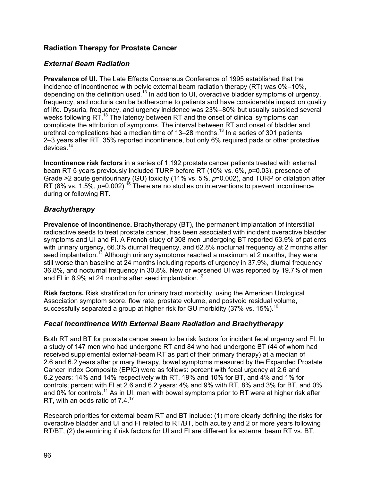### **Radiation Therapy for Prostate Cancer**

### *External Beam Radiation*

**Prevalence of UI.** The Late Effects Consensus Conference of 1995 established that the incidence of incontinence with pelvic external beam radiation therapy (RT) was 0%–10%, depending on the definition used.<sup>13</sup> In addition to UI, overactive bladder symptoms of urgency, frequency, and nocturia can be bothersome to patients and have considerable impact on quality of life. Dysuria, frequency, and urgency incidence was 23%–80% but usually subsided several weeks following RT.<sup>13</sup> The latency between RT and the onset of clinical symptoms can complicate the attribution of symptoms. The interval between RT and onset of bladder and urethral complications had a median time of  $13-28$  months.<sup>13</sup> In a series of 301 patients 2–3 years after RT, 35% reported incontinence, but only 6% required pads or other protective devices.<sup>14</sup>

**Incontinence risk factors** in a series of 1,192 prostate cancer patients treated with external beam RT 5 years previously included TURP before RT (10% vs. 6%, *p*=0.03), presence of Grade >2 acute genitourinary (GU) toxicity (11% vs. 5%, *p*=0.002), and TURP or dilatation after RT (8% vs. 1.5%,  $p=0.002$ ).<sup>15</sup> There are no studies on interventions to prevent incontinence during or following RT.

### *Brachytherapy*

**Prevalence of incontinence.** Brachytherapy (BT), the permanent implantation of interstitial radioactive seeds to treat prostate cancer, has been associated with incident overactive bladder symptoms and UI and FI. A French study of 308 men undergoing BT reported 63.9% of patients with urinary urgency, 66.0% diurnal frequency, and 62.8% nocturnal frequency at 2 months after seed implantation.<sup>12</sup> Although urinary symptoms reached a maximum at 2 months, they were still worse than baseline at 24 months including reports of urgency in 37.9%, diurnal frequency 36.8%, and nocturnal frequency in 30.8%. New or worsened UI was reported by 19.7% of men and FI in 8.9% at 24 months after seed implantation.<sup>12</sup>

**Risk factors.** Risk stratification for urinary tract morbidity, using the American Urological Association symptom score, flow rate, prostate volume, and postvoid residual volume, successfully separated a group at higher risk for GU morbidity (37% vs. 15%).<sup>16</sup>

### *Fecal Incontinence With External Beam Radiation and Brachytherapy*

Both RT and BT for prostate cancer seem to be risk factors for incident fecal urgency and FI. In a study of 147 men who had undergone RT and 84 who had undergone BT (44 of whom had received supplemental external-beam RT as part of their primary therapy) at a median of 2.6 and 6.2 years after primary therapy, bowel symptoms measured by the Expanded Prostate Cancer Index Composite (EPIC) were as follows: percent with fecal urgency at 2.6 and 6.2 years: 14% and 14% respectively with RT, 19% and 10% for BT, and 4% and 1% for controls; percent with FI at 2.6 and 6.2 years: 4% and 9% with RT, 8% and 3% for BT, and 0% and 0% for controls.<sup>11</sup> As in UI, men with bowel symptoms prior to RT were at higher risk after RT, with an odds ratio of 7.4.<sup>17</sup>

Research priorities for external beam RT and BT include: (1) more clearly defining the risks for overactive bladder and UI and FI related to RT/BT, both acutely and 2 or more years following RT/BT, (2) determining if risk factors for UI and FI are different for external beam RT vs. BT,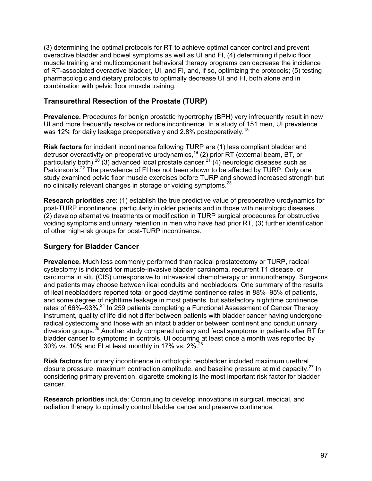(3) determining the optimal protocols for RT to achieve optimal cancer control and prevent overactive bladder and bowel symptoms as well as UI and FI, (4) determining if pelvic floor muscle training and multicomponent behavioral therapy programs can decrease the incidence of RT-associated overactive bladder, UI, and FI, and, if so, optimizing the protocols; (5) testing pharmacologic and dietary protocols to optimally decrease UI and FI, both alone and in combination with pelvic floor muscle training.

### **Transurethral Resection of the Prostate (TURP)**

**Prevalence.** Procedures for benign prostatic hypertrophy (BPH) very infrequently result in new UI and more frequently resolve or reduce incontinence. In a study of 151 men, UI prevalence was 12% for daily leakage preoperatively and 2.8% postoperatively.<sup>18</sup>

**Risk factors** for incident incontinence following TURP are (1) less compliant bladder and detrusor overactivity on preoperative urodynamics,<sup>19</sup> (2) prior RT (external beam, BT, or particularly both),<sup>20</sup> (3) advanced local prostate cancer,<sup>21</sup> (4) neurologic diseases such as Parkinson's.<sup>22</sup> The prevalence of FI has not been shown to be affected by TURP. Only one study examined pelvic floor muscle exercises before TURP and showed increased strength but no clinically relevant changes in storage or voiding symptoms.<sup>23</sup>

**Research priorities** are: (1) establish the true predictive value of preoperative urodynamics for post-TURP incontinence, particularly in older patients and in those with neurologic diseases, (2) develop alternative treatments or modification in TURP surgical procedures for obstructive voiding symptoms and urinary retention in men who have had prior RT, (3) further identification of other high-risk groups for post-TURP incontinence.

### **Surgery for Bladder Cancer**

**Prevalence.** Much less commonly performed than radical prostatectomy or TURP, radical cystectomy is indicated for muscle-invasive bladder carcinoma, recurrent T1 disease, or carcinoma in situ (CIS) unresponsive to intravesical chemotherapy or immunotherapy. Surgeons and patients may choose between ileal conduits and neobladders. One summary of the results of ileal neobladders reported total or good daytime continence rates in 88%–95% of patients, and some degree of nighttime leakage in most patients, but satisfactory nighttime continence rates of 66%–93%.<sup>24</sup> In 259 patients completing a Functional Assessment of Cancer Therapy instrument, quality of life did not differ between patients with bladder cancer having undergone radical cystectomy and those with an intact bladder or between continent and conduit urinary diversion groups.<sup>25</sup> Another study compared urinary and fecal symptoms in patients after RT for bladder cancer to symptoms in controls. UI occurring at least once a month was reported by 30% vs. 10% and FI at least monthly in 17% vs. 2%.<sup>26</sup>

**Risk factors** for urinary incontinence in orthotopic neobladder included maximum urethral closure pressure, maximum contraction amplitude, and baseline pressure at mid capacity.<sup>27</sup> In considering primary prevention, cigarette smoking is the most important risk factor for bladder cancer.

**Research priorities** include: Continuing to develop innovations in surgical, medical, and radiation therapy to optimally control bladder cancer and preserve continence.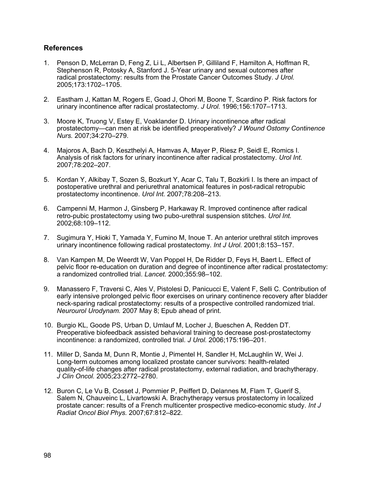- 1. Penson D, McLerran D, Feng Z, Li L, Albertsen P, Gilliland F, Hamilton A, Hoffman R, Stephenson R, Potosky A, Stanford J. 5-Year urinary and sexual outcomes after radical prostatectomy: results from the Prostate Cancer Outcomes Study. *J Urol.*  2005;173:1702–1705.
- 2. Eastham J, Kattan M, Rogers E, Goad J, Ohori M, Boone T, Scardino P. Risk factors for urinary incontinence after radical prostatectomy. *J Urol.* 1996;156:1707–1713.
- 3. Moore K, Truong V, Estey E, Voaklander D. Urinary incontinence after radical prostatectomy—can men at risk be identified preoperatively? *J Wound Ostomy Continence Nurs.* 2007;34:270–279.
- 4. Majoros A, Bach D, Keszthelyi A, Hamvas A, Mayer P, Riesz P, Seidl E, Romics I. Analysis of risk factors for urinary incontinence after radical prostatectomy. *Urol Int.*  2007;78:202–207.
- 5. Kordan Y, Alkibay T, Sozen S, Bozkurt Y, Acar C, Talu T, Bozkirli I. Is there an impact of postoperative urethral and periurethral anatomical features in post-radical retropubic prostatectomy incontinence. *Urol Int.* 2007;78:208–213.
- 6. Campenni M, Harmon J, Ginsberg P, Harkaway R. Improved continence after radical retro-pubic prostatectomy using two pubo-urethral suspension stitches. *Urol Int.*  2002;68:109–112.
- 7. Sugimura Y, Hioki T, Yamada Y, Fumino M, Inoue T. An anterior urethral stitch improves urinary incontinence following radical prostatectomy. *Int J Urol.* 2001;8:153–157.
- 8. Van Kampen M, De Weerdt W, Van Poppel H, De Ridder D, Feys H, Baert L. Effect of pelvic floor re-education on duration and degree of incontinence after radical prostatectomy: a randomized controlled trial. *Lancet.* 2000;355:98–102.
- 9. Manassero F, Traversi C, Ales V, Pistolesi D, Panicucci E, Valent F, Selli C. Contribution of early intensive prolonged pelvic floor exercises on urinary continence recovery after bladder neck-sparing radical prostatectomy: results of a prospective controlled randomized trial. *Neurourol Urodynam.* 2007 May 8; Epub ahead of print.
- 10. Burgio KL, Goode PS, Urban D, Umlauf M, Locher J, Bueschen A, Redden DT. Preoperative biofeedback assisted behavioral training to decrease post-prostatectomy incontinence: a randomized, controlled trial. *J Urol.* 2006;175:196–201.
- 11. Miller D, Sanda M, Dunn R, Montie J, Pimentel H, Sandler H, McLaughlin W, Wei J. Long-term outcomes among localized prostate cancer survivors: health-related quality-of-life changes after radical prostatectomy, external radiation, and brachytherapy. *J Clin Oncol.* 2005;23:2772–2780.
- 12. Buron C, Le Vu B, Cosset J, Pommier P, Peiffert D, Delannes M, Flam T, Guerif S, Salem N, Chauveinc L, Livartowski A. Brachytherapy versus prostatectomy in localized prostate cancer: results of a French multicenter prospective medico-economic study. *Int J Radiat Oncol Biol Phys.* 2007;67:812–822.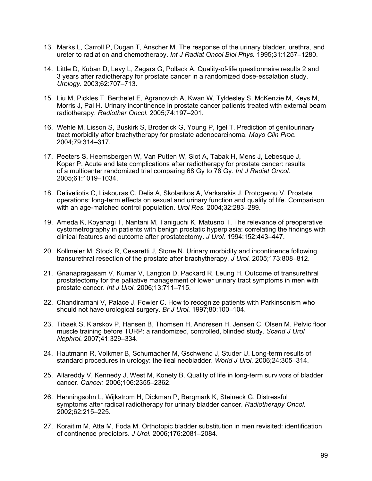- 13. Marks L, Carroll P, Dugan T, Anscher M. The response of the urinary bladder, urethra, and ureter to radiation and chemotherapy. *Int J Radiat Oncol Biol Phys.* 1995;31:1257–1280.
- 14. Little D, Kuban D, Levy L, Zagars G, Pollack A. Quality-of-life questionnaire results 2 and 3 years after radiotherapy for prostate cancer in a randomized dose-escalation study. *Urology.* 2003;62:707–713.
- 15. Liu M, Pickles T, Berthelet E, Agranovich A, Kwan W, Tyldesley S, McKenzie M, Keys M, Morris J, Pai H. Urinary incontinence in prostate cancer patients treated with external beam radiotherapy. *Radiother Oncol.* 2005;74:197–201.
- 16. Wehle M, Lisson S, Buskirk S, Broderick G, Young P, Igel T. Prediction of genitourinary tract morbidity after brachytherapy for prostate adenocarcinoma. *Mayo Clin Proc.*  2004;79:314–317.
- 17. Peeters S, Heemsbergen W, Van Putten W, Slot A, Tabak H, Mens J, Lebesque J, Koper P. Acute and late complications after radiotherapy for prostate cancer: results of a multicenter randomized trial comparing 68 Gy to 78 Gy. *Int J Radiat Oncol.*  2005;61:1019–1034.
- 18. Deliveliotis C, Liakouras C, Delis A, Skolarikos A, Varkarakis J, Protogerou V. Prostate operations: long-term effects on sexual and urinary function and quality of life. Comparison with an age-matched control population. *Urol Res.* 2004;32:283–289.
- 19. Ameda K, Koyanagi T, Nantani M, Taniguchi K, Matusno T. The relevance of preoperative cystometrography in patients with benign prostatic hyperplasia: correlating the findings with clinical features and outcome after prostatectomy. *J Urol.* 1994:152:443–447.
- 20. Kollmeier M, Stock R, Cesaretti J, Stone N. Urinary morbidity and incontinence following transurethral resection of the prostate after brachytherapy. *J Urol.* 2005;173:808–812.
- 21. Gnanapragasam V, Kumar V, Langton D, Packard R, Leung H. Outcome of transurethral prostatectomy for the palliative management of lower urinary tract symptoms in men with prostate cancer. *Int J Urol.* 2006;13:711–715.
- 22. Chandiramani V, Palace J, Fowler C. How to recognize patients with Parkinsonism who should not have urological surgery. *Br J Urol.* 1997;80:100–104.
- 23. Tibaek S, Klarskov P, Hansen B, Thomsen H, Andresen H, Jensen C, Olsen M. Pelvic floor muscle training before TURP: a randomized, controlled, blinded study. *Scand J Urol Nephrol.* 2007;41:329–334.
- 24. Hautmann R, Volkmer B, Schumacher M, Gschwend J, Studer U. Long-term results of standard procedures in urology: the ileal neobladder. *World J Urol.* 2006;24:305–314.
- 25. Allareddy V, Kennedy J, West M, Konety B. Quality of life in long-term survivors of bladder cancer. *Cancer.* 2006;106:2355–2362.
- 26. Henningsohn L, Wijkstrom H, Dickman P, Bergmark K, Steineck G. Distressful symptoms after radical radiotherapy for urinary bladder cancer. *Radiotherapy Oncol.*  2002;62:215–225.
- 27. Koraitim M, Atta M, Foda M. Orthotopic bladder substitution in men revisited: identification of continence predictors. *J Urol.* 2006;176:2081–2084.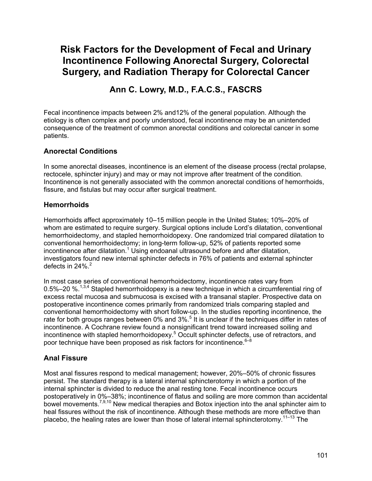# **Risk Factors for the Development of Fecal and Urinary Incontinence Following Anorectal Surgery, Colorectal Surgery, and Radiation Therapy for Colorectal Cancer**

# **Ann C. Lowry, M.D., F.A.C.S., FASCRS**

Fecal incontinence impacts between 2% and12% of the general population. Although the etiology is often complex and poorly understood, fecal incontinence may be an unintended consequence of the treatment of common anorectal conditions and colorectal cancer in some patients.

### **Anorectal Conditions**

In some anorectal diseases, incontinence is an element of the disease process (rectal prolapse, rectocele, sphincter injury) and may or may not improve after treatment of the condition. Incontinence is not generally associated with the common anorectal conditions of hemorrhoids, fissure, and fistulas but may occur after surgical treatment.

### **Hemorrhoids**

Hemorrhoids affect approximately 10–15 million people in the United States; 10%–20% of whom are estimated to require surgery. Surgical options include Lord's dilatation, conventional hemorrhoidectomy, and stapled hemorrhoidopexy. One randomized trial compared dilatation to conventional hemorrhoidectomy; in long-term follow-up, 52% of patients reported some incontinence after dilatation.<sup>1</sup> Using endoanal ultrasound before and after dilatation, investigators found new internal sphincter defects in 76% of patients and external sphincter defects in  $24\%$ <sup>2</sup>

In most case series of conventional hemorrhoidectomy, incontinence rates vary from 0.5%–20 %.<sup>1,3,4</sup> Stapled hemorrhoidopexy is a new technique in which a circumferential ring of excess rectal mucosa and submucosa is excised with a transanal stapler. Prospective data on postoperative incontinence comes primarily from randomized trials comparing stapled and conventional hemorrhoidectomy with short follow-up. In the studies reporting incontinence, the rate for both groups ranges between 0% and 3%.<sup>5</sup> It is unclear if the techniques differ in rates of incontinence. A Cochrane review found a nonsignificant trend toward increased soiling and incontinence with stapled hemorrhoidopexy.<sup>5</sup> Occult sphincter defects, use of retractors, and poor technique have been proposed as risk factors for incontinence. $6-8$ 

## **Anal Fissure**

Most anal fissures respond to medical management; however, 20%–50% of chronic fissures persist. The standard therapy is a lateral internal sphincterotomy in which a portion of the internal sphincter is divided to reduce the anal resting tone. Fecal incontinence occurs postoperatively in 0%–38%; incontinence of flatus and soiling are more common than accidental bowel movements.<sup>7,9,10</sup> New medical therapies and Botox injection into the anal sphincter aim to heal fissures without the risk of incontinence. Although these methods are more effective than placebo, the healing rates are lower than those of lateral internal sphincterotomy.<sup>11–13</sup> The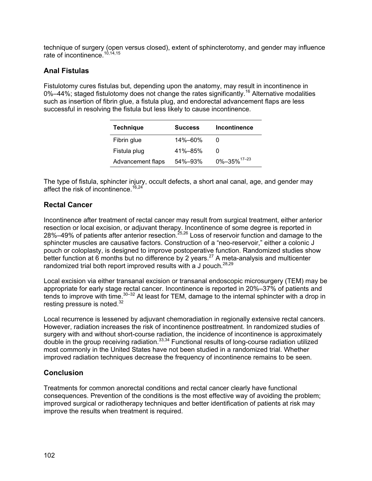technique of surgery (open versus closed), extent of sphincterotomy, and gender may influence rate of incontinence.<sup>10,14,15</sup>

### **Anal Fistulas**

Fistulotomy cures fistulas but, depending upon the anatomy, may result in incontinence in 0%–44%; staged fistulotomy does not change the rates significantly.<sup>16</sup> Alternative modalities such as insertion of fibrin glue, a fistula plug, and endorectal advancement flaps are less successful in resolving the fistula but less likely to cause incontinence.

| <b>Technique</b>  | <b>Success</b> | Incontinence                  |  |
|-------------------|----------------|-------------------------------|--|
| Fibrin glue       | 14%-60%        |                               |  |
| Fistula plug      | $41\% - 85\%$  | 0                             |  |
| Advancement flaps | $54\% - 93\%$  | $0\% - 35\%$ <sup>17-23</sup> |  |

The type of fistula, sphincter injury, occult defects, a short anal canal, age, and gender may affect the risk of incontinence.<sup>16,24</sup>

### **Rectal Cancer**

Incontinence after treatment of rectal cancer may result from surgical treatment, either anterior resection or local excision, or adjuvant therapy. Incontinence of some degree is reported in 28%–49% of patients after anterior resection.<sup>25,26</sup> Loss of reservoir function and damage to the sphincter muscles are causative factors. Construction of a "neo-reservoir," either a colonic J pouch or coloplasty, is designed to improve postoperative function. Randomized studies show better function at 6 months but no difference by 2 years.<sup>27</sup> A meta-analysis and multicenter randomized trial both report improved results with a J pouch.<sup>28,29</sup>

Local excision via either transanal excision or transanal endoscopic microsurgery (TEM) may be appropriate for early stage rectal cancer. Incontinence is reported in 20%–37% of patients and tends to improve with time.<sup>30–32</sup> At least for TEM, damage to the internal sphincter with a drop in resting pressure is noted.<sup>32</sup>

Local recurrence is lessened by adjuvant chemoradiation in regionally extensive rectal cancers. However, radiation increases the risk of incontinence posttreatment. In randomized studies of surgery with and without short-course radiation, the incidence of incontinence is approximately double in the group receiving radiation.33,34 Functional results of long-course radiation utilized most commonly in the United States have not been studied in a randomized trial. Whether improved radiation techniques decrease the frequency of incontinence remains to be seen.

### **Conclusion**

Treatments for common anorectal conditions and rectal cancer clearly have functional consequences. Prevention of the conditions is the most effective way of avoiding the problem; improved surgical or radiotherapy techniques and better identification of patients at risk may improve the results when treatment is required.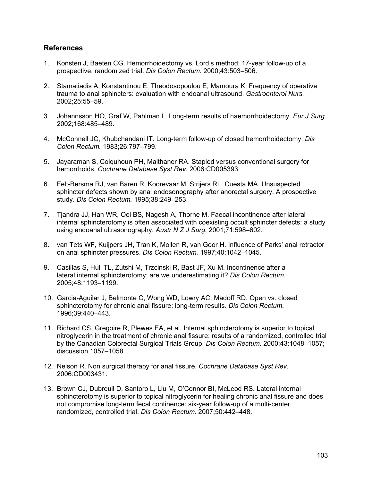- 1. Konsten J, Baeten CG. Hemorrhoidectomy vs. Lord's method: 17-year follow-up of a prospective, randomized trial. *Dis Colon Rectum.* 2000;43:503–506.
- 2. Stamatiadis A, Konstantinou E, Theodosopoulou E, Mamoura K. Frequency of operative trauma to anal sphincters: evaluation with endoanal ultrasound. *Gastroenterol Nurs.*  2002;25:55–59.
- 3. Johannsson HO, Graf W, Pahlman L. Long-term results of haemorrhoidectomy. *Eur J Surg.*  2002;168:485–489.
- 4. McConnell JC, Khubchandani IT. Long-term follow-up of closed hemorrhoidectomy. *Dis Colon Rectum.* 1983;26:797–799.
- 5. Jayaraman S, Colquhoun PH, Malthaner RA. Stapled versus conventional surgery for hemorrhoids. *Cochrane Database Syst Rev.* 2006:CD005393.
- 6. Felt-Bersma RJ, van Baren R, Koorevaar M, Strijers RL, Cuesta MA. Unsuspected sphincter defects shown by anal endosonography after anorectal surgery. A prospective study. *Dis Colon Rectum.* 1995;38:249–253.
- 7. Tjandra JJ, Han WR, Ooi BS, Nagesh A, Thorne M. Faecal incontinence after lateral internal sphincterotomy is often associated with coexisting occult sphincter defects: a study using endoanal ultrasonography. *Austr N Z J Surg.* 2001;71:598–602.
- 8. van Tets WF, Kuijpers JH, Tran K, Mollen R, van Goor H. Influence of Parks' anal retractor on anal sphincter pressures. *Dis Colon Rectum.* 1997;40:1042–1045.
- 9. Casillas S, Hull TL, Zutshi M, Trzcinski R, Bast JF, Xu M. Incontinence after a lateral internal sphincterotomy: are we underestimating it? *Dis Colon Rectum.*  2005;48:1193–1199.
- 10. Garcia-Aguilar J, Belmonte C, Wong WD, Lowry AC, Madoff RD. Open vs. closed sphincterotomy for chronic anal fissure: long-term results. *Dis Colon Rectum.*  1996;39:440–443.
- 11. Richard CS, Gregoire R, Plewes EA, et al. Internal sphincterotomy is superior to topical nitroglycerin in the treatment of chronic anal fissure: results of a randomized, controlled trial by the Canadian Colorectal Surgical Trials Group. *Dis Colon Rectum.* 2000;43:1048–1057; discussion 1057–1058.
- 12. Nelson R. Non surgical therapy for anal fissure. *Cochrane Database Syst Rev.*  2006:CD003431.
- 13. Brown CJ, Dubreuil D, Santoro L, Liu M, O'Connor BI, McLeod RS. Lateral internal sphincterotomy is superior to topical nitroglycerin for healing chronic anal fissure and does not compromise long-term fecal continence: six-year follow-up of a multi-center, randomized, controlled trial. *Dis Colon Rectum.* 2007;50:442–448.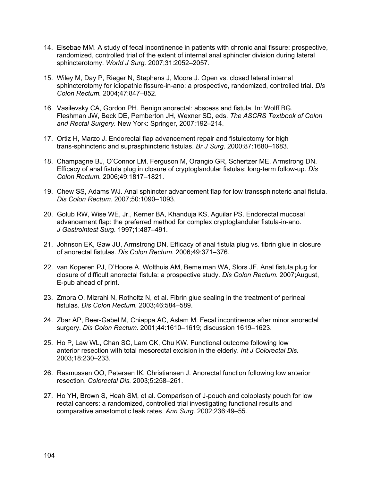- 14. Elsebae MM. A study of fecal incontinence in patients with chronic anal fissure: prospective, randomized, controlled trial of the extent of internal anal sphincter division during lateral sphincterotomy. *World J Surg.* 2007;31:2052–2057.
- 15. Wiley M, Day P, Rieger N, Stephens J, Moore J. Open vs. closed lateral internal sphincterotomy for idiopathic fissure-in-ano: a prospective, randomized, controlled trial. *Dis Colon Rectum.* 2004;47:847–852.
- 16. Vasilevsky CA, Gordon PH. Benign anorectal: abscess and fistula. In: Wolff BG. Fleshman JW, Beck DE, Pemberton JH, Wexner SD, eds. *The ASCRS Textbook of Colon and Rectal Surgery.* New York: Springer, 2007;192–214.
- 17. Ortiz H, Marzo J. Endorectal flap advancement repair and fistulectomy for high trans-sphincteric and suprasphincteric fistulas. *Br J Surg.* 2000;87:1680–1683.
- 18. Champagne BJ, O'Connor LM, Ferguson M, Orangio GR, Schertzer ME, Armstrong DN. Efficacy of anal fistula plug in closure of cryptoglandular fistulas: long-term follow-up. *Dis Colon Rectum.* 2006;49:1817–1821.
- 19. Chew SS, Adams WJ. Anal sphincter advancement flap for low transsphincteric anal fistula. *Dis Colon Rectum.* 2007;50:1090–1093.
- 20. Golub RW, Wise WE, Jr., Kerner BA, Khanduja KS, Aguilar PS. Endorectal mucosal advancement flap: the preferred method for complex cryptoglandular fistula-in-ano. *J Gastrointest Surg.* 1997;1:487–491.
- 21. Johnson EK, Gaw JU, Armstrong DN. Efficacy of anal fistula plug vs. fibrin glue in closure of anorectal fistulas. *Dis Colon Rectum.* 2006;49:371–376.
- 22. van Koperen PJ, D'Hoore A, Wolthuis AM, Bemelman WA, Slors JF. Anal fistula plug for closure of difficult anorectal fistula: a prospective study. *Dis Colon Rectum.* 2007;August, E-pub ahead of print.
- 23. Zmora O, Mizrahi N, Rotholtz N, et al. Fibrin glue sealing in the treatment of perineal fistulas. *Dis Colon Rectum.* 2003;46:584–589.
- 24. Zbar AP, Beer-Gabel M, Chiappa AC, Aslam M. Fecal incontinence after minor anorectal surgery. *Dis Colon Rectum.* 2001;44:1610–1619; discussion 1619–1623.
- 25. Ho P, Law WL, Chan SC, Lam CK, Chu KW. Functional outcome following low anterior resection with total mesorectal excision in the elderly. *Int J Colorectal Dis.*  2003;18:230–233.
- 26. Rasmussen OO, Petersen IK, Christiansen J. Anorectal function following low anterior resection. *Colorectal Dis.* 2003;5:258–261.
- 27. Ho YH, Brown S, Heah SM, et al. Comparison of J-pouch and coloplasty pouch for low rectal cancers: a randomized, controlled trial investigating functional results and comparative anastomotic leak rates. *Ann Surg.* 2002;236:49–55.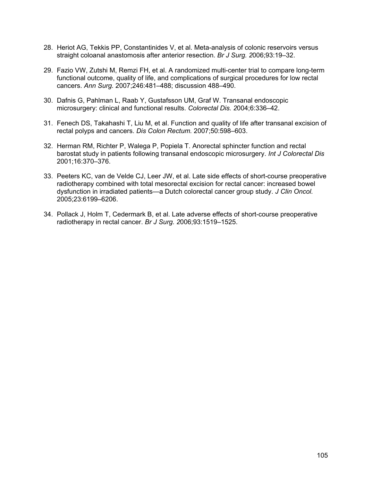- 28. Heriot AG, Tekkis PP, Constantinides V, et al. Meta-analysis of colonic reservoirs versus straight coloanal anastomosis after anterior resection. *Br J Surg. 2*006;93:19–32.
- 29. Fazio VW, Zutshi M, Remzi FH, et al. A randomized multi-center trial to compare long-term functional outcome, quality of life, and complications of surgical procedures for low rectal cancers. *Ann Surg.* 2007;246:481–488; discussion 488–490.
- 30. Dafnis G, Pahlman L, Raab Y, Gustafsson UM, Graf W. Transanal endoscopic microsurgery: clinical and functional results. *Colorectal Dis. 2*004;6:336–42.
- 31. Fenech DS, Takahashi T, Liu M, et al. Function and quality of life after transanal excision of rectal polyps and cancers. *Dis Colon Rectum.* 2007;50:598–603.
- 32. Herman RM, Richter P, Walega P, Popiela T. Anorectal sphincter function and rectal barostat study in patients following transanal endoscopic microsurgery. *Int J Colorectal Dis*  2001;16:370–376.
- 33. Peeters KC, van de Velde CJ, Leer JW, et al. Late side effects of short-course preoperative radiotherapy combined with total mesorectal excision for rectal cancer: increased bowel dysfunction in irradiated patients—a Dutch colorectal cancer group study. *J Clin Oncol.*  2005;23:6199–6206.
- 34. Pollack J, Holm T, Cedermark B, et al. Late adverse effects of short-course preoperative radiotherapy in rectal cancer. *Br J Surg. 2*006;93:1519–1525.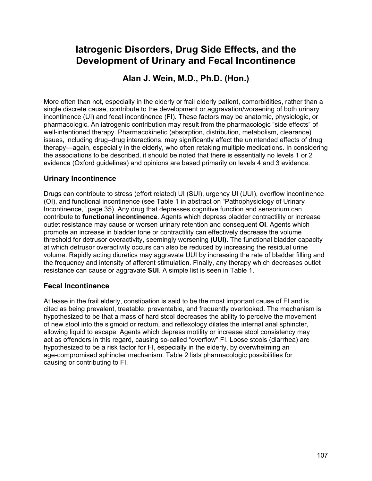# **Iatrogenic Disorders, Drug Side Effects, and the Development of Urinary and Fecal Incontinence**

## **Alan J. Wein, M.D., Ph.D. (Hon.)**

More often than not, especially in the elderly or frail elderly patient, comorbidities, rather than a single discrete cause, contribute to the development or aggravation/worsening of both urinary incontinence (UI) and fecal incontinence (FI). These factors may be anatomic, physiologic, or pharmacologic. An iatrogenic contribution may result from the pharmacologic "side effects" of well-intentioned therapy. Pharmacokinetic (absorption, distribution, metabolism, clearance) issues, including drug–drug interactions, may significantly affect the unintended effects of drug therapy—again, especially in the elderly, who often retaking multiple medications. In considering the associations to be described, it should be noted that there is essentially no levels 1 or 2 evidence (Oxford guidelines) and opinions are based primarily on levels 4 and 3 evidence.

### **Urinary Incontinence**

Drugs can contribute to stress (effort related) UI (SUI), urgency UI (UUI), overflow incontinence (OI), and functional incontinence (see Table 1 in abstract on "Pathophysiology of Urinary Incontinence," page 35). Any drug that depresses cognitive function and sensorium can contribute to **functional incontinence**. Agents which depress bladder contractility or increase outlet resistance may cause or worsen urinary retention and consequent **OI**. Agents which promote an increase in bladder tone or contractility can effectively decrease the volume threshold for detrusor overactivity, seemingly worsening **(UUI)**. The functional bladder capacity at which detrusor overactivity occurs can also be reduced by increasing the residual urine volume. Rapidly acting diuretics may aggravate UUI by increasing the rate of bladder filling and the frequency and intensity of afferent stimulation. Finally, any therapy which decreases outlet resistance can cause or aggravate **SUI**. A simple list is seen in Table 1.

### **Fecal Incontinence**

At lease in the frail elderly, constipation is said to be the most important cause of FI and is cited as being prevalent, treatable, preventable, and frequently overlooked. The mechanism is hypothesized to be that a mass of hard stool decreases the ability to perceive the movement of new stool into the sigmoid or rectum, and reflexology dilates the internal anal sphincter, allowing liquid to escape. Agents which depress motility or increase stool consistency may act as offenders in this regard, causing so-called "overflow" FI. Loose stools (diarrhea) are hypothesized to be a risk factor for FI, especially in the elderly, by overwhelming an age-compromised sphincter mechanism. Table 2 lists pharmacologic possibilities for causing or contributing to FI.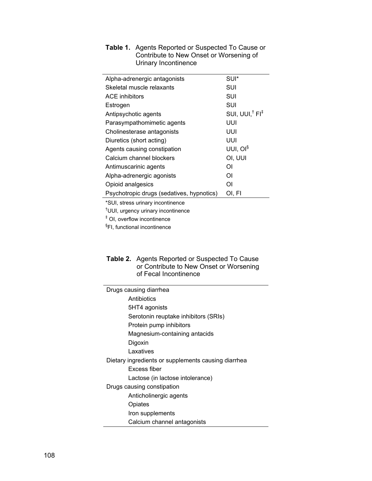| Alpha-adrenergic antagonists              | SUI*                                   |
|-------------------------------------------|----------------------------------------|
| Skeletal muscle relaxants                 | SUI                                    |
| <b>ACE</b> inhibitors                     | SUI                                    |
| Estrogen                                  | SUI                                    |
| Antipsychotic agents                      | SUI, UUI, <sup>†</sup> FI <sup>‡</sup> |
| Parasympathomimetic agents                | UUI                                    |
| Cholinesterase antagonists                | UUI                                    |
| Diuretics (short acting)                  | UUI                                    |
| Agents causing constipation               | uui, Oi <sup>§</sup>                   |
| Calcium channel blockers                  | OI, UUI                                |
| Antimuscarinic agents                     | ΩI                                     |
| Alpha-adrenergic agonists                 | ΩI                                     |
| Opioid analgesics                         | ΩI                                     |
| Psychotropic drugs (sedatives, hypnotics) | OI. FI                                 |

#### **Table 1.** Agents Reported or Suspected To Cause or Contribute to New Onset or Worsening of Urinary Incontinence

\*SUI, stress urinary incontinence

† UUI, urgency urinary incontinence

‡ OI, overflow incontinence

§ FI, functional incontinence

#### **Table 2.** Agents Reported or Suspected To Cause or Contribute to New Onset or Worsening of Fecal Incontinence

| Drugs causing diarrhea                              |
|-----------------------------------------------------|
| Antibiotics                                         |
| 5HT4 agonists                                       |
| Serotonin reuptake inhibitors (SRIs)                |
| Protein pump inhibitors                             |
| Magnesium-containing antacids                       |
| Digoxin                                             |
| Laxatives                                           |
| Dietary ingredients or supplements causing diarrhea |
| <b>Excess fiber</b>                                 |
| Lactose (in lactose intolerance)                    |
| Drugs causing constipation                          |
| Anticholinergic agents                              |
| Opiates                                             |
| Iron supplements                                    |
| Calcium channel antagonists                         |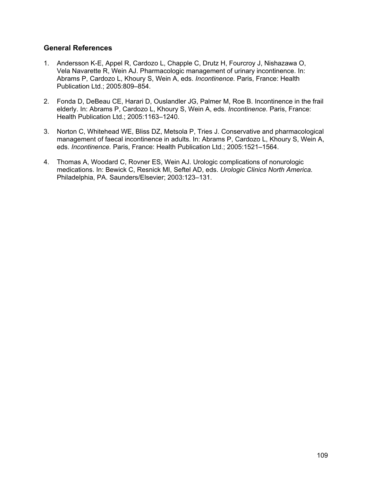### **General References**

- 1. Andersson K-E, Appel R, Cardozo L, Chapple C, Drutz H, Fourcroy J, Nishazawa O, Vela Navarette R, Wein AJ. Pharmacologic management of urinary incontinence. In: Abrams P, Cardozo L, Khoury S, Wein A, eds. *Incontinence.* Paris, France: Health Publication Ltd.; 2005:809–854.
- 2. Fonda D, DeBeau CE, Harari D, Ouslandler JG, Palmer M, Roe B. Incontinence in the frail elderly. In: Abrams P, Cardozo L, Khoury S, Wein A, eds. *Incontinence.* Paris, France: Health Publication Ltd.; 2005:1163–1240.
- 3. Norton C, Whitehead WE, Bliss DZ, Metsola P, Tries J. Conservative and pharmacological management of faecal incontinence in adults. In: Abrams P, Cardozo L, Khoury S, Wein A, eds. *Incontinence.* Paris, France: Health Publication Ltd.; 2005:1521–1564.
- 4. Thomas A, Woodard C, Rovner ES, Wein AJ. Urologic complications of nonurologic medications. In: Bewick C, Resnick MI, Seftel AD, eds. *Urologic Clinics North America.*  Philadelphia, PA. Saunders/Elsevier; 2003:123–131.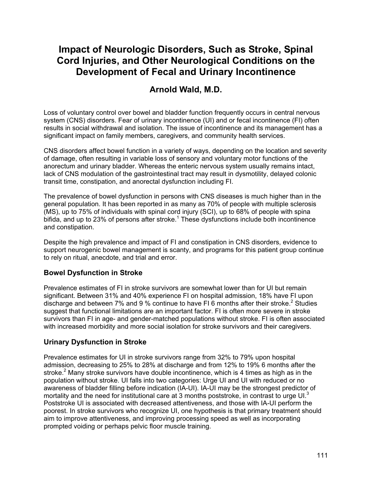# **Impact of Neurologic Disorders, Such as Stroke, Spinal Cord Injuries, and Other Neurological Conditions on the Development of Fecal and Urinary Incontinence**

# **Arnold Wald, M.D.**

Loss of voluntary control over bowel and bladder function frequently occurs in central nervous system (CNS) disorders. Fear of urinary incontinence (UI) and or fecal incontinence (FI) often results in social withdrawal and isolation. The issue of incontinence and its management has a significant impact on family members, caregivers, and community health services.

CNS disorders affect bowel function in a variety of ways, depending on the location and severity of damage, often resulting in variable loss of sensory and voluntary motor functions of the anorectum and urinary bladder. Whereas the enteric nervous system usually remains intact, lack of CNS modulation of the gastrointestinal tract may result in dysmotility, delayed colonic transit time, constipation, and anorectal dysfunction including FI.

The prevalence of bowel dysfunction in persons with CNS diseases is much higher than in the general population. It has been reported in as many as 70% of people with multiple sclerosis (MS), up to 75% of individuals with spinal cord injury (SCI), up to 68% of people with spina bifida, and up to 23% of persons after stroke.<sup>1</sup> These dysfunctions include both incontinence and constipation.

Despite the high prevalence and impact of FI and constipation in CNS disorders, evidence to support neurogenic bowel management is scanty, and programs for this patient group continue to rely on ritual, anecdote, and trial and error.

## **Bowel Dysfunction in Stroke**

Prevalence estimates of FI in stroke survivors are somewhat lower than for UI but remain significant. Between 31% and 40% experience FI on hospital admission, 18% have FI upon discharge and between 7% and 9 % continue to have FI 6 months after their stroke.<sup>2</sup> Studies suggest that functional limitations are an important factor. FI is often more severe in stroke survivors than FI in age- and gender-matched populations without stroke. FI is often associated with increased morbidity and more social isolation for stroke survivors and their caregivers.

## **Urinary Dysfunction in Stroke**

Prevalence estimates for UI in stroke survivors range from 32% to 79% upon hospital admission, decreasing to 25% to 28% at discharge and from 12% to 19% 6 months after the stroke.<sup>2</sup> Many stroke survivors have double incontinence, which is 4 times as high as in the population without stroke. UI falls into two categories: Urge UI and UI with reduced or no awareness of bladder filling before indication (IA-UI). IA-UI may be the strongest predictor of mortality and the need for institutional care at 3 months poststroke, in contrast to urge UI.<sup>3</sup> Poststroke UI is associated with decreased attentiveness, and those with IA-UI perform the poorest. In stroke survivors who recognize UI, one hypothesis is that primary treatment should aim to improve attentiveness, and improving processing speed as well as incorporating prompted voiding or perhaps pelvic floor muscle training.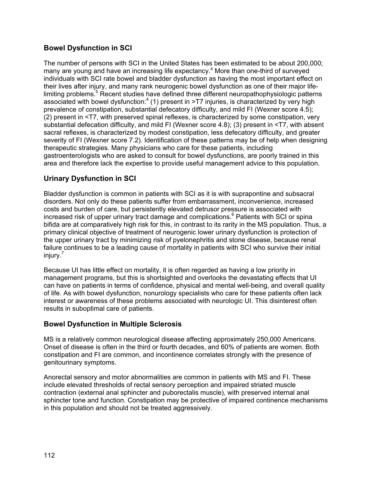### **Bowel Dysfunction in SCI**

The number of persons with SCI in the United States has been estimated to be about 200,000; many are young and have an increasing life expectancy.<sup>4</sup> More than one-third of surveyed individuals with SCI rate bowel and bladder dysfunction as having the most important effect on their lives after injury, and many rank neurogenic bowel dysfunction as one of their major lifelimiting problems.<sup>5</sup> Recent studies have defined three different neuropathophysiologic patterns associated with bowel dysfunction:<sup>4</sup> (1) present in >T7 injuries, is characterized by very high prevalence of constipation, substantial defecatory difficulty, and mild FI (Wexner score 4.5); (2) present in <T7, with preserved spinal reflexes, is characterized by some constipation, very substantial defecation difficulty, and mild FI (Wexner score 4.8); (3) present in <T7, with absent sacral reflexes, is characterized by modest constipation, less defecatory difficulty, and greater severity of FI (Wexner score 7.2). Identification of these patterns may be of help when designing therapeutic strategies. Many physicians who care for these patients, including gastroenterologists who are asked to consult for bowel dysfunctions, are poorly trained in this area and therefore lack the expertise to provide useful management advice to this population.

## **Urinary Dysfunction in SCI**

Bladder dysfunction is common in patients with SCI as it is with suprapontine and subsacral disorders. Not only do these patients suffer from embarrassment, inconvenience, increased costs and burden of care, but persistently elevated detrusor pressure is associated with increased risk of upper urinary tract damage and complications.<sup>6</sup> Patients with SCI or spina bifida are at comparatively high risk for this, in contrast to its rarity in the MS population. Thus, a primary clinical objective of treatment of neurogenic lower urinary dysfunction is protection of the upper urinary tract by minimizing risk of pyelonephritis and stone disease, because renal failure continues to be a leading cause of mortality in patients with SCI who survive their initial injury.<sup>7</sup>

Because UI has little effect on mortality, it is often regarded as having a low priority in management programs, but this is shortsighted and overlooks the devastating effects that UI can have on patients in terms of confidence, physical and mental well-being, and overall quality of life. As with bowel dysfunction, nonurology specialists who care for these patients often lack interest or awareness of these problems associated with neurologic UI. This disinterest often results in suboptimal care of patients.

### **Bowel Dysfunction in Multiple Sclerosis**

MS is a relatively common neurological disease affecting approximately 250,000 Americans. Onset of disease is often in the third or fourth decades, and 60% of patients are women. Both constipation and FI are common, and incontinence correlates strongly with the presence of genitourinary symptoms.

Anorectal sensory and motor abnormalities are common in patients with MS and FI. These include elevated thresholds of rectal sensory perception and impaired striated muscle contraction (external anal sphincter and puborectalis muscle), with preserved internal anal sphincter tone and function. Constipation may be protective of impaired continence mechanisms in this population and should not be treated aggressively.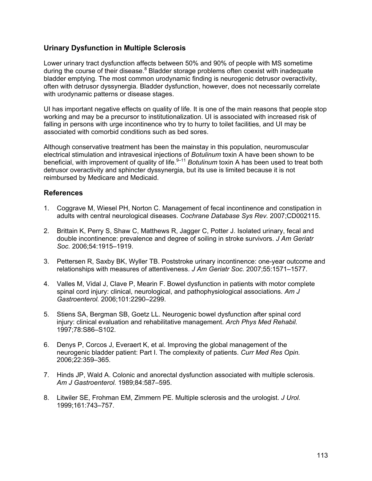### **Urinary Dysfunction in Multiple Sclerosis**

Lower urinary tract dysfunction affects between 50% and 90% of people with MS sometime during the course of their disease.<sup>8</sup> Bladder storage problems often coexist with inadequate bladder emptying. The most common urodynamic finding is neurogenic detrusor overactivity, often with detrusor dyssynergia. Bladder dysfunction, however, does not necessarily correlate with urodynamic patterns or disease stages.

UI has important negative effects on quality of life. It is one of the main reasons that people stop working and may be a precursor to institutionalization. UI is associated with increased risk of falling in persons with urge incontinence who try to hurry to toilet facilities, and UI may be associated with comorbid conditions such as bed sores.

Although conservative treatment has been the mainstay in this population, neuromuscular electrical stimulation and intravesical injections of *Botulinum* toxin A have been shown to be beneficial, with improvement of quality of life.9–11 *Botulinum* toxin A has been used to treat both detrusor overactivity and sphincter dyssynergia, but its use is limited because it is not reimbursed by Medicare and Medicaid.

- 1. Coggrave M, Wiesel PH, Norton C. Management of fecal incontinence and constipation in adults with central neurological diseases. *Cochrane Database Sys Rev.* 2007;CD002115.
- 2. Brittain K, Perry S, Shaw C, Matthews R, Jagger C, Potter J. Isolated urinary, fecal and double incontinence: prevalence and degree of soiling in stroke survivors. *J Am Geriatr Soc.* 2006;54:1915–1919.
- 3. Pettersen R, Saxby BK, Wyller TB. Poststroke urinary incontinence: one-year outcome and relationships with measures of attentiveness. *J Am Geriatr Soc.* 2007;55:1571–1577.
- 4. Valles M, Vidal J, Clave P, Mearin F. Bowel dysfunction in patients with motor complete spinal cord injury: clinical, neurological, and pathophysiological associations. *Am J Gastroenterol.* 2006;101:2290–2299.
- 5. Stiens SA, Bergman SB, Goetz LL. Neurogenic bowel dysfunction after spinal cord injury: clinical evaluation and rehabilitative management. *Arch Phys Med Rehabil.*  1997;78:S86–S102.
- 6. Denys P, Corcos J, Everaert K, et al. Improving the global management of the neurogenic bladder patient: Part I. The complexity of patients. *Curr Med Res Opin.*  2006;22:359–365.
- 7. Hinds JP, Wald A. Colonic and anorectal dysfunction associated with multiple sclerosis. *Am J Gastroenterol.* 1989;84:587–595.
- 8. Litwiler SE, Frohman EM, Zimmern PE. Multiple sclerosis and the urologist. *J Urol.*  1999;161:743–757.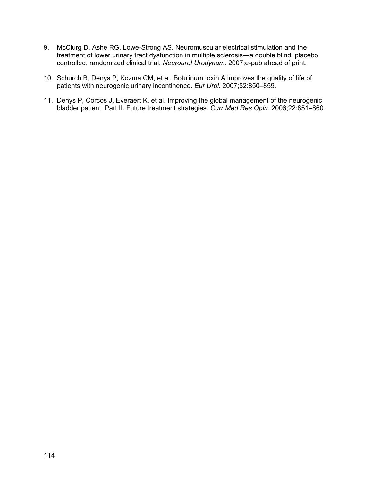- 9. McClurg D, Ashe RG, Lowe-Strong AS. Neuromuscular electrical stimulation and the treatment of lower urinary tract dysfunction in multiple sclerosis—a double blind, placebo controlled, randomized clinical trial. *Neurourol Urodynam.* 2007;e-pub ahead of print.
- 10. Schurch B, Denys P, Kozma CM, et al. Botulinum toxin A improves the quality of life of patients with neurogenic urinary incontinence. *Eur Urol.* 2007;52:850–859.
- 11. Denys P, Corcos J, Everaert K, et al. Improving the global management of the neurogenic bladder patient: Part II. Future treatment strategies. *Curr Med Res Opin.* 2006;22:851–860.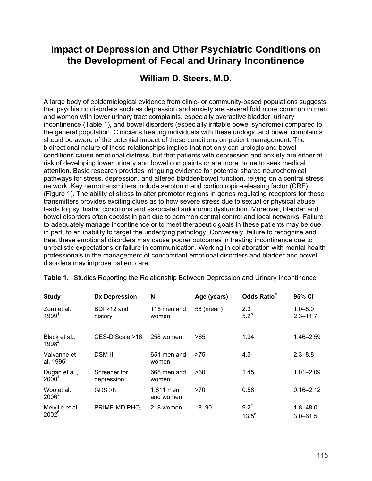# **Impact of Depression and Other Psychiatric Conditions on the Development of Fecal and Urinary Incontinence**

# **William D. Steers, M.D.**

A large body of epidemiological evidence from clinic- or community-based populations suggests that psychiatric disorders such as depression and anxiety are several fold more common in men and women with lower urinary tract complaints, especially overactive bladder, urinary incontinence (Table 1), and bowel disorders (especially irritable bowel syndrome) compared to the general population. Clinicians treating individuals with these urologic and bowel complaints should be aware of the potential impact of these conditions on patient management. The bidirectional nature of these relationships implies that not only can urologic and bowel conditions cause emotional distress, but that patients with depression and anxiety are either at risk of developing lower urinary and bowel complaints or are more prone to seek medical attention. Basic research provides intriguing evidence for potential shared neurochemical pathways for stress, depression, and altered bladder/bowel function, relying on a central stress network. Key neurotransmitters include serotonin and corticotropin-releasing factor (CRF) (Figure 1). The ability of stress to alter promoter regions in genes regulating receptors for these transmitters provides exciting clues as to how severe stress due to sexual or physical abuse leads to psychiatric conditions and associated autonomic dysfunction. Moreover, bladder and bowel disorders often coexist in part due to common central control and local networks. Failure to adequately manage incontinence or to meet therapeutic goals in these patients may be due, in part, to an inability to target the underlying pathology. Conversely, failure to recognize and treat these emotional disorders may cause poorer outcomes in treating incontinence due to unrealistic expectations or failure in communication. Working in collaboration with mental health professionals in the management of concomitant emotional disorders and bladder and bowel disorders may improve patient care.

| <b>Study</b>                      | <b>Dx Depression</b>       | N                      | Age (years) | <b>Odds Ratio<sup>a</sup></b> | 95% CI                       |
|-----------------------------------|----------------------------|------------------------|-------------|-------------------------------|------------------------------|
| Zorn et al.,<br>1999 <sup>1</sup> | $BDI > 12$ and<br>history  | 115 men and<br>women   | 58 (mean)   | 2.3<br>$5.2^b$                | $1.0 - 5.0$<br>$2.3 - 11.7$  |
| Black et al.,<br>$1998^2$         | $CES-D Scale > 16$         | 258 women              | >65         | 1.94                          | $1.46 - 2.59$                |
| Valvanne et<br>al., $1996^3$      | <b>DSM-III</b>             | 651 men and<br>women   | >75         | 4.5                           | $2.3 - 8.8$                  |
| Dugan et al.,<br>$2000^4$         | Screener for<br>depression | 668 men and<br>women   | >60         | 1.45                          | $1.01 - 2.09$                |
| Woo et al.,<br>$2006^5$           | $GDS \geq 8$               | 1,611 men<br>and women | >70         | 0.58                          | $0.16 - 2.12$                |
| Melville et al.,<br>$2002^6$      | PRIME-MD PHQ               | 218 women              | $18 - 90$   | $9.2^{\circ}$<br>$13.5^d$     | $1.8 - 48.0$<br>$3.0 - 61.5$ |

**Table 1.** Studies Reporting the Relationship Between Depression and Urinary Incontinence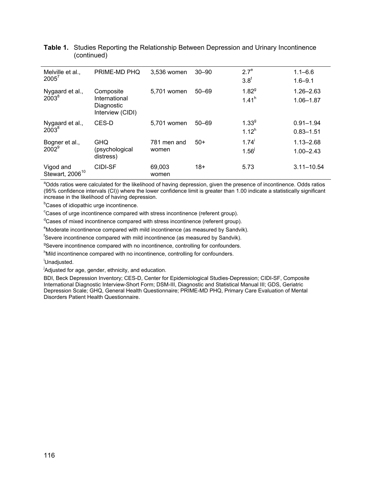| Melville et al.,<br>$2005^7$             | PRIME-MD PHQ                                                 | 3,536 women          | $30 - 90$ | $2.7^e$<br>3.8 <sup>f</sup>     | $1.1 - 6.6$<br>$1.6 - 9.1$     |
|------------------------------------------|--------------------------------------------------------------|----------------------|-----------|---------------------------------|--------------------------------|
| Nygaard et al.,<br>2003 <sup>8</sup>     | Composite<br>International<br>Diagnostic<br>Interview (CIDI) | 5.701 women          | $50 - 69$ | $1.82^{9}$<br>1.41 <sup>h</sup> | $1.26 - 2.63$<br>1.06-1.87     |
| Nygaard et al.,<br>$2003^{8}$            | CES-D                                                        | 5.701 women          | $50 - 69$ | $1.33^{9}$<br>$1.12^{h}$        | $0.91 - 1.94$<br>$0.83 - 1.51$ |
| Bogner et al.,<br>$2002^9$               | <b>GHQ</b><br>(psychological<br>distress)                    | 781 men and<br>women | $50+$     | 1.74<br>$1.56^{\circ}$          | $1.13 - 2.68$<br>$1.00 - 2.43$ |
| Vigod and<br>Stewart, 2006 <sup>10</sup> | CIDI-SF                                                      | 69,003<br>women      | $18+$     | 5.73                            | $3.11 - 10.54$                 |

#### **Table 1.** Studies Reporting the Relationship Between Depression and Urinary Incontinence (continued)

<sup>a</sup>Odds ratios were calculated for the likelihood of having depression, given the presence of incontinence. Odds ratios (95% confidence intervals (CI)) where the lower confidence limit is greater than 1.00 indicate a statistically significant increase in the likelihood of having depression.

<sup>b</sup>Cases of idiopathic urge incontinence.

<sup>c</sup>Cases of urge incontinence compared with stress incontinence (referent group).

dcases of mixed incontinence compared with stress incontinence (referent group).<br><sup>e</sup>Mederate incontinence compared with mild incontinence (as measured by Candvil

<sup>e</sup>Moderate incontinence compared with mild incontinence (as measured by Sandvik).

<sup>f</sup>Severe incontinence compared with mild incontinence (as measured by Sandvik).

<sup>g</sup>Severe incontinence compared with no incontinence, controlling for confounders.

<sup>h</sup>Mild incontinence compared with no incontinence, controlling for confounders.<br><sup>I</sup>lleadiusted

Unadjusted.

<sup>i</sup>Adjusted for age, gender, ethnicity, and education.

BDI, Beck Depression Inventory; CES-D, Center for Epidemiological Studies-Depression; CIDI-SF, Composite International Diagnostic Interview-Short Form; DSM-III, Diagnostic and Statistical Manual III; GDS, Geriatric Depression Scale; GHQ, General Health Questionnaire; PRIME-MD PHQ, Primary Care Evaluation of Mental Disorders Patient Health Questionnaire.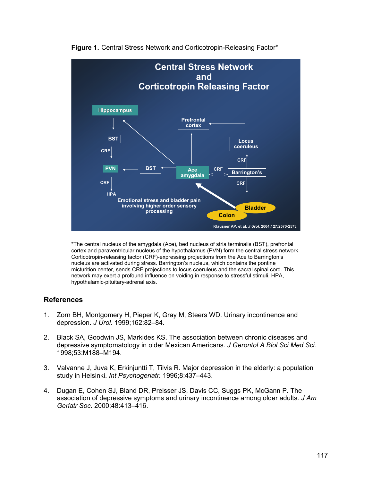

**Figure 1.** Central Stress Network and Corticotropin-Releasing Factor\*

\*The central nucleus of the amygdala (Ace), bed nucleus of stria terminalis (BST), prefrontal cortex and paraventricular nucleus of the hypothalamus (PVN) form the central stress network. Corticotropin-releasing factor (CRF)-expressing projections from the Ace to Barrington's nucleus are activated during stress. Barrington's nucleus, which contains the pontine micturition center, sends CRF projections to locus coeruleus and the sacral spinal cord. This network may exert a profound influence on voiding in response to stressful stimuli. HPA, hypothalamic-pituitary-adrenal axis.

- 1. Zorn BH, Montgomery H, Pieper K, Gray M, Steers WD. Urinary incontinence and depression. *J Urol.* 1999;162:82–84.
- 2. Black SA, Goodwin JS, Markides KS. The association between chronic diseases and depressive symptomatology in older Mexican Americans. *J Gerontol A Biol Sci Med Sci.*  1998;53:M188–M194.
- 3. Valvanne J, Juva K, Erkinjuntti T, Tilvis R. Major depression in the elderly: a population study in Helsinki. *Int Psychogeriatr.* 1996;8:437–443.
- 4. Dugan E, Cohen SJ, Bland DR, Preisser JS, Davis CC, Suggs PK, McGann P. The association of depressive symptoms and urinary incontinence among older adults. *J Am Geriatr Soc.* 2000;48:413–416.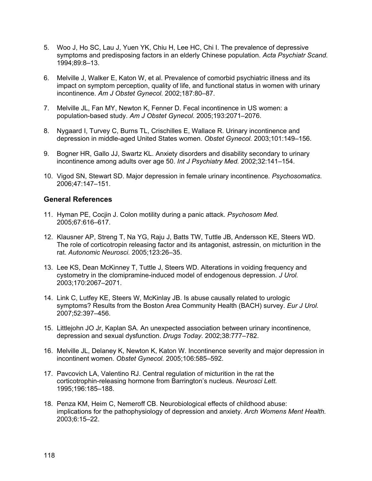- 5. Woo J, Ho SC, Lau J, Yuen YK, Chiu H, Lee HC, Chi I. The prevalence of depressive symptoms and predisposing factors in an elderly Chinese population. *Acta Psychiatr Scand.*  1994;89:8–13.
- 6. Melville J, Walker E, Katon W, et al. Prevalence of comorbid psychiatric illness and its impact on symptom perception, quality of life, and functional status in women with urinary incontinence. *Am J Obstet Gynecol.* 2002;187:80–87.
- 7. Melville JL, Fan MY, Newton K, Fenner D. Fecal incontinence in US women: a population-based study. *Am J Obstet Gynecol.* 2005;193:2071–2076.
- 8. Nygaard I, Turvey C, Burns TL, Crischilles E, Wallace R. Urinary incontinence and depression in middle-aged United States women. *Obstet Gynecol.* 2003;101:149–156.
- 9. Bogner HR, Gallo JJ, Swartz KL. Anxiety disorders and disability secondary to urinary incontinence among adults over age 50. *Int J Psychiatry Med.* 2002;32:141–154.
- 10. Vigod SN, Stewart SD. Major depression in female urinary incontinence. *Psychosomatics.*  2006;47:147–151.

#### **General References**

- 11. Hyman PE, Cocjin J. Colon motility during a panic attack. *Psychosom Med.*  2005;67:616–617.
- 12. Klausner AP, Streng T, Na YG, Raju J, Batts TW, Tuttle JB, Andersson KE, Steers WD. The role of corticotropin releasing factor and its antagonist, astressin, on micturition in the rat. *Autonomic Neurosci.* 2005;123:26–35.
- 13. Lee KS, Dean McKinney T, Tuttle J, Steers WD. Alterations in voiding frequency and cystometry in the clomipramine-induced model of endogenous depression. *J Urol.*  2003;170:2067–2071.
- 14. Link C, Lutfey KE, Steers W, McKinlay JB. Is abuse causally related to urologic symptoms? Results from the Boston Area Community Health (BACH) survey. *Eur J Urol.*  2007;52:397–456.
- 15. Littlejohn JO Jr, Kaplan SA. An unexpected association between urinary incontinence, depression and sexual dysfunction. *Drugs Today.* 2002;38:777–782.
- 16. Melville JL, Delaney K, Newton K, Katon W. Incontinence severity and major depression in incontinent women. *Obstet Gynecol.* 2005;106:585–592.
- 17. Pavcovich LA, Valentino RJ. Central regulation of micturition in the rat the corticotrophin-releasing hormone from Barrington's nucleus. *Neurosci Lett.*  1995;196:185–188.
- 18. Penza KM, Heim C, Nemeroff CB. Neurobiological effects of childhood abuse: implications for the pathophysiology of depression and anxiety. *Arch Womens Ment Health.*  2003;6:15–22.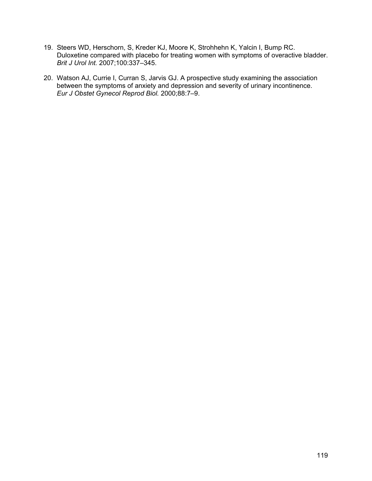- 19. Steers WD, Herschorn, S, Kreder KJ, Moore K, Strohhehn K, Yalcin I, Bump RC. Duloxetine compared with placebo for treating women with symptoms of overactive bladder. *Brit J Urol Int.* 2007;100:337–345.
- 20. Watson AJ, Currie I, Curran S, Jarvis GJ. A prospective study examining the association between the symptoms of anxiety and depression and severity of urinary incontinence. *Eur J Obstet Gynecol Reprod Biol.* 2000;88:7–9.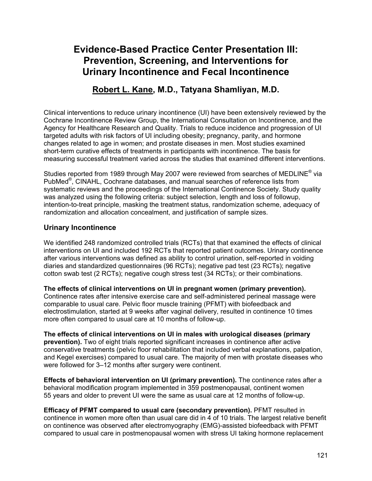# **Evidence-Based Practice Center Presentation III: Prevention, Screening, and Interventions for Urinary Incontinence and Fecal Incontinence**

## **Robert L. Kane, M.D., Tatyana Shamliyan, M.D.**

Clinical interventions to reduce urinary incontinence (UI) have been extensively reviewed by the Cochrane Incontinence Review Group, the International Consultation on Incontinence, and the Agency for Healthcare Research and Quality. Trials to reduce incidence and progression of UI targeted adults with risk factors of UI including obesity; pregnancy, parity, and hormone changes related to age in women; and prostate diseases in men. Most studies examined short-term curative effects of treatments in participants with incontinence. The basis for measuring successful treatment varied across the studies that examined different interventions.

Studies reported from 1989 through May 2007 were reviewed from searches of MEDLINE® via PubMed®, CINAHL, Cochrane databases, and manual searches of reference lists from systematic reviews and the proceedings of the International Continence Society. Study quality was analyzed using the following criteria: subject selection, length and loss of followup, intention-to-treat principle, masking the treatment status, randomization scheme, adequacy of randomization and allocation concealment, and justification of sample sizes.

### **Urinary Incontinence**

We identified 248 randomized controlled trials (RCTs) that that examined the effects of clinical interventions on UI and included 192 RCTs that reported patient outcomes. Urinary continence after various interventions was defined as ability to control urination, self-reported in voiding diaries and standardized questionnaires (96 RCTs); negative pad test (23 RCTs); negative cotton swab test (2 RCTs); negative cough stress test (34 RCTs); or their combinations.

**The effects of clinical interventions on UI in pregnant women (primary prevention).**  Continence rates after intensive exercise care and self-administered perineal massage were comparable to usual care. Pelvic floor muscle training (PFMT) with biofeedback and electrostimulation, started at 9 weeks after vaginal delivery, resulted in continence 10 times more often compared to usual care at 10 months of follow-up.

**The effects of clinical interventions on UI in males with urological diseases (primary prevention).** Two of eight trials reported significant increases in continence after active conservative treatments (pelvic floor rehabilitation that included verbal explanations, palpation, and Kegel exercises) compared to usual care. The majority of men with prostate diseases who were followed for 3–12 months after surgery were continent.

**Effects of behavioral intervention on UI (primary prevention).** The continence rates after a behavioral modification program implemented in 359 postmenopausal, continent women 55 years and older to prevent UI were the same as usual care at 12 months of follow-up.

**Efficacy of PFMT compared to usual care (secondary prevention).** PFMT resulted in continence in women more often than usual care did in 4 of 10 trials. The largest relative benefit on continence was observed after electromyography (EMG)-assisted biofeedback with PFMT compared to usual care in postmenopausal women with stress UI taking hormone replacement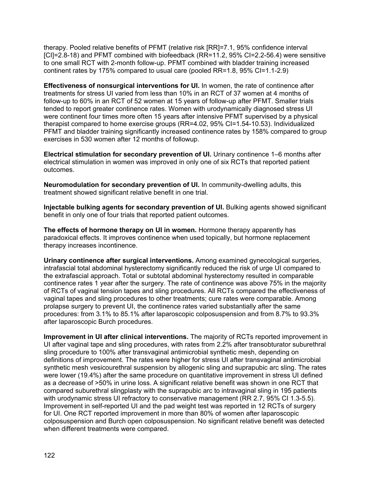therapy. Pooled relative benefits of PFMT (relative risk [RR]=7.1, 95% confidence interval [CI]=2.8-18) and PFMT combined with biofeedback (RR=11.2, 95% CI=2.2-56.4) were sensitive to one small RCT with 2-month follow-up. PFMT combined with bladder training increased continent rates by 175% compared to usual care (pooled RR=1.8, 95% CI=1.1-2.9)

**Effectiveness of nonsurgical interventions for UI.** In women, the rate of continence after treatments for stress UI varied from less than 10% in an RCT of 37 women at 4 months of follow-up to 60% in an RCT of 52 women at 15 years of follow-up after PFMT. Smaller trials tended to report greater continence rates. Women with urodynamically diagnosed stress UI were continent four times more often 15 years after intensive PFMT supervised by a physical therapist compared to home exercise groups (RR=4.02, 95% CI=1.54-10.53). Individualized PFMT and bladder training significantly increased continence rates by 158% compared to group exercises in 530 women after 12 months of followup.

**Electrical stimulation for secondary prevention of UI.** Urinary continence 1–6 months after electrical stimulation in women was improved in only one of six RCTs that reported patient outcomes.

**Neuromodulation for secondary prevention of UI.** In community-dwelling adults, this treatment showed significant relative benefit in one trial.

**Injectable bulking agents for secondary prevention of UI.** Bulking agents showed significant benefit in only one of four trials that reported patient outcomes.

**The effects of hormone therapy on UI in women.** Hormone therapy apparently has paradoxical effects. It improves continence when used topically, but hormone replacement therapy increases incontinence.

**Urinary continence after surgical interventions.** Among examined gynecological surgeries, intrafascial total abdominal hysterectomy significantly reduced the risk of urge UI compared to the extrafascial approach. Total or subtotal abdominal hysterectomy resulted in comparable continence rates 1 year after the surgery. The rate of continence was above 75% in the majority of RCTs of vaginal tension tapes and sling procedures. All RCTs compared the effectiveness of vaginal tapes and sling procedures to other treatments; cure rates were comparable. Among prolapse surgery to prevent UI, the continence rates varied substantially after the same procedures: from 3.1% to 85.1% after laparoscopic colposuspension and from 8.7% to 93.3% after laparoscopic Burch procedures.

**Improvement in UI after clinical interventions.** The majority of RCTs reported improvement in UI after vaginal tape and sling procedures, with rates from 2.2% after transobturator suburethral sling procedure to 100% after transvaginal antimicrobial synthetic mesh, depending on definitions of improvement. The rates were higher for stress UI after transvaginal antimicrobial synthetic mesh vesicourethral suspension by allogenic sling and suprapubic arc sling. The rates were lower (19.4%) after the same procedure on quantitative improvement in stress UI defined as a decrease of >50% in urine loss. A significant relative benefit was shown in one RCT that compared suburethral slingplasty with the suprapubic arc to intravaginal sling in 195 patients with urodynamic stress UI refractory to conservative management (RR 2.7, 95% CI 1.3-5.5). Improvement in self-reported UI and the pad weight test was reported in 12 RCTs of surgery for UI. One RCT reported improvement in more than 80% of women after laparoscopic colposuspension and Burch open colposuspension. No significant relative benefit was detected when different treatments were compared.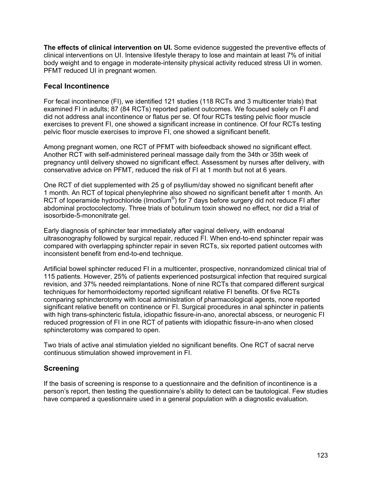**The effects of clinical intervention on UI.** Some evidence suggested the preventive effects of clinical interventions on UI. Intensive lifestyle therapy to lose and maintain at least 7% of initial body weight and to engage in moderate-intensity physical activity reduced stress UI in women. PFMT reduced UI in pregnant women.

### **Fecal Incontinence**

For fecal incontinence (FI), we identified 121 studies (118 RCTs and 3 multicenter trials) that examined FI in adults; 87 (84 RCTs) reported patient outcomes. We focused solely on FI and did not address anal incontinence or flatus per se. Of four RCTs testing pelvic floor muscle exercises to prevent FI, one showed a significant increase in continence. Of four RCTs testing pelvic floor muscle exercises to improve FI, one showed a significant benefit.

Among pregnant women, one RCT of PFMT with biofeedback showed no significant effect. Another RCT with self-administered perineal massage daily from the 34th or 35th week of pregnancy until delivery showed no significant effect. Assessment by nurses after delivery, with conservative advice on PFMT, reduced the risk of FI at 1 month but not at 6 years.

One RCT of diet supplemented with 25 g of psyllium/day showed no significant benefit after 1 month. An RCT of topical phenylephrine also showed no significant benefit after 1 month. An RCT of loperamide hydrochloride (Imodium<sup>®</sup>) for 7 days before surgery did not reduce FI after abdominal proctocolectomy. Three trials of botulinum toxin showed no effect, nor did a trial of isosorbide-5-mononitrate gel.

Early diagnosis of sphincter tear immediately after vaginal delivery, with endoanal ultrasonography followed by surgical repair, reduced FI. When end-to-end sphincter repair was compared with overlapping sphincter repair in seven RCTs, six reported patient outcomes with inconsistent benefit from end-to-end technique.

Artificial bowel sphincter reduced FI in a multicenter, prospective, nonrandomized clinical trial of 115 patients. However, 25% of patients experienced postsurgical infection that required surgical revision, and 37% needed reimplantations. None of nine RCTs that compared different surgical techniques for hemorrhoidectomy reported significant relative FI benefits. Of five RCTs comparing sphincterotomy with local administration of pharmacological agents, none reported significant relative benefit on continence or FI. Surgical procedures in anal sphincter in patients with high trans-sphincteric fistula, idiopathic fissure-in-ano, anorectal abscess, or neurogenic FI reduced progression of FI in one RCT of patients with idiopathic fissure-in-ano when closed sphincterotomy was compared to open.

Two trials of active anal stimulation yielded no significant benefits. One RCT of sacral nerve continuous stimulation showed improvement in FI.

### **Screening**

If the basis of screening is response to a questionnaire and the definition of incontinence is a person's report, then testing the questionnaire's ability to detect can be tautological. Few studies have compared a questionnaire used in a general population with a diagnostic evaluation.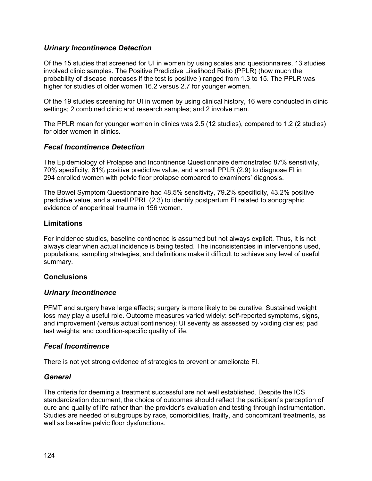### *Urinary Incontinence Detection*

Of the 15 studies that screened for UI in women by using scales and questionnaires, 13 studies involved clinic samples. The Positive Predictive Likelihood Ratio (PPLR) (how much the probability of disease increases if the test is positive ) ranged from 1.3 to 15. The PPLR was higher for studies of older women 16.2 versus 2.7 for younger women.

Of the 19 studies screening for UI in women by using clinical history, 16 were conducted in clinic settings; 2 combined clinic and research samples; and 2 involve men.

The PPLR mean for younger women in clinics was 2.5 (12 studies), compared to 1.2 (2 studies) for older women in clinics.

### *Fecal Incontinence Detection*

The Epidemiology of Prolapse and Incontinence Questionnaire demonstrated 87% sensitivity, 70% specificity, 61% positive predictive value, and a small PPLR (2.9) to diagnose FI in 294 enrolled women with pelvic floor prolapse compared to examiners' diagnosis.

The Bowel Symptom Questionnaire had 48.5% sensitivity, 79.2% specificity, 43.2% positive predictive value, and a small PPRL (2.3) to identify postpartum FI related to sonographic evidence of anoperineal trauma in 156 women.

### **Limitations**

For incidence studies, baseline continence is assumed but not always explicit. Thus, it is not always clear when actual incidence is being tested. The inconsistencies in interventions used, populations, sampling strategies, and definitions make it difficult to achieve any level of useful summary.

### **Conclusions**

#### *Urinary Incontinence*

PFMT and surgery have large effects; surgery is more likely to be curative. Sustained weight loss may play a useful role. Outcome measures varied widely: self-reported symptoms, signs, and improvement (versus actual continence); UI severity as assessed by voiding diaries; pad test weights; and condition-specific quality of life.

#### *Fecal Incontinence*

There is not yet strong evidence of strategies to prevent or ameliorate FI.

#### *General*

The criteria for deeming a treatment successful are not well established. Despite the ICS standardization document, the choice of outcomes should reflect the participant's perception of cure and quality of life rather than the provider's evaluation and testing through instrumentation. Studies are needed of subgroups by race, comorbidities, frailty, and concomitant treatments, as well as baseline pelvic floor dysfunctions.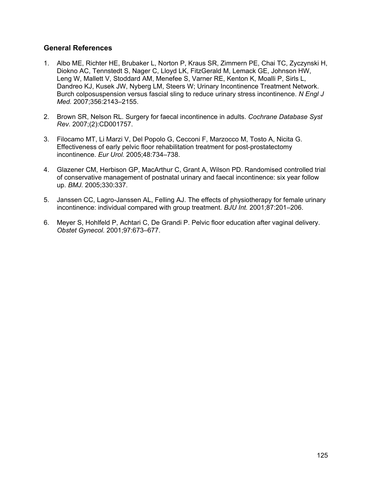### **General References**

- 1. Albo ME, Richter HE, Brubaker L, Norton P, Kraus SR, Zimmern PE, Chai TC, Zyczynski H, Diokno AC, Tennstedt S, Nager C, Lloyd LK, FitzGerald M, Lemack GE, Johnson HW, Leng W, Mallett V, Stoddard AM, Menefee S, Varner RE, Kenton K, Moalli P, Sirls L, Dandreo KJ, Kusek JW, Nyberg LM, Steers W; Urinary Incontinence Treatment Network. Burch colposuspension versus fascial sling to reduce urinary stress incontinence. *N Engl J Med.* 2007;356:2143–2155.
- 2. Brown SR, Nelson RL. Surgery for faecal incontinence in adults. *Cochrane Database Syst Rev.* 2007;(2):CD001757.
- 3. Filocamo MT, Li Marzi V, Del Popolo G, Cecconi F, Marzocco M, Tosto A, Nicita G. Effectiveness of early pelvic floor rehabilitation treatment for post-prostatectomy incontinence. *Eur Urol.* 2005;48:734–738.
- 4. Glazener CM, Herbison GP, MacArthur C, Grant A, Wilson PD. Randomised controlled trial of conservative management of postnatal urinary and faecal incontinence: six year follow up. *BMJ.* 2005;330:337.
- 5. Janssen CC, Lagro-Janssen AL, Felling AJ. The effects of physiotherapy for female urinary incontinence: individual compared with group treatment. *BJU Int.* 2001;87:201–206.
- 6. Meyer S, Hohlfeld P, Achtari C, De Grandi P. Pelvic floor education after vaginal delivery. *Obstet Gynecol.* 2001;97:673–677.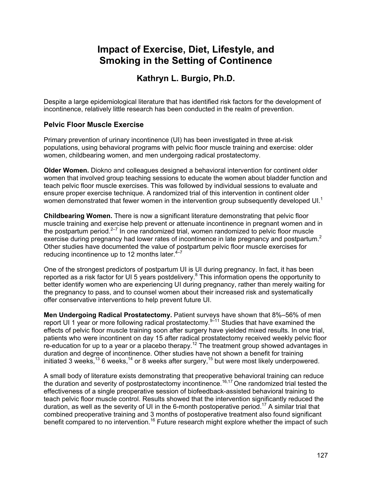# **Impact of Exercise, Diet, Lifestyle, and Smoking in the Setting of Continence**

# **Kathryn L. Burgio, Ph.D.**

Despite a large epidemiological literature that has identified risk factors for the development of incontinence, relatively little research has been conducted in the realm of prevention.

### **Pelvic Floor Muscle Exercise**

Primary prevention of urinary incontinence (UI) has been investigated in three at-risk populations, using behavioral programs with pelvic floor muscle training and exercise: older women, childbearing women, and men undergoing radical prostatectomy.

**Older Women.** Diokno and colleagues designed a behavioral intervention for continent older women that involved group teaching sessions to educate the women about bladder function and teach pelvic floor muscle exercises. This was followed by individual sessions to evaluate and ensure proper exercise technique. A randomized trial of this intervention in continent older women demonstrated that fewer women in the intervention group subsequently developed UI.<sup>1</sup>

**Childbearing Women.** There is now a significant literature demonstrating that pelvic floor muscle training and exercise help prevent or attenuate incontinence in pregnant women and in the postpartum period.<sup>2–7</sup> In one randomized trial, women randomized to pelvic floor muscle exercise during pregnancy had lower rates of incontinence in late pregnancy and postpartum.<sup>2</sup> Other studies have documented the value of postpartum pelvic floor muscle exercises for reducing incontinence up to 12 months later. $4-7$ 

One of the strongest predictors of postpartum UI is UI during pregnancy. In fact, it has been reported as a risk factor for UI 5 years postdelivery.<sup>8</sup> This information opens the opportunity to better identify women who are experiencing UI during pregnancy, rather than merely waiting for the pregnancy to pass, and to counsel women about their increased risk and systematically offer conservative interventions to help prevent future UI.

**Men Undergoing Radical Prostatectomy.** Patient surveys have shown that 8%–56% of men report UI 1 year or more following radical prostatectomy.<sup>9–11</sup> Studies that have examined the effects of pelvic floor muscle training soon after surgery have yielded mixed results. In one trial, patients who were incontinent on day 15 after radical prostatectomy received weekly pelvic floor re-education for up to a year or a placebo therapy.<sup>12</sup> The treatment group showed advantages in duration and degree of incontinence. Other studies have not shown a benefit for training initiated 3 weeks,<sup>13</sup> 6 weeks,<sup>14</sup> or 8 weeks after surgery,<sup>15</sup> but were most likely underpowered.

A small body of literature exists demonstrating that preoperative behavioral training can reduce the duration and severity of postprostatectomy incontinence.<sup>16,17</sup> One randomized trial tested the effectiveness of a single preoperative session of biofeedback-assisted behavioral training to teach pelvic floor muscle control. Results showed that the intervention significantly reduced the duration, as well as the severity of UI in the 6-month postoperative period.<sup>17</sup> A similar trial that combined preoperative training and 3 months of postoperative treatment also found significant benefit compared to no intervention.<sup>16</sup> Future research might explore whether the impact of such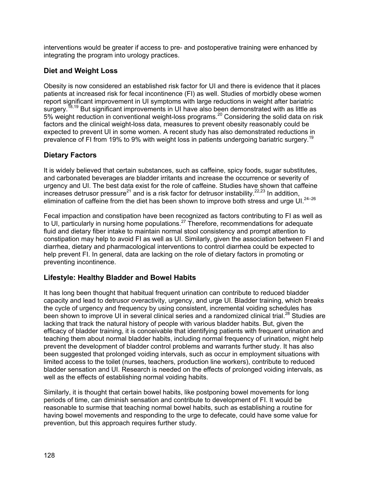interventions would be greater if access to pre- and postoperative training were enhanced by integrating the program into urology practices.

### **Diet and Weight Loss**

Obesity is now considered an established risk factor for UI and there is evidence that it places patients at increased risk for fecal incontinence (FI) as well. Studies of morbidly obese women report significant improvement in UI symptoms with large reductions in weight after bariatric surgery.<sup>18,19</sup> But significant improvements in UI have also been demonstrated with as little as 5% weight reduction in conventional weight-loss programs.<sup>20</sup> Considering the solid data on risk factors and the clinical weight-loss data, measures to prevent obesity reasonably could be expected to prevent UI in some women. A recent study has also demonstrated reductions in prevalence of FI from 19% to 9% with weight loss in patients undergoing bariatric surgery.<sup>19</sup>

## **Dietary Factors**

It is widely believed that certain substances, such as caffeine, spicy foods, sugar substitutes, and carbonated beverages are bladder irritants and increase the occurrence or severity of urgency and UI. The best data exist for the role of caffeine. Studies have shown that caffeine increases detrusor pressure<sup>21</sup> and is a risk factor for detrusor instability.<sup>22,23</sup> In addition, elimination of caffeine from the diet has been shown to improve both stress and urge UI.<sup>24-26</sup>

Fecal impaction and constipation have been recognized as factors contributing to FI as well as to UI, particularly in nursing home populations.<sup>27</sup> Therefore, recommendations for adequate fluid and dietary fiber intake to maintain normal stool consistency and prompt attention to constipation may help to avoid FI as well as UI. Similarly, given the association between FI and diarrhea, dietary and pharmacological interventions to control diarrhea could be expected to help prevent FI. In general, data are lacking on the role of dietary factors in promoting or preventing incontinence.

## **Lifestyle: Healthy Bladder and Bowel Habits**

It has long been thought that habitual frequent urination can contribute to reduced bladder capacity and lead to detrusor overactivity, urgency, and urge UI. Bladder training, which breaks the cycle of urgency and frequency by using consistent, incremental voiding schedules has been shown to improve UI in several clinical series and a randomized clinical trial.<sup>28</sup> Studies are lacking that track the natural history of people with various bladder habits. But, given the efficacy of bladder training, it is conceivable that identifying patients with frequent urination and teaching them about normal bladder habits, including normal frequency of urination, might help prevent the development of bladder control problems and warrants further study. It has also been suggested that prolonged voiding intervals, such as occur in employment situations with limited access to the toilet (nurses, teachers, production line workers), contribute to reduced bladder sensation and UI. Research is needed on the effects of prolonged voiding intervals, as well as the effects of establishing normal voiding habits.

Similarly, it is thought that certain bowel habits, like postponing bowel movements for long periods of time, can diminish sensation and contribute to development of FI. It would be reasonable to surmise that teaching normal bowel habits, such as establishing a routine for having bowel movements and responding to the urge to defecate, could have some value for prevention, but this approach requires further study.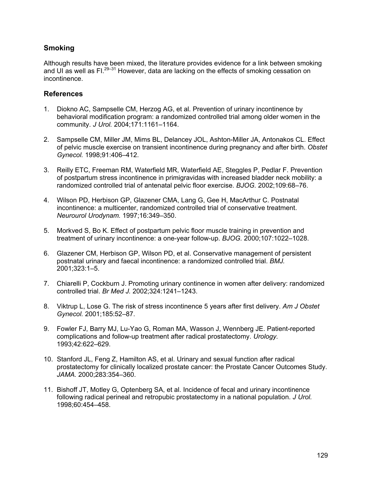### **Smoking**

Although results have been mixed, the literature provides evidence for a link between smoking and UI as well as  $FL^{29-31}$  However, data are lacking on the effects of smoking cessation on incontinence.

- 1. Diokno AC, Sampselle CM, Herzog AG, et al. Prevention of urinary incontinence by behavioral modification program: a randomized controlled trial among older women in the community. *J Urol.* 2004;171:1161–1164.
- 2. Sampselle CM, Miller JM, Mims BL, Delancey JOL, Ashton-Miller JA, Antonakos CL. Effect of pelvic muscle exercise on transient incontinence during pregnancy and after birth. *Obstet Gynecol.* 1998;91:406–412.
- 3. Reilly ETC, Freeman RM, Waterfield MR, Waterfield AE, Steggles P, Pedlar F. Prevention of postpartum stress incontinence in primigravidas with increased bladder neck mobility: a randomized controlled trial of antenatal pelvic floor exercise. *BJOG.* 2002;109:68–76.
- 4. Wilson PD, Herbison GP, Glazener CMA, Lang G, Gee H, MacArthur C. Postnatal incontinence: a multicenter, randomized controlled trial of conservative treatment. *Neurourol Urodynam.* 1997;16:349–350.
- 5. Morkved S, Bo K. Effect of postpartum pelvic floor muscle training in prevention and treatment of urinary incontinence: a one-year follow-up. *BJOG.* 2000;107:1022–1028.
- 6. Glazener CM, Herbison GP, Wilson PD, et al. Conservative management of persistent postnatal urinary and faecal incontinence: a randomized controlled trial. *BMJ.*  2001;323:1–5.
- 7. Chiarelli P, Cockburn J. Promoting urinary continence in women after delivery: randomized controlled trial. *Br Med J.* 2002;324:1241–1243.
- 8. Viktrup L, Lose G. The risk of stress incontinence 5 years after first delivery. *Am J Obstet Gynecol.* 2001;185:52–87.
- 9. Fowler FJ, Barry MJ, Lu-Yao G, Roman MA, Wasson J, Wennberg JE. Patient-reported complications and follow-up treatment after radical prostatectomy. *Urology.*  1993;42:622–629.
- 10. Stanford JL, Feng Z, Hamilton AS, et al. Urinary and sexual function after radical prostatectomy for clinically localized prostate cancer: the Prostate Cancer Outcomes Study. *JAMA.* 2000;283:354–360.
- 11. Bishoff JT, Motley G, Optenberg SA, et al. Incidence of fecal and urinary incontinence following radical perineal and retropubic prostatectomy in a national population. *J Urol.*  1998;60:454–458.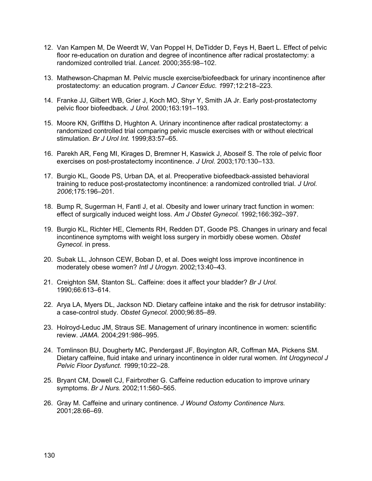- 12. Van Kampen M, De Weerdt W, Van Poppel H, DeTidder D, Feys H, Baert L. Effect of pelvic floor re-education on duration and degree of incontinence after radical prostatectomy: a randomized controlled trial. *Lancet.* 2000;355:98–102.
- 13. Mathewson-Chapman M. Pelvic muscle exercise/biofeedback for urinary incontinence after prostatectomy: an education program. *J Cancer Educ. 1*997;12:218–223.
- 14. Franke JJ, Gilbert WB, Grier J, Koch MO, Shyr Y, Smith JA Jr. Early post-prostatectomy pelvic floor biofeedback. *J Urol.* 2000;163:191–193.
- 15. Moore KN, Griffiths D, Hughton A. Urinary incontinence after radical prostatectomy: a randomized controlled trial comparing pelvic muscle exercises with or without electrical stimulation. *Br J Urol Int.* 1999;83:57–65.
- 16. Parekh AR, Feng MI, Kirages D, Bremner H, Kaswick J, Aboseif S. The role of pelvic floor exercises on post-prostatectomy incontinence. *J Urol.* 2003;170:130–133.
- 17. Burgio KL, Goode PS, Urban DA, et al. Preoperative biofeedback-assisted behavioral training to reduce post-prostatectomy incontinence: a randomized controlled trial. *J Urol. 2006*;175:196–201.
- 18. Bump R, Sugerman H, Fantl J, et al. Obesity and lower urinary tract function in women: effect of surgically induced weight loss. *Am J Obstet Gynecol.* 1992;166:392–397.
- 19. Burgio KL, Richter HE, Clements RH, Redden DT, Goode PS. Changes in urinary and fecal incontinence symptoms with weight loss surgery in morbidly obese women. *Obstet Gynecol.* in press.
- 20. Subak LL, Johnson CEW, Boban D, et al. Does weight loss improve incontinence in moderately obese women? *Intl J Urogyn.* 2002;13:40–43.
- 21. Creighton SM, Stanton SL. Caffeine: does it affect your bladder? *Br J Urol.*  1990;66:613–614.
- 22. Arya LA, Myers DL, Jackson ND. Dietary caffeine intake and the risk for detrusor instability: a case-control study. *Obstet Gynecol.* 2000;96:85–89.
- 23. Holroyd-Leduc JM, Straus SE. Management of urinary incontinence in women: scientific review. *JAMA.* 2004;291:986–995.
- 24. Tomlinson BU, Dougherty MC, Pendergast JF, Boyington AR, Coffman MA, Pickens SM. Dietary caffeine, fluid intake and urinary incontinence in older rural women. *Int Urogynecol J Pelvic Floor Dysfunct. 1*999;10:22–28.
- 25. Bryant CM, Dowell CJ, Fairbrother G. Caffeine reduction education to improve urinary symptoms. *Br J Nurs.* 2002;11:560–565.
- 26. Gray M. Caffeine and urinary continence. *J Wound Ostomy Continence Nurs.*  2001;28:66–69.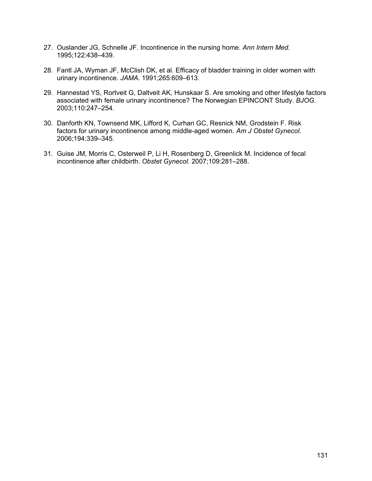- 27. Ouslander JG, Schnelle JF. Incontinence in the nursing home. *Ann Intern Med.*  1995;122:438–439.
- 28. Fantl JA, Wyman JF, McClish DK, et al. Efficacy of bladder training in older women with urinary incontinence. *JAMA.* 1991;265:609–613.
- 29. Hannestad YS, Rortveit G, Daltveit AK, Hunskaar S. Are smoking and other lifestyle factors associated with female urinary incontinence? The Norwegian EPINCONT Study. *BJOG.*  2003;110:247–254.
- 30. Danforth KN, Townsend MK, Lifford K, Curhan GC, Resnick NM, Grodstein F. Risk factors for urinary incontinence among middle-aged women. *Am J Obstet Gynecol.*  2006;194:339–345.
- 31. Guise JM, Morris C, Osterweil P, Li H, Rosenberg D, Greenlick M. Incidence of fecal incontinence after childbirth. *Obstet Gynecol.* 2007;109:281–288.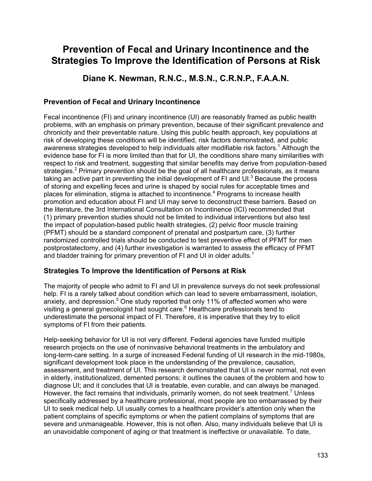# **Prevention of Fecal and Urinary Incontinence and the Strategies To Improve the Identification of Persons at Risk**

## **Diane K. Newman, R.N.C., M.S.N., C.R.N.P., F.A.A.N.**

### **Prevention of Fecal and Urinary Incontinence**

Fecal incontinence (FI) and urinary incontinence (UI) are reasonably framed as public health problems, with an emphasis on primary prevention, because of their significant prevalence and chronicity and their preventable nature. Using this public health approach, key populations at risk of developing these conditions will be identified, risk factors demonstrated, and public awareness strategies developed to help individuals alter modifiable risk factors.<sup>1</sup> Although the evidence base for FI is more limited than that for UI, the conditions share many similarities with respect to risk and treatment, suggesting that similar benefits may derive from population-based strategies.<sup>2</sup> Primary prevention should be the goal of all healthcare professionals, as it means taking an active part in preventing the initial development of FI and UI. $^3$  Because the process of storing and expelling feces and urine is shaped by social rules for acceptable times and places for elimination, stigma is attached to incontinence.<sup>4</sup> Programs to increase health promotion and education about FI and UI may serve to deconstruct these barriers. Based on the literature, the 3rd International Consultation on Incontinence (ICI) recommended that (1) primary prevention studies should not be limited to individual interventions but also test the impact of population-based public health strategies, (2) pelvic floor muscle training (PFMT) should be a standard component of prenatal and postpartum care, (3) further randomized controlled trials should be conducted to test preventive effect of PFMT for men postprostatectomy, and (4) further investigation is warranted to assess the efficacy of PFMT and bladder training for primary prevention of FI and UI in older adults.<sup>1</sup>

### **Strategies To Improve the Identification of Persons at Risk**

The majority of people who admit to FI and UI in prevalence surveys do not seek professional help. FI is a rarely talked about condition which can lead to severe embarrassment, isolation, anxiety, and depression.<sup>5</sup> One study reported that only 11% of affected women who were visiting a general gynecologist had sought care.<sup>6</sup> Healthcare professionals tend to underestimate the personal impact of FI. Therefore, it is imperative that they try to elicit symptoms of FI from their patients.

Help-seeking behavior for UI is not very different. Federal agencies have funded multiple research projects on the use of noninvasive behavioral treatments in the ambulatory and long-term-care setting. In a surge of increased Federal funding of UI research in the mid-1980s, significant development took place in the understanding of the prevalence, causation, assessment, and treatment of UI. This research demonstrated that UI is never normal, not even in elderly, institutionalized, demented persons; it outlines the causes of the problem and how to diagnose UI; and it concludes that UI is treatable, even curable, and can always be managed. However, the fact remains that individuals, primarily women, do not seek treatment.<sup>7</sup> Unless specifically addressed by a healthcare professional, most people are too embarrassed by their UI to seek medical help. UI usually comes to a healthcare provider's attention only when the patient complains of specific symptoms or when the patient complains of symptoms that are severe and unmanageable. However, this is not often. Also, many individuals believe that UI is an unavoidable component of aging or that treatment is ineffective or unavailable. To date,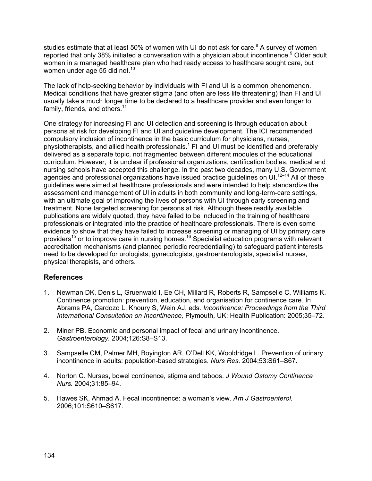studies estimate that at least 50% of women with UI do not ask for care.<sup>8</sup> A survey of women reported that only 38% initiated a conversation with a physician about incontinence.<sup>9</sup> Older adult women in a managed healthcare plan who had ready access to healthcare sought care, but women under age 55 did not.<sup>10</sup>

The lack of help-seeking behavior by individuals with FI and UI is a common phenomenon. Medical conditions that have greater stigma (and often are less life threatening) than FI and UI usually take a much longer time to be declared to a healthcare provider and even longer to family, friends, and others. $11$ 

One strategy for increasing FI and UI detection and screening is through education about persons at risk for developing FI and UI and guideline development. The ICI recommended compulsory inclusion of incontinence in the basic curriculum for physicians, nurses, physiotherapists, and allied health professionals.<sup>1</sup> FI and UI must be identified and preferably delivered as a separate topic, not fragmented between different modules of the educational curriculum. However, it is unclear if professional organizations, certification bodies, medical and nursing schools have accepted this challenge. In the past two decades, many U.S. Government agencies and professional organizations have issued practice guidelines on  $UI^{12-14}$  All of these guidelines were aimed at healthcare professionals and were intended to help standardize the assessment and management of UI in adults in both community and long-term-care settings, with an ultimate goal of improving the lives of persons with UI through early screening and treatment. None targeted screening for persons at risk. Although these readily available publications are widely quoted, they have failed to be included in the training of healthcare professionals or integrated into the practice of healthcare professionals. There is even some evidence to show that they have failed to increase screening or managing of UI by primary care providers<sup>15</sup> or to improve care in nursing homes.<sup>16</sup> Specialist education programs with relevant accreditation mechanisms (and planned periodic recredentialing) to safeguard patient interests need to be developed for urologists, gynecologists, gastroenterologists, specialist nurses, physical therapists, and others.

- 1. Newman DK, Denis L, Gruenwald I, Ee CH, Millard R, Roberts R, Sampselle C, Williams K. Continence promotion: prevention, education, and organisation for continence care. In Abrams PA, Cardozo L, Khoury S, Wein AJ, eds. *Incontinence: Proceedings from the Third International Consultation on Incontinence,* Plymouth, UK: Health Publication: 2005;35–72.
- 2. Miner PB. Economic and personal impact of fecal and urinary incontinence. *Gastroenterology.* 2004;126:S8–S13.
- 3. Sampselle CM, Palmer MH, Boyington AR, O'Dell KK, Wooldridge L. Prevention of urinary incontinence in adults: population-based strategies. *Nurs Res.* 2004;53:S61–S67.
- 4. Norton C. Nurses, bowel continence, stigma and taboos. *J Wound Ostomy Continence Nurs.* 2004;31:85–94.
- 5. Hawes SK, Ahmad A. Fecal incontinence: a woman's view. *Am J Gastroenterol.*  2006;101:S610–S617.